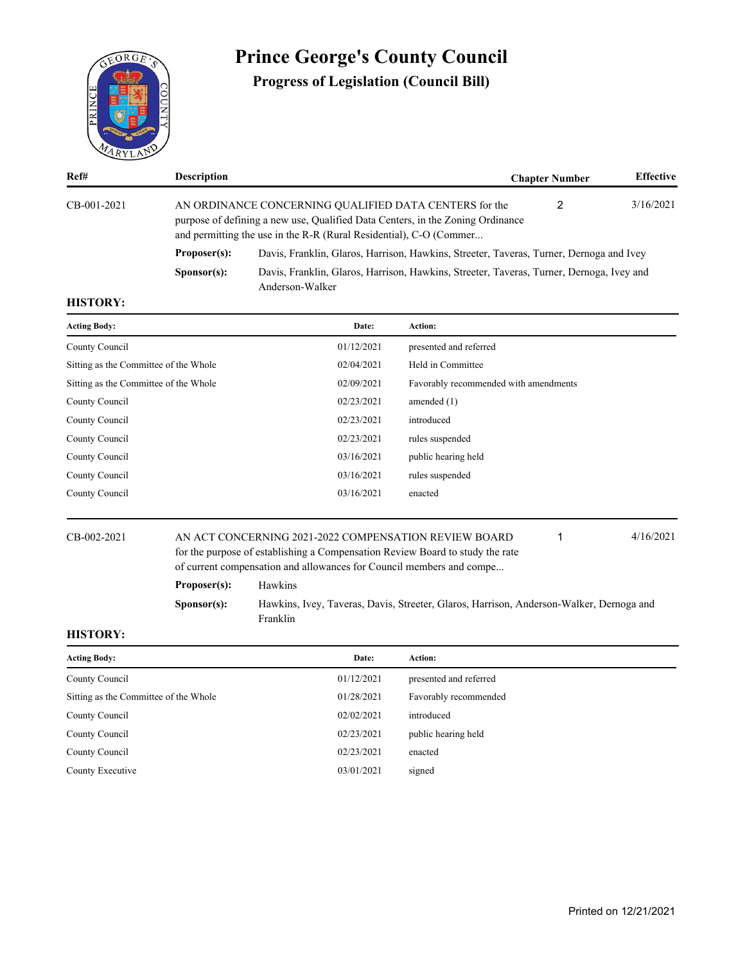

# **Prince George's County Council**

**Progress of Legislation (Council Bill)**

| Ref#        | <b>Description</b>   |                                                                                                                                                                                                                | <b>Chapter Number</b> | <b>Effective</b> |
|-------------|----------------------|----------------------------------------------------------------------------------------------------------------------------------------------------------------------------------------------------------------|-----------------------|------------------|
| CB-001-2021 |                      | AN ORDINANCE CONCERNING QUALIFIED DATA CENTERS for the<br>purpose of defining a new use, Qualified Data Centers, in the Zoning Ordinance<br>and permitting the use in the R-R (Rural Residential), C-O (Commer | 2                     | 3/16/2021        |
|             | Proposer(s):         | Davis, Franklin, Glaros, Harrison, Hawkins, Streeter, Taveras, Turner, Dernoga and Ivey                                                                                                                        |                       |                  |
|             | S <b>p</b> onsor(s): | Davis, Franklin, Glaros, Harrison, Hawkins, Streeter, Taveras, Turner, Dernoga, Ivey and<br>Anderson-Walker                                                                                                    |                       |                  |

### **HISTORY:**

| <b>Acting Body:</b>                   | Date:      | Action:                               |
|---------------------------------------|------------|---------------------------------------|
| County Council                        | 01/12/2021 | presented and referred                |
| Sitting as the Committee of the Whole | 02/04/2021 | Held in Committee                     |
| Sitting as the Committee of the Whole | 02/09/2021 | Favorably recommended with amendments |
| County Council                        | 02/23/2021 | amended $(1)$                         |
| County Council                        | 02/23/2021 | introduced                            |
| County Council                        | 02/23/2021 | rules suspended                       |
| County Council                        | 03/16/2021 | public hearing held                   |
| County Council                        | 03/16/2021 | rules suspended                       |
| County Council                        | 03/16/2021 | enacted                               |
|                                       |            |                                       |

#### CB-002-2021 AN ACT CONCERNING 2021-2022 COMPENSATION REVIEW BOARD 4/16/2021 for the purpose of establishing a Compensation Review Board to study the rate of current compensation and allowances for Council members and compe... 1

**Proposer(s):** Hawkins

**Sponsor(s):** Hawkins, Ivey, Taveras, Davis, Streeter, Glaros, Harrison, Anderson-Walker, Dernoga and Franklin

| <b>Acting Body:</b>                   | Date:      | Action:                |
|---------------------------------------|------------|------------------------|
| County Council                        | 01/12/2021 | presented and referred |
| Sitting as the Committee of the Whole | 01/28/2021 | Favorably recommended  |
| County Council                        | 02/02/2021 | introduced             |
| County Council                        | 02/23/2021 | public hearing held    |
| County Council                        | 02/23/2021 | enacted                |
| County Executive                      | 03/01/2021 | signed                 |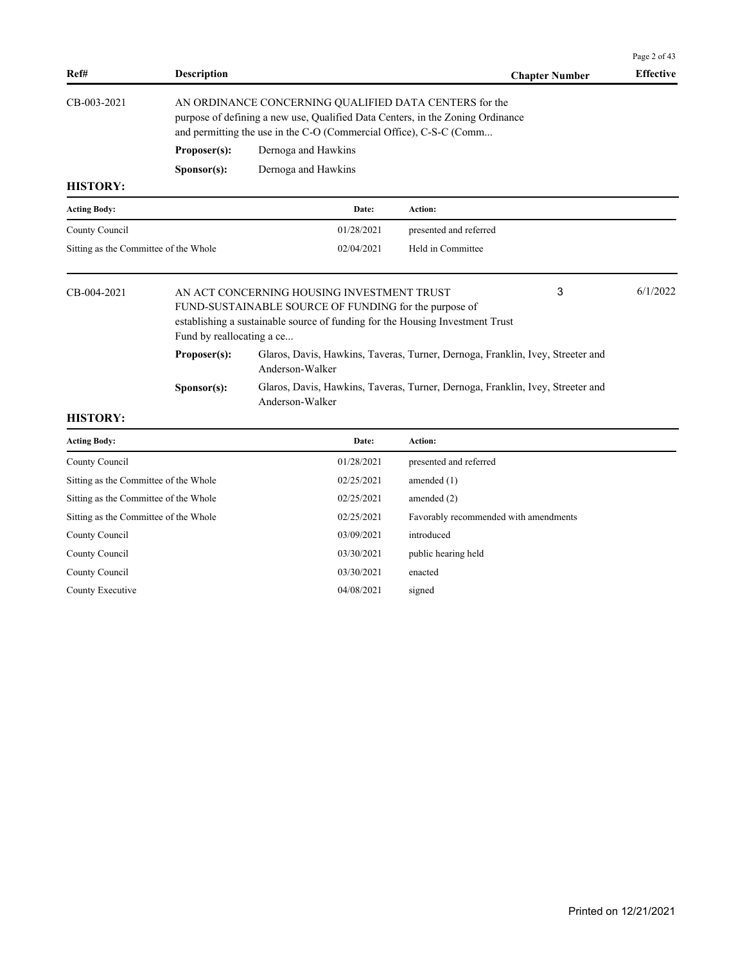|                                                                                                                                                                                                                                       |                      |                                                                                                                                                                                                                |                        |                       | Page 2 of 43     |
|---------------------------------------------------------------------------------------------------------------------------------------------------------------------------------------------------------------------------------------|----------------------|----------------------------------------------------------------------------------------------------------------------------------------------------------------------------------------------------------------|------------------------|-----------------------|------------------|
| Ref#                                                                                                                                                                                                                                  | <b>Description</b>   |                                                                                                                                                                                                                |                        | <b>Chapter Number</b> | <b>Effective</b> |
| CB-003-2021                                                                                                                                                                                                                           |                      | AN ORDINANCE CONCERNING QUALIFIED DATA CENTERS for the<br>purpose of defining a new use, Qualified Data Centers, in the Zoning Ordinance<br>and permitting the use in the C-O (Commercial Office), C-S-C (Comm |                        |                       |                  |
|                                                                                                                                                                                                                                       | Proposer(s):         | Dernoga and Hawkins                                                                                                                                                                                            |                        |                       |                  |
|                                                                                                                                                                                                                                       | S <b>p</b> onsor(s): | Dernoga and Hawkins                                                                                                                                                                                            |                        |                       |                  |
| <b>HISTORY:</b>                                                                                                                                                                                                                       |                      |                                                                                                                                                                                                                |                        |                       |                  |
| <b>Acting Body:</b>                                                                                                                                                                                                                   |                      | Date:                                                                                                                                                                                                          | Action:                |                       |                  |
| County Council                                                                                                                                                                                                                        |                      | 01/28/2021                                                                                                                                                                                                     | presented and referred |                       |                  |
| Sitting as the Committee of the Whole                                                                                                                                                                                                 |                      | 02/04/2021                                                                                                                                                                                                     | Held in Committee      |                       |                  |
| 3<br>CB-004-2021<br>AN ACT CONCERNING HOUSING INVESTMENT TRUST<br>FUND-SUSTAINABLE SOURCE OF FUNDING for the purpose of<br>establishing a sustainable source of funding for the Housing Investment Trust<br>Fund by reallocating a ce |                      |                                                                                                                                                                                                                | 6/1/2022               |                       |                  |
|                                                                                                                                                                                                                                       | Proposer(s):         | Glaros, Davis, Hawkins, Taveras, Turner, Dernoga, Franklin, Ivey, Streeter and<br>Anderson-Walker                                                                                                              |                        |                       |                  |
|                                                                                                                                                                                                                                       | S <b>p</b> onsor(s): | Glaros, Davis, Hawkins, Taveras, Turner, Dernoga, Franklin, Ivey, Streeter and<br>Anderson-Walker                                                                                                              |                        |                       |                  |
| <b>HISTORY:</b>                                                                                                                                                                                                                       |                      |                                                                                                                                                                                                                |                        |                       |                  |

| <b>Acting Body:</b>                   | Date:      | <b>Action:</b>                        |
|---------------------------------------|------------|---------------------------------------|
| County Council                        | 01/28/2021 | presented and referred                |
| Sitting as the Committee of the Whole | 02/25/2021 | amended $(1)$                         |
| Sitting as the Committee of the Whole | 02/25/2021 | amended $(2)$                         |
| Sitting as the Committee of the Whole | 02/25/2021 | Favorably recommended with amendments |
| County Council                        | 03/09/2021 | introduced                            |
| County Council                        | 03/30/2021 | public hearing held                   |
| County Council                        | 03/30/2021 | enacted                               |
| County Executive                      | 04/08/2021 | signed                                |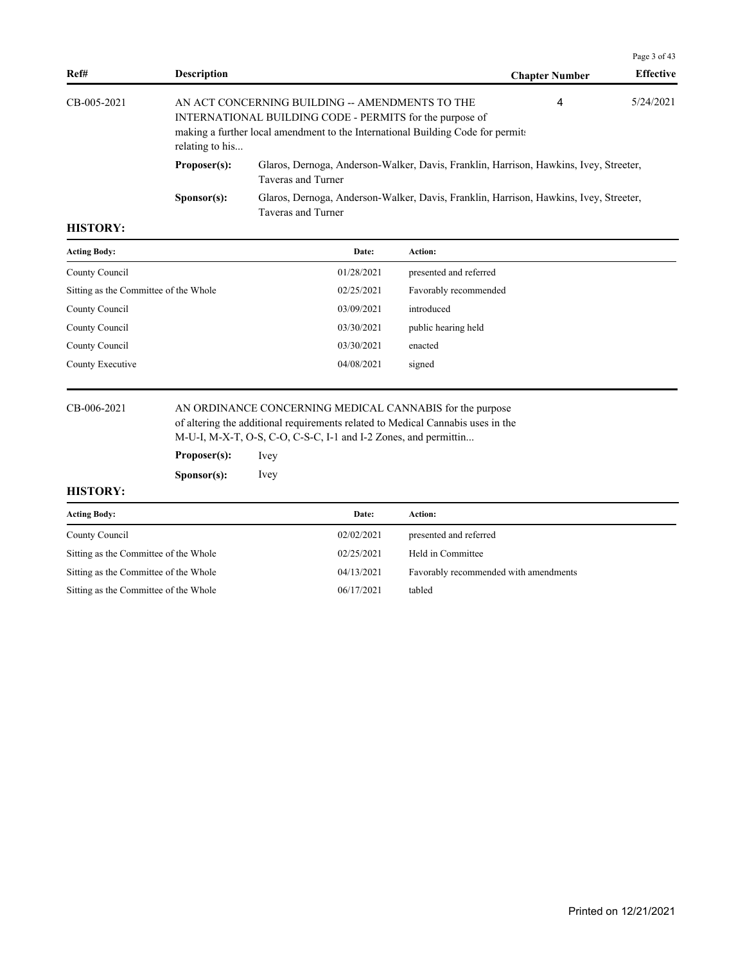|               |                                                                                                                                                                                                                        |                                                                                                             |                       | Page 3 of 43     |
|---------------|------------------------------------------------------------------------------------------------------------------------------------------------------------------------------------------------------------------------|-------------------------------------------------------------------------------------------------------------|-----------------------|------------------|
| Ref#          | <b>Description</b>                                                                                                                                                                                                     |                                                                                                             | <b>Chapter Number</b> | <b>Effective</b> |
| $CB-005-2021$ | 4<br>AN ACT CONCERNING BUILDING -- AMENDMENTS TO THE<br>INTERNATIONAL BUILDING CODE - PERMITS for the purpose of<br>making a further local amendment to the International Building Code for permits<br>relating to his |                                                                                                             |                       | 5/24/2021        |
|               | Proposer(s):                                                                                                                                                                                                           | Glaros, Dernoga, Anderson-Walker, Davis, Franklin, Harrison, Hawkins, Ivey, Streeter,<br>Taveras and Turner |                       |                  |
|               | S <b>p</b> onsor(s):                                                                                                                                                                                                   | Glaros, Dernoga, Anderson-Walker, Davis, Franklin, Harrison, Hawkins, Ivey, Streeter,<br>Taveras and Turner |                       |                  |

| <b>Acting Body:</b>                   | Date:      | Action:                |
|---------------------------------------|------------|------------------------|
| County Council                        | 01/28/2021 | presented and referred |
| Sitting as the Committee of the Whole | 02/25/2021 | Favorably recommended  |
| County Council                        | 03/09/2021 | introduced             |
| County Council                        | 03/30/2021 | public hearing held    |
| County Council                        | 03/30/2021 | enacted                |
| County Executive                      | 04/08/2021 | signed                 |

CB-006-2021 AN ORDINANCE CONCERNING MEDICAL CANNABIS for the purpose of altering the additional requirements related to Medical Cannabis uses in the M-U-I, M-X-T, O-S, C-O, C-S-C, I-1 and I-2 Zones, and permittin...

> **Proposer(s):** Ivey **Sponsor(s):** Ivey

| <b>Acting Body:</b>                   | Date:      | Action:                               |
|---------------------------------------|------------|---------------------------------------|
| County Council                        | 02/02/2021 | presented and referred                |
| Sitting as the Committee of the Whole | 02/25/2021 | Held in Committee                     |
| Sitting as the Committee of the Whole | 04/13/2021 | Favorably recommended with amendments |
| Sitting as the Committee of the Whole | 06/17/2021 | tabled                                |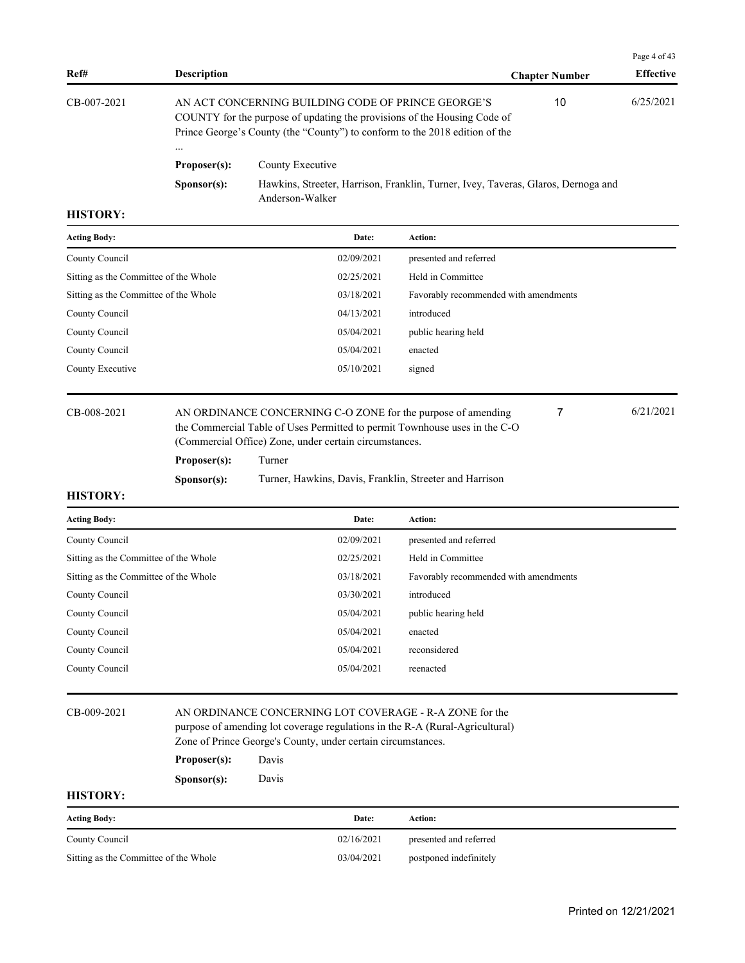|                      |                  |                                                    | Page 4 of 43                                                                                                                                                                                                                                 |
|----------------------|------------------|----------------------------------------------------|----------------------------------------------------------------------------------------------------------------------------------------------------------------------------------------------------------------------------------------------|
| <b>Description</b>   |                  | <b>Chapter Number</b>                              | <b>Effective</b>                                                                                                                                                                                                                             |
| $\cdots$             |                  | 10                                                 | 6/25/2021                                                                                                                                                                                                                                    |
| Proposer(s):         | County Executive |                                                    |                                                                                                                                                                                                                                              |
| S <b>p</b> onsor(s): | Anderson-Walker  |                                                    |                                                                                                                                                                                                                                              |
|                      |                  |                                                    |                                                                                                                                                                                                                                              |
|                      |                  | AN ACT CONCERNING BUILDING CODE OF PRINCE GEORGE'S | COUNTY for the purpose of updating the provisions of the Housing Code of<br>Prince George's County (the "County") to conform to the 2018 edition of the<br>Hawkins, Streeter, Harrison, Franklin, Turner, Ivey, Taveras, Glaros, Dernoga and |

| <b>Acting Body:</b>                   | Date:      | Action:                               |
|---------------------------------------|------------|---------------------------------------|
| County Council                        | 02/09/2021 | presented and referred                |
| Sitting as the Committee of the Whole | 02/25/2021 | Held in Committee                     |
| Sitting as the Committee of the Whole | 03/18/2021 | Favorably recommended with amendments |
| County Council                        | 04/13/2021 | introduced                            |
| County Council                        | 05/04/2021 | public hearing held                   |
| County Council                        | 05/04/2021 | enacted                               |
| County Executive                      | 05/10/2021 | signed                                |
|                                       |            |                                       |

CB-008-2021 AN ORDINANCE CONCERNING C-O ZONE for the purpose of amending 6/21/2021 the Commercial Table of Uses Permitted to permit Townhouse uses in the C-O (Commercial Office) Zone, under certain circumstances.

7

**Proposer(s):** Turner

Sponsor(s): Turner, Hawkins, Davis, Franklin, Streeter and Harrison

# **HISTORY:**

| <b>Acting Body:</b>                   | Date:      | <b>Action:</b>                        |
|---------------------------------------|------------|---------------------------------------|
| County Council                        | 02/09/2021 | presented and referred                |
| Sitting as the Committee of the Whole | 02/25/2021 | Held in Committee                     |
| Sitting as the Committee of the Whole | 03/18/2021 | Favorably recommended with amendments |
| County Council                        | 03/30/2021 | introduced                            |
| County Council                        | 05/04/2021 | public hearing held                   |
| County Council                        | 05/04/2021 | enacted                               |
| County Council                        | 05/04/2021 | reconsidered                          |
| County Council                        | 05/04/2021 | reenacted                             |

### CB-009-2021 AN ORDINANCE CONCERNING LOT COVERAGE - R-A ZONE for the

purpose of amending lot coverage regulations in the R-A (Rural-Agricultural)

Zone of Prince George's County, under certain circumstances.

#### **Proposer(s):** Davis

**Sponsor(s):** Davis

| <b>Acting Body:</b>                   | Date:      | Action:                |
|---------------------------------------|------------|------------------------|
| County Council                        | 02/16/2021 | presented and referred |
| Sitting as the Committee of the Whole | 03/04/2021 | postponed indefinitely |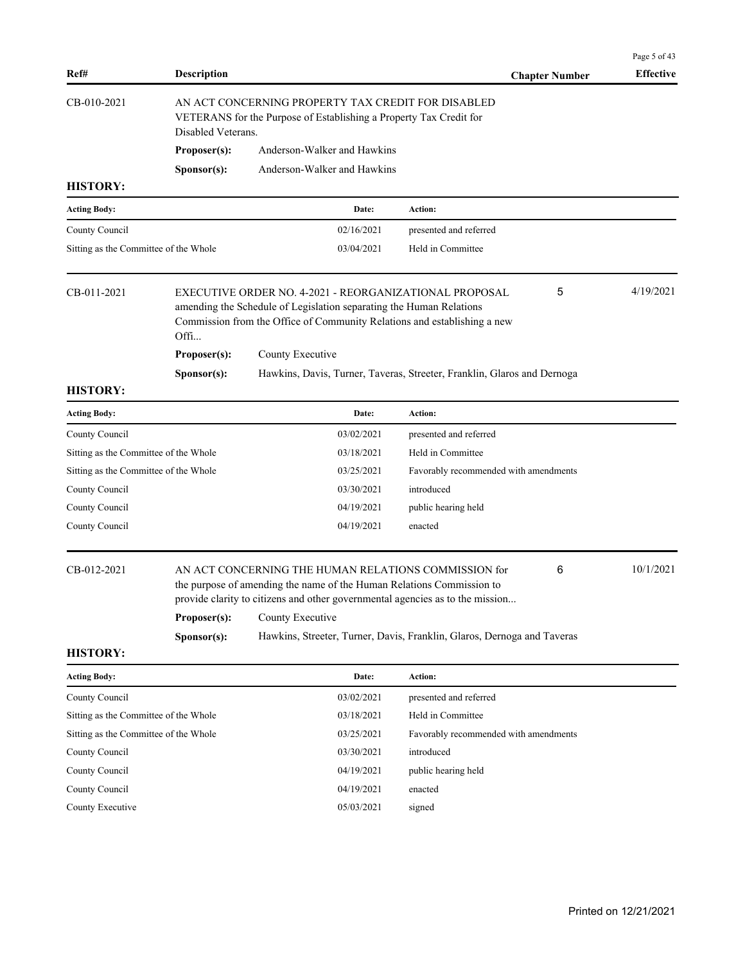| Ref#                                  | <b>Description</b> |                                                                                                                                                                                                                                    | <b>Chapter Number</b>                                                   | Page 5 of 43<br><b>Effective</b> |
|---------------------------------------|--------------------|------------------------------------------------------------------------------------------------------------------------------------------------------------------------------------------------------------------------------------|-------------------------------------------------------------------------|----------------------------------|
| CB-010-2021                           | Disabled Veterans. | AN ACT CONCERNING PROPERTY TAX CREDIT FOR DISABLED<br>VETERANS for the Purpose of Establishing a Property Tax Credit for                                                                                                           |                                                                         |                                  |
|                                       | Proposer(s):       | Anderson-Walker and Hawkins                                                                                                                                                                                                        |                                                                         |                                  |
|                                       | Sponsor(s):        | Anderson-Walker and Hawkins                                                                                                                                                                                                        |                                                                         |                                  |
| <b>HISTORY:</b>                       |                    |                                                                                                                                                                                                                                    |                                                                         |                                  |
| <b>Acting Body:</b>                   |                    | Date:                                                                                                                                                                                                                              | Action:                                                                 |                                  |
| County Council                        |                    | 02/16/2021                                                                                                                                                                                                                         | presented and referred                                                  |                                  |
| Sitting as the Committee of the Whole |                    | 03/04/2021                                                                                                                                                                                                                         | Held in Committee                                                       |                                  |
| CB-011-2021                           | Offi               | EXECUTIVE ORDER NO. 4-2021 - REORGANIZATIONAL PROPOSAL<br>amending the Schedule of Legislation separating the Human Relations<br>Commission from the Office of Community Relations and establishing a new                          | 5                                                                       | 4/19/2021                        |
|                                       | Proposer(s):       | County Executive                                                                                                                                                                                                                   |                                                                         |                                  |
|                                       | Sponsor(s):        |                                                                                                                                                                                                                                    | Hawkins, Davis, Turner, Taveras, Streeter, Franklin, Glaros and Dernoga |                                  |
| <b>HISTORY:</b>                       |                    |                                                                                                                                                                                                                                    |                                                                         |                                  |
| <b>Acting Body:</b>                   |                    | Date:                                                                                                                                                                                                                              | Action:                                                                 |                                  |
| County Council                        |                    | 03/02/2021                                                                                                                                                                                                                         | presented and referred                                                  |                                  |
| Sitting as the Committee of the Whole |                    | 03/18/2021                                                                                                                                                                                                                         | Held in Committee                                                       |                                  |
| Sitting as the Committee of the Whole |                    | 03/25/2021                                                                                                                                                                                                                         | Favorably recommended with amendments                                   |                                  |
| County Council                        |                    | 03/30/2021                                                                                                                                                                                                                         | introduced                                                              |                                  |
| County Council                        |                    | 04/19/2021                                                                                                                                                                                                                         | public hearing held                                                     |                                  |
| County Council                        |                    | 04/19/2021                                                                                                                                                                                                                         | enacted                                                                 |                                  |
| CB-012-2021                           | Proposer(s):       | AN ACT CONCERNING THE HUMAN RELATIONS COMMISSION for<br>the purpose of amending the name of the Human Relations Commission to<br>provide clarity to citizens and other governmental agencies as to the mission<br>County Executive | 6                                                                       | 10/1/2021                        |
| <b>HISTORY:</b>                       | Sponsor(s):        |                                                                                                                                                                                                                                    | Hawkins, Streeter, Turner, Davis, Franklin, Glaros, Dernoga and Taveras |                                  |
|                                       |                    |                                                                                                                                                                                                                                    |                                                                         |                                  |
| <b>Acting Body:</b>                   |                    | Date:                                                                                                                                                                                                                              | Action:                                                                 |                                  |
| County Council                        |                    | 03/02/2021                                                                                                                                                                                                                         | presented and referred                                                  |                                  |
| Sitting as the Committee of the Whole |                    | 03/18/2021                                                                                                                                                                                                                         | Held in Committee                                                       |                                  |
| Sitting as the Committee of the Whole |                    | 03/25/2021                                                                                                                                                                                                                         | Favorably recommended with amendments                                   |                                  |
| County Council                        |                    | 03/30/2021                                                                                                                                                                                                                         | introduced                                                              |                                  |
| County Council                        |                    | 04/19/2021                                                                                                                                                                                                                         | public hearing held                                                     |                                  |
| County Council                        |                    | 04/19/2021                                                                                                                                                                                                                         | enacted                                                                 |                                  |
| County Executive                      |                    | 05/03/2021                                                                                                                                                                                                                         | signed                                                                  |                                  |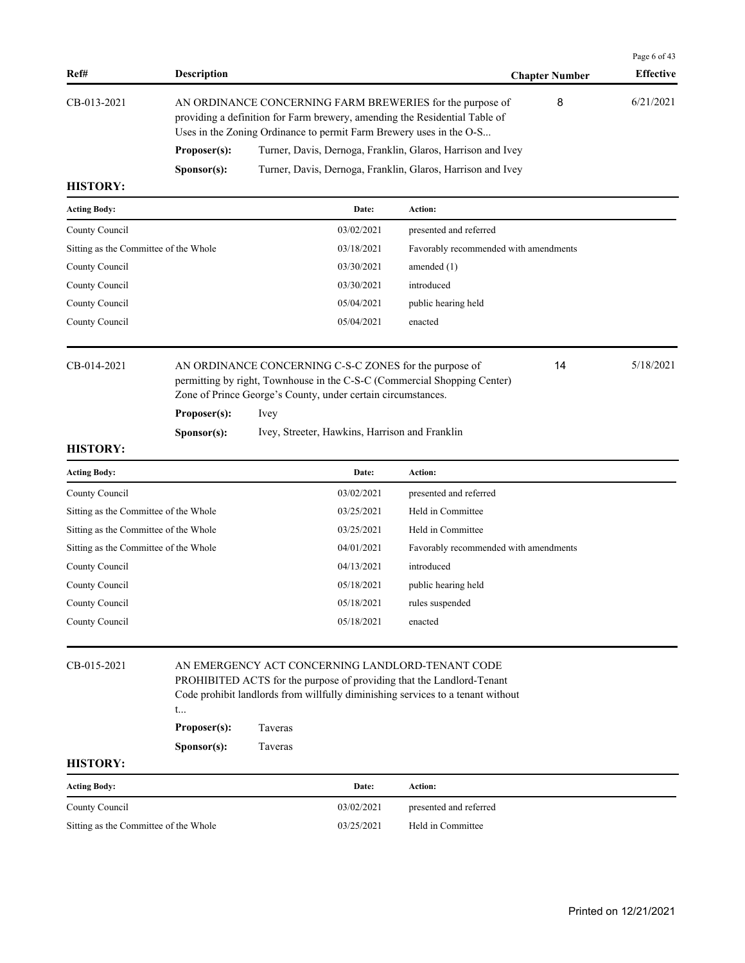|                 |                                                                                                                                                                                                                |                                                             |                       | Page 6 of 43     |
|-----------------|----------------------------------------------------------------------------------------------------------------------------------------------------------------------------------------------------------------|-------------------------------------------------------------|-----------------------|------------------|
| Ref#            | <b>Description</b>                                                                                                                                                                                             |                                                             | <b>Chapter Number</b> | <b>Effective</b> |
| CB-013-2021     | AN ORDINANCE CONCERNING FARM BREWERIES for the purpose of<br>providing a definition for Farm brewery, amending the Residential Table of<br>Uses in the Zoning Ordinance to permit Farm Brewery uses in the O-S |                                                             | 8                     | 6/21/2021        |
|                 | Proposer(s):                                                                                                                                                                                                   | Turner, Davis, Dernoga, Franklin, Glaros, Harrison and Ivey |                       |                  |
|                 | S <b>p</b> onsor(s):                                                                                                                                                                                           | Turner, Davis, Dernoga, Franklin, Glaros, Harrison and Ivey |                       |                  |
| <b>TILODODI</b> |                                                                                                                                                                                                                |                                                             |                       |                  |

| <b>Acting Body:</b>                   | Date:      | <b>Action:</b>                        |
|---------------------------------------|------------|---------------------------------------|
| County Council                        | 03/02/2021 | presented and referred                |
| Sitting as the Committee of the Whole | 03/18/2021 | Favorably recommended with amendments |
| County Council                        | 03/30/2021 | amended $(1)$                         |
| County Council                        | 03/30/2021 | introduced                            |
| County Council                        | 05/04/2021 | public hearing held                   |
| County Council                        | 05/04/2021 | enacted                               |
|                                       |            |                                       |

CB-014-2021 AN ORDINANCE CONCERNING C-S-C ZONES for the purpose of 5/18/2021 permitting by right, Townhouse in the C-S-C (Commercial Shopping Center) Zone of Prince George's County, under certain circumstances.

# **Proposer(s):** Ivey

Sponsor(s): Ivey, Streeter, Hawkins, Harrison and Franklin

# **HISTORY:**

| <b>Acting Body:</b>                   | Date:      | Action:                               |
|---------------------------------------|------------|---------------------------------------|
| County Council                        | 03/02/2021 | presented and referred                |
| Sitting as the Committee of the Whole | 03/25/2021 | Held in Committee                     |
| Sitting as the Committee of the Whole | 03/25/2021 | Held in Committee                     |
| Sitting as the Committee of the Whole | 04/01/2021 | Favorably recommended with amendments |
| County Council                        | 04/13/2021 | introduced                            |
| County Council                        | 05/18/2021 | public hearing held                   |
| County Council                        | 05/18/2021 | rules suspended                       |
| County Council                        | 05/18/2021 | enacted                               |

| CB-015-2021         | AN EMERGENCY ACT CONCERNING LANDLORD-TENANT CODE<br>PROHIBITED ACTS for the purpose of providing that the Landlord-Tenant<br>Code prohibit landlords from willfully diminishing services to a tenant without<br>t |         |            |                        |  |
|---------------------|-------------------------------------------------------------------------------------------------------------------------------------------------------------------------------------------------------------------|---------|------------|------------------------|--|
|                     | Proposer(s):                                                                                                                                                                                                      | Taveras |            |                        |  |
|                     | <b>Taveras</b><br>S <b>p</b> onsor(s):                                                                                                                                                                            |         |            |                        |  |
| <b>HISTORY:</b>     |                                                                                                                                                                                                                   |         |            |                        |  |
| <b>Acting Body:</b> |                                                                                                                                                                                                                   |         | Date:      | <b>Action:</b>         |  |
| County Council      |                                                                                                                                                                                                                   |         | 03/02/2021 | presented and referred |  |

Sitting as the Committee of the Whole 03/25/2021 Held in Committee

14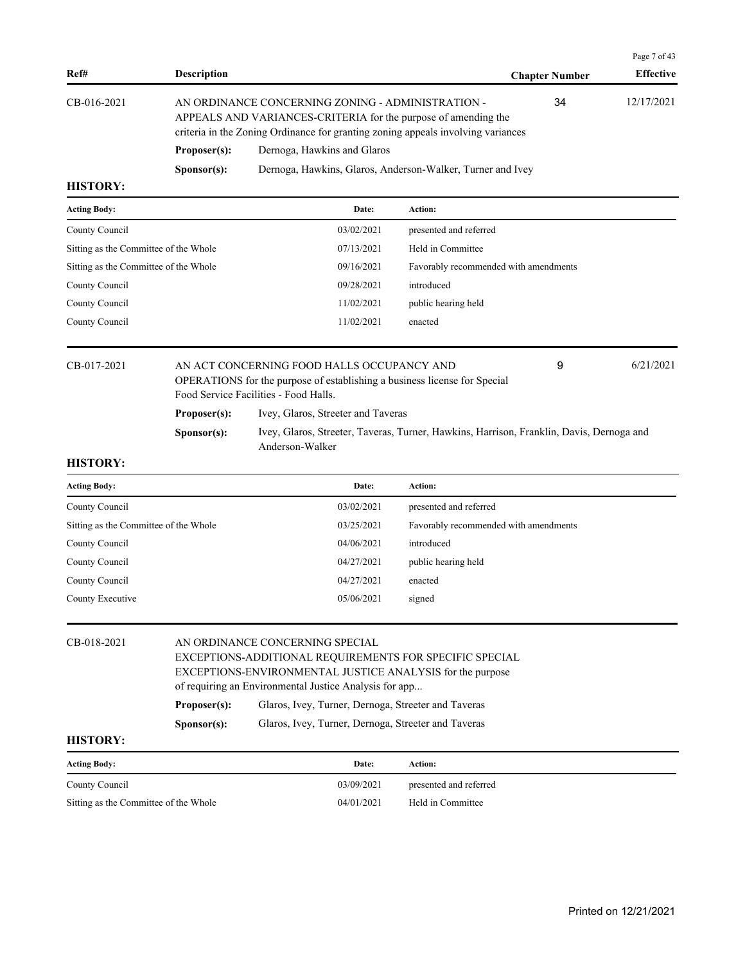|                 |                      |                                                                                                                                                                                                         |                       | Page 7 of 43     |
|-----------------|----------------------|---------------------------------------------------------------------------------------------------------------------------------------------------------------------------------------------------------|-----------------------|------------------|
| Ref#            | <b>Description</b>   |                                                                                                                                                                                                         | <b>Chapter Number</b> | <b>Effective</b> |
| CB-016-2021     |                      | AN ORDINANCE CONCERNING ZONING - ADMINISTRATION -<br>APPEALS AND VARIANCES-CRITERIA for the purpose of amending the<br>criteria in the Zoning Ordinance for granting zoning appeals involving variances | 34                    | 12/17/2021       |
|                 | Proposer(s):         | Dernoga, Hawkins and Glaros                                                                                                                                                                             |                       |                  |
|                 | S <b>p</b> onsor(s): | Dernoga, Hawkins, Glaros, Anderson-Walker, Turner and Ivey                                                                                                                                              |                       |                  |
| <b>HISTORY:</b> |                      |                                                                                                                                                                                                         |                       |                  |

| <b>Acting Body:</b>                   |                                                                                                                                                                         | Date:      | Action:                               |           |
|---------------------------------------|-------------------------------------------------------------------------------------------------------------------------------------------------------------------------|------------|---------------------------------------|-----------|
| County Council                        |                                                                                                                                                                         | 03/02/2021 | presented and referred                |           |
| Sitting as the Committee of the Whole |                                                                                                                                                                         | 07/13/2021 | Held in Committee                     |           |
| Sitting as the Committee of the Whole |                                                                                                                                                                         | 09/16/2021 | Favorably recommended with amendments |           |
| County Council                        |                                                                                                                                                                         | 09/28/2021 | introduced                            |           |
| County Council                        |                                                                                                                                                                         | 11/02/2021 | public hearing held                   |           |
| County Council                        |                                                                                                                                                                         | 11/02/2021 | enacted                               |           |
| CB-017-2021                           | AN ACT CONCERNING FOOD HALLS OCCUPANCY AND<br><b>OPERATIONS</b> for the purpose of establishing a business license for Special<br>Food Service Facilities - Food Halls. |            | 9                                     | 6/21/2021 |

**Proposer(s):** Ivey, Glaros, Streeter and Taveras

| Sponsor(s): | Ivey, Glaros, Streeter, Taveras, Turner, Hawkins, Harrison, Franklin, Davis, Dernoga and |
|-------------|------------------------------------------------------------------------------------------|
|             | Anderson-Walker                                                                          |

| <b>Acting Body:</b>                   | Date:      | Action:                               |
|---------------------------------------|------------|---------------------------------------|
| County Council                        | 03/02/2021 | presented and referred                |
| Sitting as the Committee of the Whole | 03/25/2021 | Favorably recommended with amendments |
| County Council                        | 04/06/2021 | introduced                            |
| County Council                        | 04/27/2021 | public hearing held                   |
| County Council                        | 04/27/2021 | enacted                               |
| County Executive                      | 05/06/2021 | signed                                |
|                                       |            |                                       |

| <b>HISTORY:</b> | S <b>p</b> onsor(s):            | Glaros, Ivey, Turner, Dernoga, Streeter and Taveras                                                                                                                            |  |  |
|-----------------|---------------------------------|--------------------------------------------------------------------------------------------------------------------------------------------------------------------------------|--|--|
|                 | Proposer(s):                    | Glaros, Ivey, Turner, Dernoga, Streeter and Taveras                                                                                                                            |  |  |
|                 |                                 | EXCEPTIONS-ADDITIONAL REQUIREMENTS FOR SPECIFIC SPECIAL<br>EXCEPTIONS-ENVIRONMENTAL JUSTICE ANALYSIS for the purpose<br>of requiring an Environmental Justice Analysis for app |  |  |
| CB-018-2021     | AN ORDINANCE CONCERNING SPECIAL |                                                                                                                                                                                |  |  |

| Acting Body:                          | Date:      | Action:                |
|---------------------------------------|------------|------------------------|
| County Council                        | 03/09/2021 | presented and referred |
| Sitting as the Committee of the Whole | 04/01/2021 | Held in Committee      |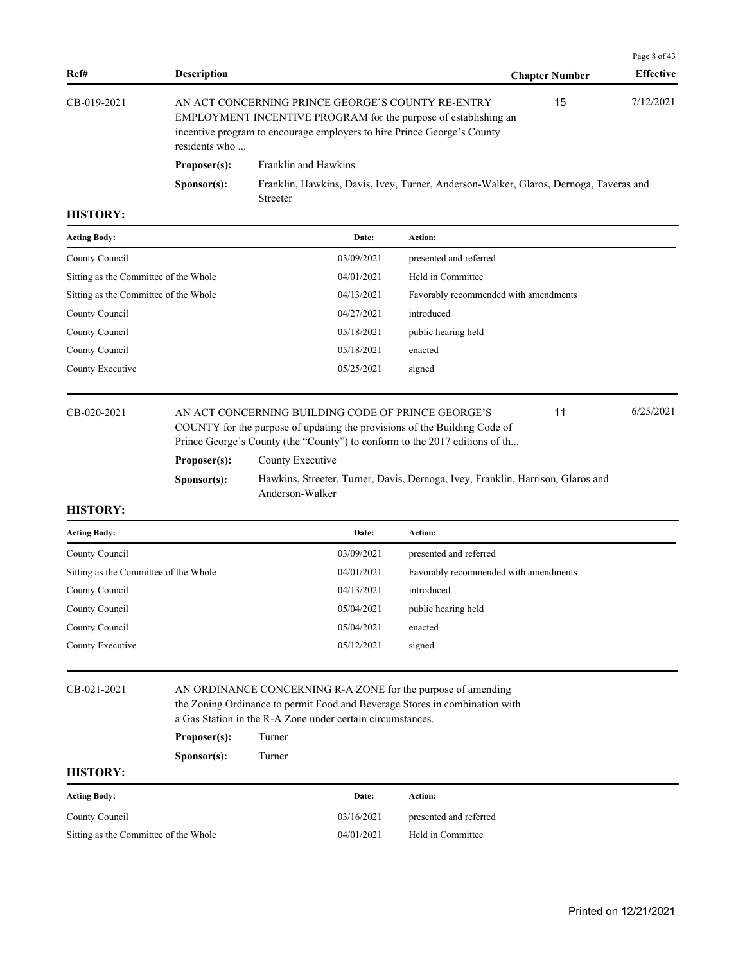|             |                      |                                                                                                                                                                                                 |                       | Page 8 of 43     |
|-------------|----------------------|-------------------------------------------------------------------------------------------------------------------------------------------------------------------------------------------------|-----------------------|------------------|
| Ref#        | <b>Description</b>   |                                                                                                                                                                                                 | <b>Chapter Number</b> | <b>Effective</b> |
| CB-019-2021 | residents who        | AN ACT CONCERNING PRINCE GEORGE'S COUNTY RE-ENTRY<br>EMPLOYMENT INCENTIVE PROGRAM for the purpose of establishing an<br>incentive program to encourage employers to hire Prince George's County | 15                    | 7/12/2021        |
|             | Proposer(s):         | Franklin and Hawkins                                                                                                                                                                            |                       |                  |
|             | S <b>p</b> onsor(s): | Franklin, Hawkins, Davis, Ivey, Turner, Anderson-Walker, Glaros, Dernoga, Taveras and<br><b>Streeter</b>                                                                                        |                       |                  |

| <b>Acting Body:</b>                   | Date:      | Action:                               |
|---------------------------------------|------------|---------------------------------------|
| County Council                        | 03/09/2021 | presented and referred                |
| Sitting as the Committee of the Whole | 04/01/2021 | Held in Committee                     |
| Sitting as the Committee of the Whole | 04/13/2021 | Favorably recommended with amendments |
| County Council                        | 04/27/2021 | introduced                            |
| County Council                        | 05/18/2021 | public hearing held                   |
| County Council                        | 05/18/2021 | enacted                               |
| County Executive                      | 05/25/2021 | signed                                |
|                                       |            |                                       |

### CB-020-2021 AN ACT CONCERNING BUILDING CODE OF PRINCE GEORGE'S 6/25/2021 COUNTY for the purpose of updating the provisions of the Building Code of Prince George's County (the "County") to conform to the 2017 editions of th... 11 **Proposer(s):** County Executive

**Sponsor(s):** Hawkins, Streeter, Turner, Davis, Dernoga, Ivey, Franklin, Harrison, Glaros and Anderson-Walker

# **HISTORY:**

| <b>Acting Body:</b>                   | Date:      | <b>Action:</b>                        |
|---------------------------------------|------------|---------------------------------------|
| County Council                        | 03/09/2021 | presented and referred                |
| Sitting as the Committee of the Whole | 04/01/2021 | Favorably recommended with amendments |
| County Council                        | 04/13/2021 | introduced                            |
| County Council                        | 05/04/2021 | public hearing held                   |
| County Council                        | 05/04/2021 | enacted                               |
| County Executive                      | 05/12/2021 | signed                                |
|                                       |            |                                       |

### CB-021-2021 AN ORDINANCE CONCERNING R-A ZONE for the purpose of amending the Zoning Ordinance to permit Food and Beverage Stores in combination with a Gas Station in the R-A Zone under certain circumstances.

**Proposer(s):** Turner

**Sponsor(s):** Turner

| <b>Acting Body:</b>                   | Date:      | Action:                |
|---------------------------------------|------------|------------------------|
| County Council                        | 03/16/2021 | presented and referred |
| Sitting as the Committee of the Whole | 04/01/2021 | Held in Committee      |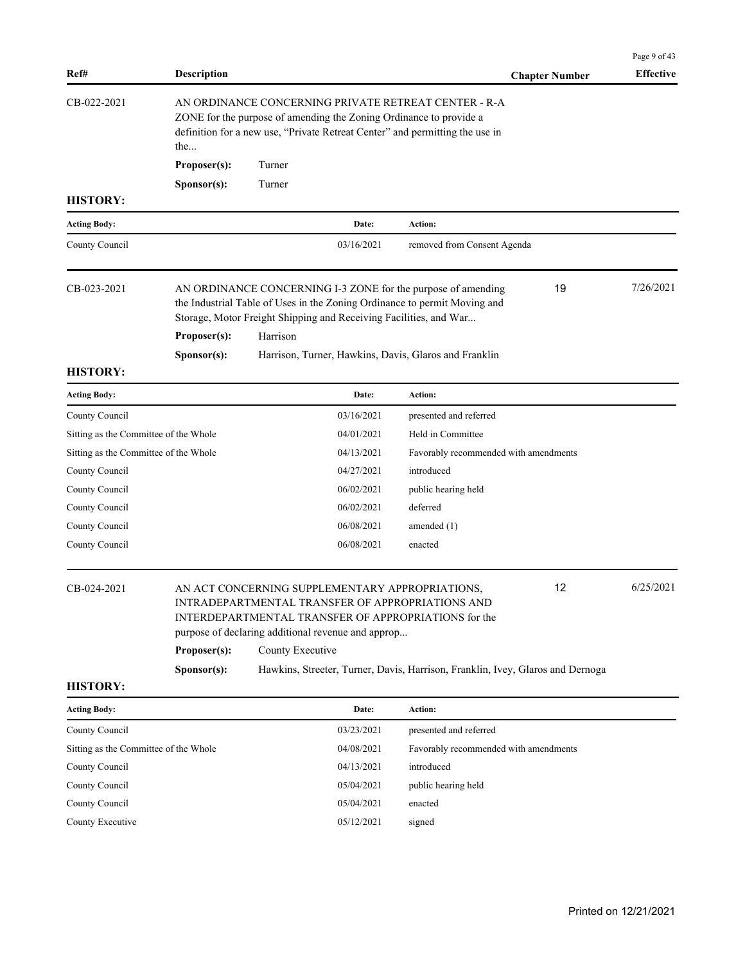| Ref#                                  | <b>Description</b>                                                                                                                                                                                                |                  |                                                    |                                                                                                                                                                                                                                               | <b>Chapter Number</b> | Page 9 of 43<br><b>Effective</b> |
|---------------------------------------|-------------------------------------------------------------------------------------------------------------------------------------------------------------------------------------------------------------------|------------------|----------------------------------------------------|-----------------------------------------------------------------------------------------------------------------------------------------------------------------------------------------------------------------------------------------------|-----------------------|----------------------------------|
| CB-022-2021                           | AN ORDINANCE CONCERNING PRIVATE RETREAT CENTER - R-A<br>ZONE for the purpose of amending the Zoning Ordinance to provide a<br>definition for a new use, "Private Retreat Center" and permitting the use in<br>the |                  |                                                    |                                                                                                                                                                                                                                               |                       |                                  |
|                                       | Proposer(s):                                                                                                                                                                                                      | Turner           |                                                    |                                                                                                                                                                                                                                               |                       |                                  |
|                                       | Sponsor(s):                                                                                                                                                                                                       | Turner           |                                                    |                                                                                                                                                                                                                                               |                       |                                  |
| <b>HISTORY:</b>                       |                                                                                                                                                                                                                   |                  |                                                    |                                                                                                                                                                                                                                               |                       |                                  |
| <b>Acting Body:</b>                   |                                                                                                                                                                                                                   |                  | Date:                                              | <b>Action:</b>                                                                                                                                                                                                                                |                       |                                  |
| County Council                        |                                                                                                                                                                                                                   |                  | 03/16/2021                                         | removed from Consent Agenda                                                                                                                                                                                                                   |                       |                                  |
| CB-023-2021                           |                                                                                                                                                                                                                   |                  |                                                    | AN ORDINANCE CONCERNING I-3 ZONE for the purpose of amending<br>the Industrial Table of Uses in the Zoning Ordinance to permit Moving and<br>Storage, Motor Freight Shipping and Receiving Facilities, and War                                | 19                    | 7/26/2021                        |
|                                       | Proposer(s):                                                                                                                                                                                                      | Harrison         |                                                    |                                                                                                                                                                                                                                               |                       |                                  |
| <b>HISTORY:</b>                       | Sponsor(s):                                                                                                                                                                                                       |                  |                                                    | Harrison, Turner, Hawkins, Davis, Glaros and Franklin                                                                                                                                                                                         |                       |                                  |
| <b>Acting Body:</b>                   |                                                                                                                                                                                                                   |                  | Date:                                              | Action:                                                                                                                                                                                                                                       |                       |                                  |
| County Council                        |                                                                                                                                                                                                                   |                  | 03/16/2021                                         | presented and referred                                                                                                                                                                                                                        |                       |                                  |
| Sitting as the Committee of the Whole |                                                                                                                                                                                                                   |                  | 04/01/2021                                         | Held in Committee                                                                                                                                                                                                                             |                       |                                  |
| Sitting as the Committee of the Whole |                                                                                                                                                                                                                   |                  | 04/13/2021                                         | Favorably recommended with amendments                                                                                                                                                                                                         |                       |                                  |
| County Council                        |                                                                                                                                                                                                                   |                  | 04/27/2021                                         | introduced                                                                                                                                                                                                                                    |                       |                                  |
| County Council                        |                                                                                                                                                                                                                   |                  | 06/02/2021                                         | public hearing held                                                                                                                                                                                                                           |                       |                                  |
| County Council                        |                                                                                                                                                                                                                   |                  | 06/02/2021                                         | deferred                                                                                                                                                                                                                                      |                       |                                  |
| County Council                        |                                                                                                                                                                                                                   |                  | 06/08/2021                                         | amended $(1)$                                                                                                                                                                                                                                 |                       |                                  |
| County Council                        |                                                                                                                                                                                                                   |                  | 06/08/2021                                         | enacted                                                                                                                                                                                                                                       |                       |                                  |
| CB-024-2021                           | Proposer(s):<br>S <b>p</b> onsor(s):                                                                                                                                                                              | County Executive | purpose of declaring additional revenue and approp | AN ACT CONCERNING SUPPLEMENTARY APPROPRIATIONS,<br>INTRADEPARTMENTAL TRANSFER OF APPROPRIATIONS AND<br>INTERDEPARTMENTAL TRANSFER OF APPROPRIATIONS for the<br>Hawkins, Streeter, Turner, Davis, Harrison, Franklin, Ivey, Glaros and Dernoga | 12                    | 6/25/2021                        |
| <b>HISTORY:</b>                       |                                                                                                                                                                                                                   |                  |                                                    |                                                                                                                                                                                                                                               |                       |                                  |
| <b>Acting Body:</b>                   |                                                                                                                                                                                                                   |                  | Date:                                              | Action:                                                                                                                                                                                                                                       |                       |                                  |
| County Council                        |                                                                                                                                                                                                                   |                  | 03/23/2021                                         | presented and referred                                                                                                                                                                                                                        |                       |                                  |
| Sitting as the Committee of the Whole |                                                                                                                                                                                                                   |                  | 04/08/2021                                         | Favorably recommended with amendments                                                                                                                                                                                                         |                       |                                  |
| County Council                        |                                                                                                                                                                                                                   |                  | 04/13/2021                                         | introduced                                                                                                                                                                                                                                    |                       |                                  |
| County Council                        |                                                                                                                                                                                                                   |                  | 05/04/2021                                         | public hearing held                                                                                                                                                                                                                           |                       |                                  |
| County Council                        |                                                                                                                                                                                                                   |                  | 05/04/2021                                         | enacted                                                                                                                                                                                                                                       |                       |                                  |
| County Executive                      |                                                                                                                                                                                                                   |                  | 05/12/2021                                         | signed                                                                                                                                                                                                                                        |                       |                                  |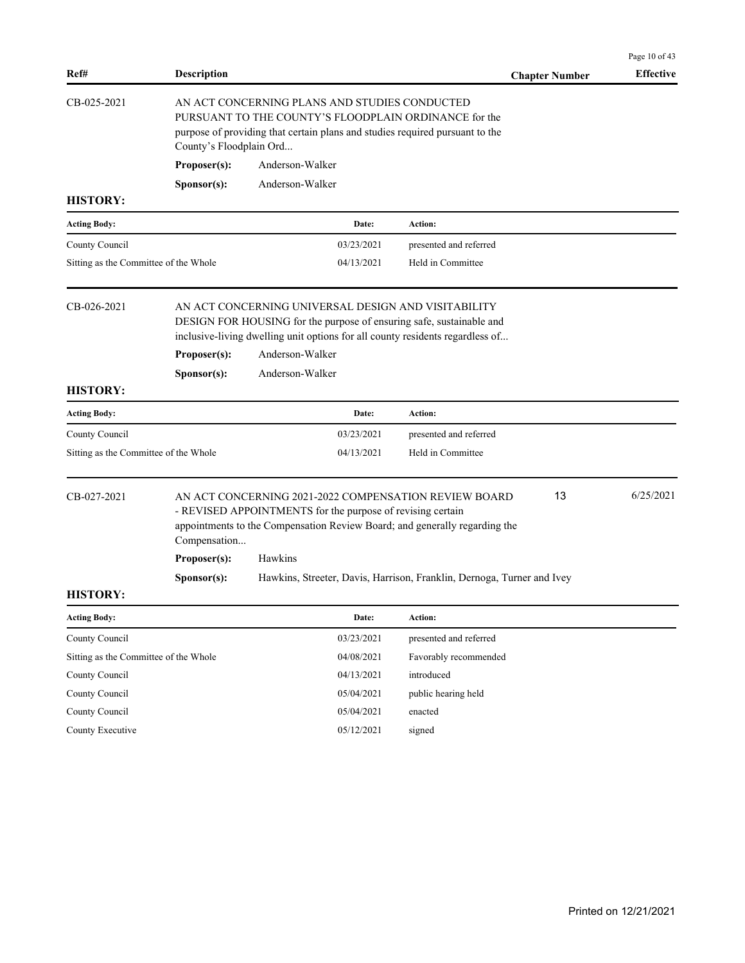| Ref#                                                                                                                                                                                                                             | <b>Description</b>                                                                                                                                                                                                |                                                                                                                                                                                                                                 |    |                                             | <b>Chapter Number</b> | Page 10 of 43<br><b>Effective</b> |
|----------------------------------------------------------------------------------------------------------------------------------------------------------------------------------------------------------------------------------|-------------------------------------------------------------------------------------------------------------------------------------------------------------------------------------------------------------------|---------------------------------------------------------------------------------------------------------------------------------------------------------------------------------------------------------------------------------|----|---------------------------------------------|-----------------------|-----------------------------------|
| CB-025-2021                                                                                                                                                                                                                      | AN ACT CONCERNING PLANS AND STUDIES CONDUCTED<br>PURSUANT TO THE COUNTY'S FLOODPLAIN ORDINANCE for the<br>purpose of providing that certain plans and studies required pursuant to the<br>County's Floodplain Ord |                                                                                                                                                                                                                                 |    |                                             |                       |                                   |
|                                                                                                                                                                                                                                  | Proposer(s):                                                                                                                                                                                                      | Anderson-Walker                                                                                                                                                                                                                 |    |                                             |                       |                                   |
|                                                                                                                                                                                                                                  | Sponsor(s):                                                                                                                                                                                                       | Anderson-Walker                                                                                                                                                                                                                 |    |                                             |                       |                                   |
| <b>HISTORY:</b>                                                                                                                                                                                                                  |                                                                                                                                                                                                                   |                                                                                                                                                                                                                                 |    |                                             |                       |                                   |
| <b>Acting Body:</b>                                                                                                                                                                                                              |                                                                                                                                                                                                                   | Date:                                                                                                                                                                                                                           |    | Action:                                     |                       |                                   |
| County Council                                                                                                                                                                                                                   |                                                                                                                                                                                                                   | 03/23/2021                                                                                                                                                                                                                      |    | presented and referred                      |                       |                                   |
| Sitting as the Committee of the Whole                                                                                                                                                                                            |                                                                                                                                                                                                                   | 04/13/2021                                                                                                                                                                                                                      |    | Held in Committee                           |                       |                                   |
| CB-026-2021                                                                                                                                                                                                                      | Proposer(s):                                                                                                                                                                                                      | AN ACT CONCERNING UNIVERSAL DESIGN AND VISITABILITY<br>DESIGN FOR HOUSING for the purpose of ensuring safe, sustainable and<br>inclusive-living dwelling unit options for all county residents regardless of<br>Anderson-Walker |    |                                             |                       |                                   |
|                                                                                                                                                                                                                                  |                                                                                                                                                                                                                   | Anderson-Walker                                                                                                                                                                                                                 |    |                                             |                       |                                   |
| <b>HISTORY:</b>                                                                                                                                                                                                                  | Sponsor(s):                                                                                                                                                                                                       |                                                                                                                                                                                                                                 |    |                                             |                       |                                   |
| <b>Acting Body:</b>                                                                                                                                                                                                              |                                                                                                                                                                                                                   | Date:                                                                                                                                                                                                                           |    | Action:                                     |                       |                                   |
|                                                                                                                                                                                                                                  |                                                                                                                                                                                                                   |                                                                                                                                                                                                                                 |    |                                             |                       |                                   |
| County Council                                                                                                                                                                                                                   |                                                                                                                                                                                                                   | 03/23/2021<br>04/13/2021                                                                                                                                                                                                        |    | presented and referred<br>Held in Committee |                       |                                   |
| Sitting as the Committee of the Whole                                                                                                                                                                                            |                                                                                                                                                                                                                   |                                                                                                                                                                                                                                 |    |                                             |                       |                                   |
| CB-027-2021<br>AN ACT CONCERNING 2021-2022 COMPENSATION REVIEW BOARD<br>- REVISED APPOINTMENTS for the purpose of revising certain<br>appointments to the Compensation Review Board; and generally regarding the<br>Compensation |                                                                                                                                                                                                                   |                                                                                                                                                                                                                                 | 13 | 6/25/2021                                   |                       |                                   |
|                                                                                                                                                                                                                                  | Proposer(s):                                                                                                                                                                                                      | Hawkins                                                                                                                                                                                                                         |    |                                             |                       |                                   |
|                                                                                                                                                                                                                                  | Sponsor(s):                                                                                                                                                                                                       | Hawkins, Streeter, Davis, Harrison, Franklin, Dernoga, Turner and Ivey                                                                                                                                                          |    |                                             |                       |                                   |
| <b>HISTORY:</b>                                                                                                                                                                                                                  |                                                                                                                                                                                                                   |                                                                                                                                                                                                                                 |    |                                             |                       |                                   |
| <b>Acting Body:</b>                                                                                                                                                                                                              |                                                                                                                                                                                                                   | Date:                                                                                                                                                                                                                           |    | Action:                                     |                       |                                   |
| County Council                                                                                                                                                                                                                   |                                                                                                                                                                                                                   | 03/23/2021                                                                                                                                                                                                                      |    | presented and referred                      |                       |                                   |
| Sitting as the Committee of the Whole                                                                                                                                                                                            |                                                                                                                                                                                                                   | 04/08/2021                                                                                                                                                                                                                      |    | Favorably recommended                       |                       |                                   |
| County Council                                                                                                                                                                                                                   |                                                                                                                                                                                                                   | 04/13/2021                                                                                                                                                                                                                      |    | introduced                                  |                       |                                   |
| County Council                                                                                                                                                                                                                   |                                                                                                                                                                                                                   | 05/04/2021                                                                                                                                                                                                                      |    | public hearing held                         |                       |                                   |
| County Council                                                                                                                                                                                                                   |                                                                                                                                                                                                                   | 05/04/2021                                                                                                                                                                                                                      |    | enacted                                     |                       |                                   |
| County Executive                                                                                                                                                                                                                 |                                                                                                                                                                                                                   | 05/12/2021                                                                                                                                                                                                                      |    | signed                                      |                       |                                   |
|                                                                                                                                                                                                                                  |                                                                                                                                                                                                                   |                                                                                                                                                                                                                                 |    |                                             |                       |                                   |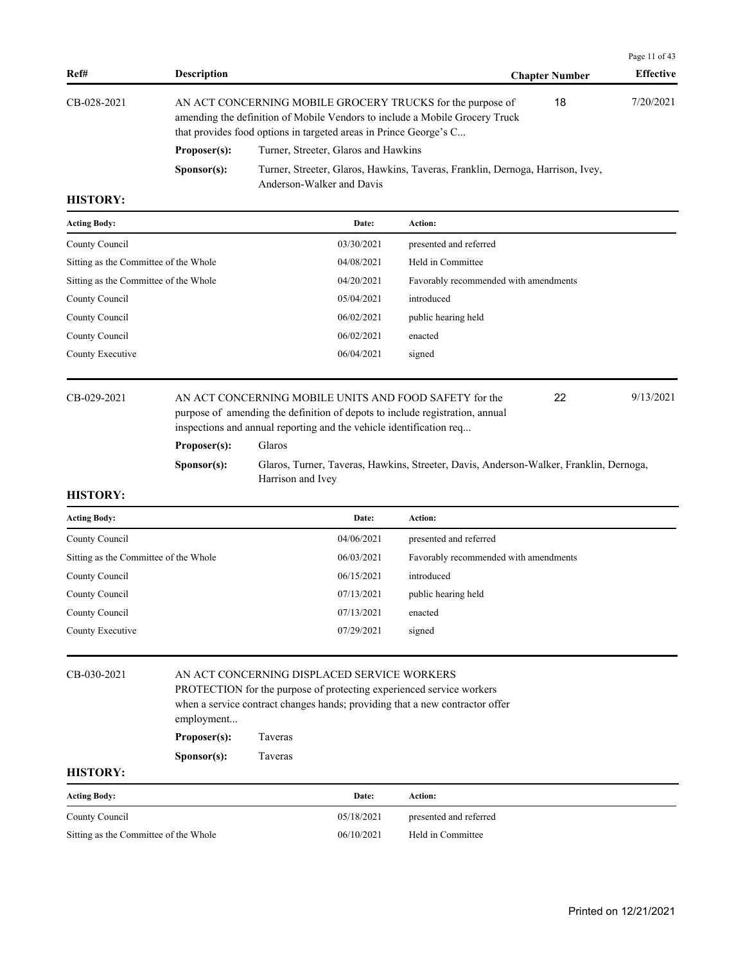| CB-028-2021<br>that provides food options in targeted areas in Prince George's C |                                      | 18 | 7/20/2021                                                                                                                                                                                                                   |
|----------------------------------------------------------------------------------|--------------------------------------|----|-----------------------------------------------------------------------------------------------------------------------------------------------------------------------------------------------------------------------------|
| Proposer(s):                                                                     | Turner, Streeter, Glaros and Hawkins |    |                                                                                                                                                                                                                             |
| S <b>p</b> onsor(s):<br>Anderson-Walker and Davis                                |                                      |    |                                                                                                                                                                                                                             |
|                                                                                  |                                      |    | AN ACT CONCERNING MOBILE GROCERY TRUCKS for the purpose of<br>amending the definition of Mobile Vendors to include a Mobile Grocery Truck<br>Turner, Streeter, Glaros, Hawkins, Taveras, Franklin, Dernoga, Harrison, Ivey, |

| <b>Acting Body:</b>                   | Date:      | <b>Action:</b>                        |
|---------------------------------------|------------|---------------------------------------|
| County Council                        | 03/30/2021 | presented and referred                |
| Sitting as the Committee of the Whole | 04/08/2021 | Held in Committee                     |
| Sitting as the Committee of the Whole | 04/20/2021 | Favorably recommended with amendments |
| County Council                        | 05/04/2021 | introduced                            |
| County Council                        | 06/02/2021 | public hearing held                   |
| County Council                        | 06/02/2021 | enacted                               |
| County Executive                      | 06/04/2021 | signed                                |
|                                       |            |                                       |

CB-029-2021 AN ACT CONCERNING MOBILE UNITS AND FOOD SAFETY for the 22 9/13/2021 purpose of amending the definition of depots to include registration, annual inspections and annual reporting and the vehicle identification req... 22

Page 11 of 43

# **Proposer(s):** Glaros **Sponsor(s):** Glaros, Turner, Taveras, Hawkins, Streeter, Davis, Anderson-Walker, Franklin, Dernoga, Harrison and Ivey

### **HISTORY:**

| <b>Acting Body:</b>                   | Date:      | Action:                               |
|---------------------------------------|------------|---------------------------------------|
| County Council                        | 04/06/2021 | presented and referred                |
| Sitting as the Committee of the Whole | 06/03/2021 | Favorably recommended with amendments |
| County Council                        | 06/15/2021 | introduced                            |
| County Council                        | 07/13/2021 | public hearing held                   |
| County Council                        | 07/13/2021 | enacted                               |
| County Executive                      | 07/29/2021 | signed                                |
|                                       |            |                                       |

| CB-030-2021 |                                                                      | AN ACT CONCERNING DISPLACED SERVICE WORKERS                                  |  |  |  |  |
|-------------|----------------------------------------------------------------------|------------------------------------------------------------------------------|--|--|--|--|
|             | PROTECTION for the purpose of protecting experienced service workers |                                                                              |  |  |  |  |
|             | employment                                                           | when a service contract changes hands; providing that a new contractor offer |  |  |  |  |
|             | Proposer(s):                                                         | Taveras                                                                      |  |  |  |  |
|             | S <b>p</b> onsor(s):                                                 | Taveras                                                                      |  |  |  |  |
| IIIATADV.   |                                                                      |                                                                              |  |  |  |  |

| <b>Acting Body:</b>                   | Date:      | Action:                |
|---------------------------------------|------------|------------------------|
| County Council                        | 05/18/2021 | presented and referred |
| Sitting as the Committee of the Whole | 06/10/2021 | Held in Committee      |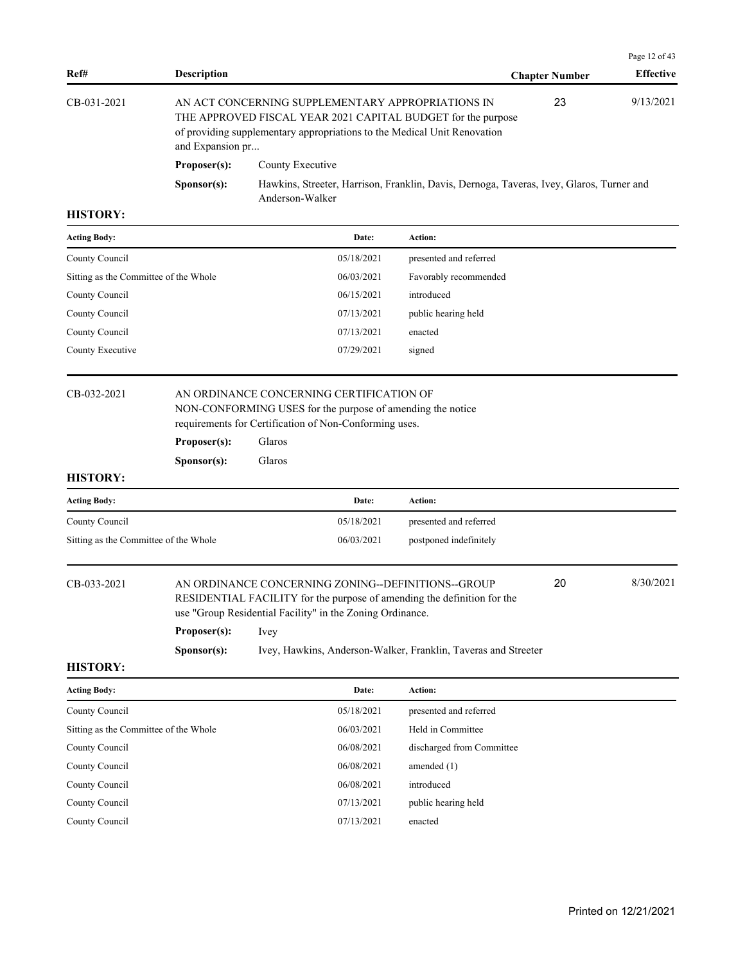|             |                      |                                                                                                                                                                                               |                       | Page 12 of 43    |  |
|-------------|----------------------|-----------------------------------------------------------------------------------------------------------------------------------------------------------------------------------------------|-----------------------|------------------|--|
| Ref#        | <b>Description</b>   |                                                                                                                                                                                               | <b>Chapter Number</b> | <b>Effective</b> |  |
| CB-031-2021 | and Expansion pr     | AN ACT CONCERNING SUPPLEMENTARY APPROPRIATIONS IN<br>THE APPROVED FISCAL YEAR 2021 CAPITAL BUDGET for the purpose<br>of providing supplementary appropriations to the Medical Unit Renovation | 23                    | 9/13/2021        |  |
|             | Proposer(s):         | County Executive                                                                                                                                                                              |                       |                  |  |
|             | S <b>p</b> onsor(s): | Hawkins, Streeter, Harrison, Franklin, Davis, Dernoga, Taveras, Ivey, Glaros, Turner and<br>Anderson-Walker                                                                                   |                       |                  |  |

| <b>Acting Body:</b>                   | Date:      | <b>Action:</b>         |
|---------------------------------------|------------|------------------------|
| County Council                        | 05/18/2021 | presented and referred |
| Sitting as the Committee of the Whole | 06/03/2021 | Favorably recommended  |
| County Council                        | 06/15/2021 | introduced             |
| County Council                        | 07/13/2021 | public hearing held    |
| County Council                        | 07/13/2021 | enacted                |
| County Executive                      | 07/29/2021 | signed                 |
|                                       |            |                        |

# CB-032-2021 AN ORDINANCE CONCERNING CERTIFICATION OF NON-CONFORMING USES for the purpose of amending the notice

requirements for Certification of Non-Conforming uses.

**Proposer(s):** Glaros

**Sponsor(s):** Glaros

### **HISTORY:**

| <b>Acting Body:</b>                   | Date:      | Action:                |
|---------------------------------------|------------|------------------------|
| County Council                        | 05/18/2021 | presented and referred |
| Sitting as the Committee of the Whole | 06/03/2021 | postponed indefinitely |

| CB-033-2021 | AN ORDINANCE CONCERNING ZONING--DEFINITIONS--GROUP                      | 20 | 8/30/2021 |
|-------------|-------------------------------------------------------------------------|----|-----------|
|             | RESIDENTIAL FACILITY for the purpose of amending the definition for the |    |           |
|             | use "Group Residential Facility" in the Zoning Ordinance.               |    |           |
|             | Proposer(s):<br><i>lvey</i>                                             |    |           |

**Sponsor(s):** Ivey, Hawkins, Anderson-Walker, Franklin, Taveras and Streeter

| <b>Acting Body:</b>                   | Date:      | <b>Action:</b>            |
|---------------------------------------|------------|---------------------------|
| County Council                        | 05/18/2021 | presented and referred    |
| Sitting as the Committee of the Whole | 06/03/2021 | Held in Committee         |
| County Council                        | 06/08/2021 | discharged from Committee |
| County Council                        | 06/08/2021 | amended $(1)$             |
| County Council                        | 06/08/2021 | introduced                |
| County Council                        | 07/13/2021 | public hearing held       |
| County Council                        | 07/13/2021 | enacted                   |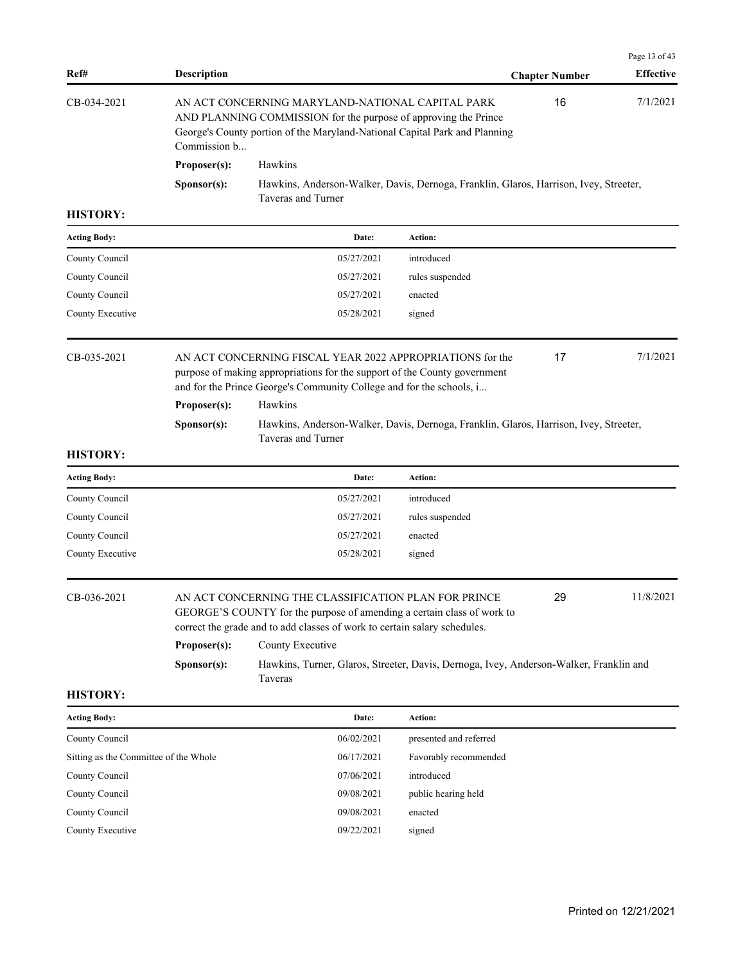|             |                      |                                                                                                                                                                                                                   |                       | Page 13 of 43    |
|-------------|----------------------|-------------------------------------------------------------------------------------------------------------------------------------------------------------------------------------------------------------------|-----------------------|------------------|
| Ref#        | <b>Description</b>   |                                                                                                                                                                                                                   | <b>Chapter Number</b> | <b>Effective</b> |
| CB-034-2021 |                      | AN ACT CONCERNING MARYLAND-NATIONAL CAPITAL PARK<br>AND PLANNING COMMISSION for the purpose of approving the Prince<br>George's County portion of the Maryland-National Capital Park and Planning<br>Commission b |                       | 7/1/2021<br>16   |
|             | Proposer(s):         | <b>Hawkins</b>                                                                                                                                                                                                    |                       |                  |
|             | S <b>p</b> onsor(s): | Hawkins, Anderson-Walker, Davis, Dernoga, Franklin, Glaros, Harrison, Ivey, Streeter,<br>Taveras and Turner                                                                                                       |                       |                  |

| <b>Acting Body:</b> | Date:      | <b>Action:</b>  |
|---------------------|------------|-----------------|
| County Council      | 05/27/2021 | introduced      |
| County Council      | 05/27/2021 | rules suspended |
| County Council      | 05/27/2021 | enacted         |
| County Executive    | 05/28/2021 | signed          |
|                     |            |                 |

| CB-035-2021 |                                | AN ACT CONCERNING FISCAL YEAR 2022 APPROPRIATIONS for the<br>purpose of making appropriations for the support of the County government<br>and for the Prince George's Community College and for the schools, i | 17 | 7/1/2021 |
|-------------|--------------------------------|----------------------------------------------------------------------------------------------------------------------------------------------------------------------------------------------------------------|----|----------|
|             | <b>Hawkins</b><br>Proposer(s): |                                                                                                                                                                                                                |    |          |
|             | S <b>p</b> onsor(s):           | Hawkins, Anderson-Walker, Davis, Dernoga, Franklin, Glaros, Harrison, Ivey, Streeter,<br>Taveras and Turner                                                                                                    |    |          |

# **HISTORY:**

| Date:      | Action:         |
|------------|-----------------|
| 05/27/2021 | introduced      |
| 05/27/2021 | rules suspended |
| 05/27/2021 | enacted         |
| 05/28/2021 | signed          |
|            |                 |

| CB-036-2021 |                      | AN ACT CONCERNING THE CLASSIFICATION PLAN FOR PRINCE<br>GEORGE'S COUNTY for the purpose of amending a certain class of work to<br>correct the grade and to add classes of work to certain salary schedules. | 29 | 11/8/2021 |
|-------------|----------------------|-------------------------------------------------------------------------------------------------------------------------------------------------------------------------------------------------------------|----|-----------|
|             | Proposer(s):         | County Executive                                                                                                                                                                                            |    |           |
|             | S <b>p</b> onsor(s): | Hawkins, Turner, Glaros, Streeter, Davis, Dernoga, Ivey, Anderson-Walker, Franklin and<br><b>Taveras</b>                                                                                                    |    |           |

| <b>Acting Body:</b>                   | Date:      | Action:                |
|---------------------------------------|------------|------------------------|
| County Council                        | 06/02/2021 | presented and referred |
| Sitting as the Committee of the Whole | 06/17/2021 | Favorably recommended  |
| County Council                        | 07/06/2021 | introduced             |
| County Council                        | 09/08/2021 | public hearing held    |
| County Council                        | 09/08/2021 | enacted                |
| County Executive                      | 09/22/2021 | signed                 |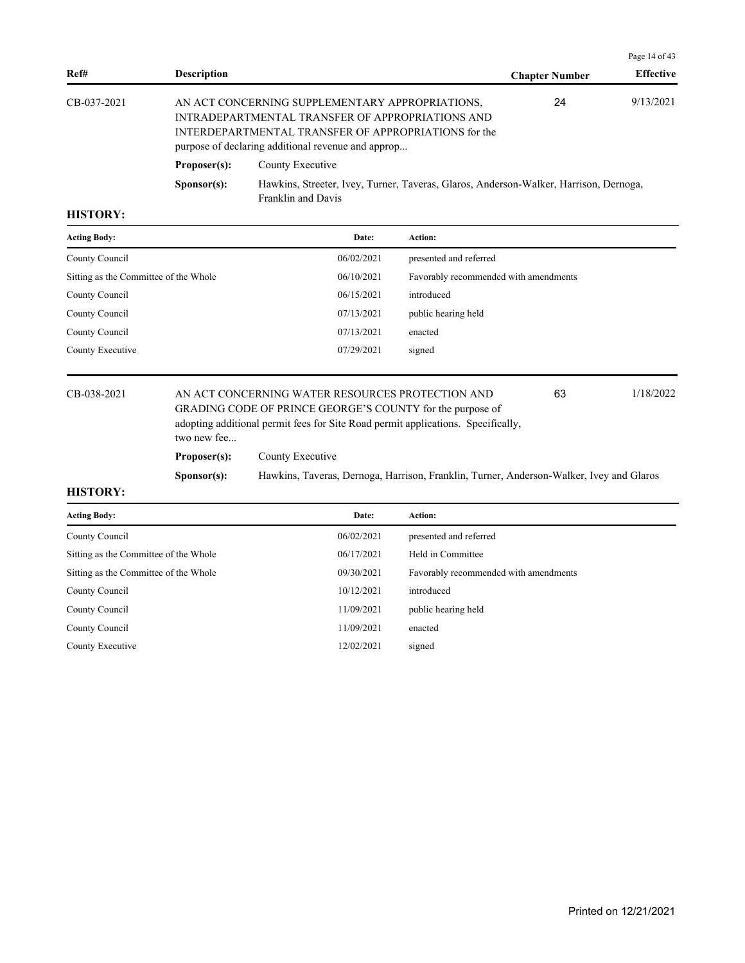|                                                                                                                                                                                                                                  |                      |                                                                                                             |                       | Page 14 of 43    |
|----------------------------------------------------------------------------------------------------------------------------------------------------------------------------------------------------------------------------------|----------------------|-------------------------------------------------------------------------------------------------------------|-----------------------|------------------|
| Ref#                                                                                                                                                                                                                             | <b>Description</b>   |                                                                                                             | <b>Chapter Number</b> | <b>Effective</b> |
| AN ACT CONCERNING SUPPLEMENTARY APPROPRIATIONS,<br>CB-037-2021<br>INTRADEPARTMENTAL TRANSFER OF APPROPRIATIONS AND<br>INTERDEPARTMENTAL TRANSFER OF APPROPRIATIONS for the<br>purpose of declaring additional revenue and approp |                      |                                                                                                             | 24                    | 9/13/2021        |
|                                                                                                                                                                                                                                  | Proposer(s):         | County Executive                                                                                            |                       |                  |
|                                                                                                                                                                                                                                  | S <b>p</b> onsor(s): | Hawkins, Streeter, Ivey, Turner, Taveras, Glaros, Anderson-Walker, Harrison, Dernoga,<br>Franklin and Davis |                       |                  |

| <b>Acting Body:</b>                   | Date:      | Action:                               |
|---------------------------------------|------------|---------------------------------------|
| County Council                        | 06/02/2021 | presented and referred                |
| Sitting as the Committee of the Whole | 06/10/2021 | Favorably recommended with amendments |
| County Council                        | 06/15/2021 | introduced                            |
| County Council                        | 07/13/2021 | public hearing held                   |
| County Council                        | 07/13/2021 | enacted                               |
| County Executive                      | 07/29/2021 | signed                                |
|                                       |            |                                       |

CB-038-2021 AN ACT CONCERNING WATER RESOURCES PROTECTION AND 63 1/18/2022 GRADING CODE OF PRINCE GEORGE'S COUNTY for the purpose of adopting additional permit fees for Site Road permit applications. Specifically, two new fee... 63 Proposer(s): County Executive

**Sponsor(s):** Hawkins, Taveras, Dernoga, Harrison, Franklin, Turner, Anderson-Walker, Ivey and Glaros

| <b>Acting Body:</b>                   | Date:      | Action:                               |
|---------------------------------------|------------|---------------------------------------|
| County Council                        | 06/02/2021 | presented and referred                |
| Sitting as the Committee of the Whole | 06/17/2021 | Held in Committee                     |
| Sitting as the Committee of the Whole | 09/30/2021 | Favorably recommended with amendments |
| County Council                        | 10/12/2021 | introduced                            |
| County Council                        | 11/09/2021 | public hearing held                   |
| County Council                        | 11/09/2021 | enacted                               |
| County Executive                      | 12/02/2021 | signed                                |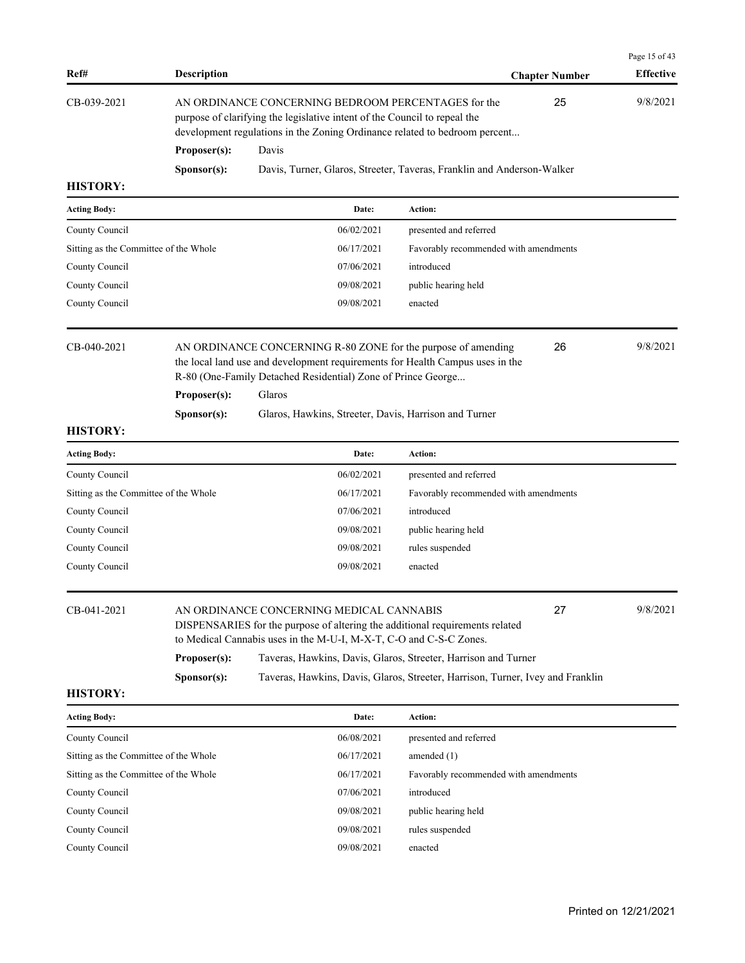| Ref#                                  | <b>Description</b> |                                                                                                                                                                                                                          |                                       | <b>Chapter Number</b> | Page 15 of 43<br><b>Effective</b> |
|---------------------------------------|--------------------|--------------------------------------------------------------------------------------------------------------------------------------------------------------------------------------------------------------------------|---------------------------------------|-----------------------|-----------------------------------|
| CB-039-2021                           |                    | AN ORDINANCE CONCERNING BEDROOM PERCENTAGES for the<br>purpose of clarifying the legislative intent of the Council to repeal the<br>development regulations in the Zoning Ordinance related to bedroom percent           |                                       |                       | 9/8/2021                          |
|                                       | Proposer(s):       | Davis                                                                                                                                                                                                                    |                                       |                       |                                   |
|                                       | Sponsor(s):        | Davis, Turner, Glaros, Streeter, Taveras, Franklin and Anderson-Walker                                                                                                                                                   |                                       |                       |                                   |
| <b>HISTORY:</b>                       |                    |                                                                                                                                                                                                                          |                                       |                       |                                   |
| <b>Acting Body:</b>                   |                    | Date:                                                                                                                                                                                                                    | Action:                               |                       |                                   |
| County Council                        |                    | 06/02/2021                                                                                                                                                                                                               | presented and referred                |                       |                                   |
| Sitting as the Committee of the Whole |                    | 06/17/2021                                                                                                                                                                                                               | Favorably recommended with amendments |                       |                                   |
| County Council                        |                    | 07/06/2021                                                                                                                                                                                                               | introduced                            |                       |                                   |
| County Council                        |                    | 09/08/2021                                                                                                                                                                                                               | public hearing held                   |                       |                                   |
| County Council                        |                    | 09/08/2021                                                                                                                                                                                                               | enacted                               |                       |                                   |
| CB-040-2021                           | Proposer(s):       | AN ORDINANCE CONCERNING R-80 ZONE for the purpose of amending<br>the local land use and development requirements for Health Campus uses in the<br>R-80 (One-Family Detached Residential) Zone of Prince George<br>Glaros |                                       | 26                    | 9/8/2021                          |
|                                       | Sponsor(s):        | Glaros, Hawkins, Streeter, Davis, Harrison and Turner                                                                                                                                                                    |                                       |                       |                                   |
| <b>HISTORY:</b>                       |                    |                                                                                                                                                                                                                          |                                       |                       |                                   |
| <b>Acting Body:</b>                   |                    | Date:                                                                                                                                                                                                                    | Action:                               |                       |                                   |
| County Council                        |                    | 06/02/2021                                                                                                                                                                                                               | presented and referred                |                       |                                   |
| Sitting as the Committee of the Whole |                    | 06/17/2021                                                                                                                                                                                                               | Favorably recommended with amendments |                       |                                   |
| County Council                        |                    | 07/06/2021                                                                                                                                                                                                               | introduced                            |                       |                                   |
| County Council                        |                    | 09/08/2021                                                                                                                                                                                                               | public hearing held                   |                       |                                   |
| County Council                        |                    | 09/08/2021                                                                                                                                                                                                               | rules suspended                       |                       |                                   |
| County Council                        |                    | 09/08/2021                                                                                                                                                                                                               | enacted                               |                       |                                   |
| CB-041-2021                           |                    | AN ORDINANCE CONCERNING MEDICAL CANNABIS<br>27<br>DISPENSARIES for the purpose of altering the additional requirements related<br>to Medical Cannabis uses in the M-U-I, M-X-T, C-O and C-S-C Zones.                     |                                       |                       | 9/8/2021                          |
|                                       | Proposer(s):       | Taveras, Hawkins, Davis, Glaros, Streeter, Harrison and Turner                                                                                                                                                           |                                       |                       |                                   |
|                                       | Sponsor(s):        | Taveras, Hawkins, Davis, Glaros, Streeter, Harrison, Turner, Ivey and Franklin                                                                                                                                           |                                       |                       |                                   |
| <b>HISTORY:</b>                       |                    |                                                                                                                                                                                                                          |                                       |                       |                                   |
| <b>Acting Body:</b>                   |                    | Date:                                                                                                                                                                                                                    | Action:                               |                       |                                   |
| County Council                        |                    | 06/08/2021                                                                                                                                                                                                               | presented and referred                |                       |                                   |
| Sitting as the Committee of the Whole |                    | 06/17/2021                                                                                                                                                                                                               | amended $(1)$                         |                       |                                   |
| Sitting as the Committee of the Whole |                    | 06/17/2021                                                                                                                                                                                                               | Favorably recommended with amendments |                       |                                   |
| County Council                        |                    | 07/06/2021                                                                                                                                                                                                               | introduced                            |                       |                                   |
| County Council                        |                    | 09/08/2021                                                                                                                                                                                                               | public hearing held                   |                       |                                   |
| County Council                        |                    | 09/08/2021                                                                                                                                                                                                               | rules suspended                       |                       |                                   |
| County Council                        |                    | 09/08/2021                                                                                                                                                                                                               | enacted                               |                       |                                   |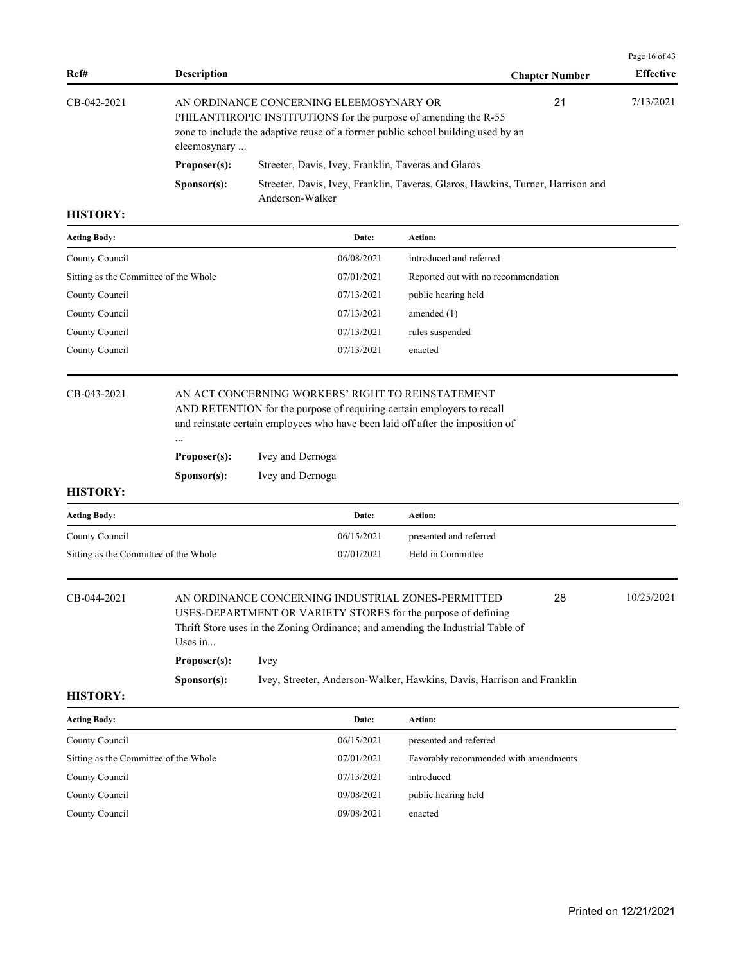|                |                      |                                                                                                                                                                                                |                       | Page 16 of 43    |
|----------------|----------------------|------------------------------------------------------------------------------------------------------------------------------------------------------------------------------------------------|-----------------------|------------------|
| Ref#           | <b>Description</b>   |                                                                                                                                                                                                | <b>Chapter Number</b> | <b>Effective</b> |
| $CB-042-2021$  | eleemosynary         | AN ORDINANCE CONCERNING ELEEMOSYNARY OR<br>PHILANTHROPIC INSTITUTIONS for the purpose of amending the R-55<br>zone to include the adaptive reuse of a former public school building used by an | 21                    | 7/13/2021        |
|                | Proposer(s):         | Streeter, Davis, Ivey, Franklin, Taveras and Glaros                                                                                                                                            |                       |                  |
|                | S <b>p</b> onsor(s): | Streeter, Davis, Ivey, Franklin, Taveras, Glaros, Hawkins, Turner, Harrison and<br>Anderson-Walker                                                                                             |                       |                  |
| <b>HISTORY</b> |                      |                                                                                                                                                                                                |                       |                  |

| <b>Acting Body:</b>                   | Date:      | <b>Action:</b>                      |
|---------------------------------------|------------|-------------------------------------|
| County Council                        | 06/08/2021 | introduced and referred             |
| Sitting as the Committee of the Whole | 07/01/2021 | Reported out with no recommendation |
| County Council                        | 07/13/2021 | public hearing held                 |
| County Council                        | 07/13/2021 | amended $(1)$                       |
| County Council                        | 07/13/2021 | rules suspended                     |
| County Council                        | 07/13/2021 | enacted                             |

# CB-043-2021 AN ACT CONCERNING WORKERS' RIGHT TO REINSTATEMENT

AND RETENTION for the purpose of requiring certain employers to recall and reinstate certain employees who have been laid off after the imposition of

| Proposer(s): | Ivey and Dernoga |
|--------------|------------------|
| Sponsor(s):  | Ivey and Dernoga |

...

#### **HISTORY:**

| <b>Acting Body:</b>                   | Date:      | Action:                |
|---------------------------------------|------------|------------------------|
| County Council                        | 06/15/2021 | presented and referred |
| Sitting as the Committee of the Whole | 07/01/2021 | Held in Committee      |

| CB-044-2021 |                                                                                 | 10/25/2021<br>28<br>AN ORDINANCE CONCERNING INDUSTRIAL ZONES-PERMITTED |  |  |  |  |  |
|-------------|---------------------------------------------------------------------------------|------------------------------------------------------------------------|--|--|--|--|--|
|             |                                                                                 | USES-DEPARTMENT OR VARIETY STORES for the purpose of defining          |  |  |  |  |  |
|             | Thrift Store uses in the Zoning Ordinance; and amending the Industrial Table of |                                                                        |  |  |  |  |  |
|             | Uses in                                                                         |                                                                        |  |  |  |  |  |
|             | Proposer(s):                                                                    | Ivev                                                                   |  |  |  |  |  |
|             | S <b>p</b> onsor(s):                                                            | Ivey, Streeter, Anderson-Walker, Hawkins, Davis, Harrison and Franklin |  |  |  |  |  |

| <b>Acting Body:</b>                   | Date:      | Action:                               |
|---------------------------------------|------------|---------------------------------------|
| County Council                        | 06/15/2021 | presented and referred                |
| Sitting as the Committee of the Whole | 07/01/2021 | Favorably recommended with amendments |
| County Council                        | 07/13/2021 | introduced                            |
| County Council                        | 09/08/2021 | public hearing held                   |
| County Council                        | 09/08/2021 | enacted                               |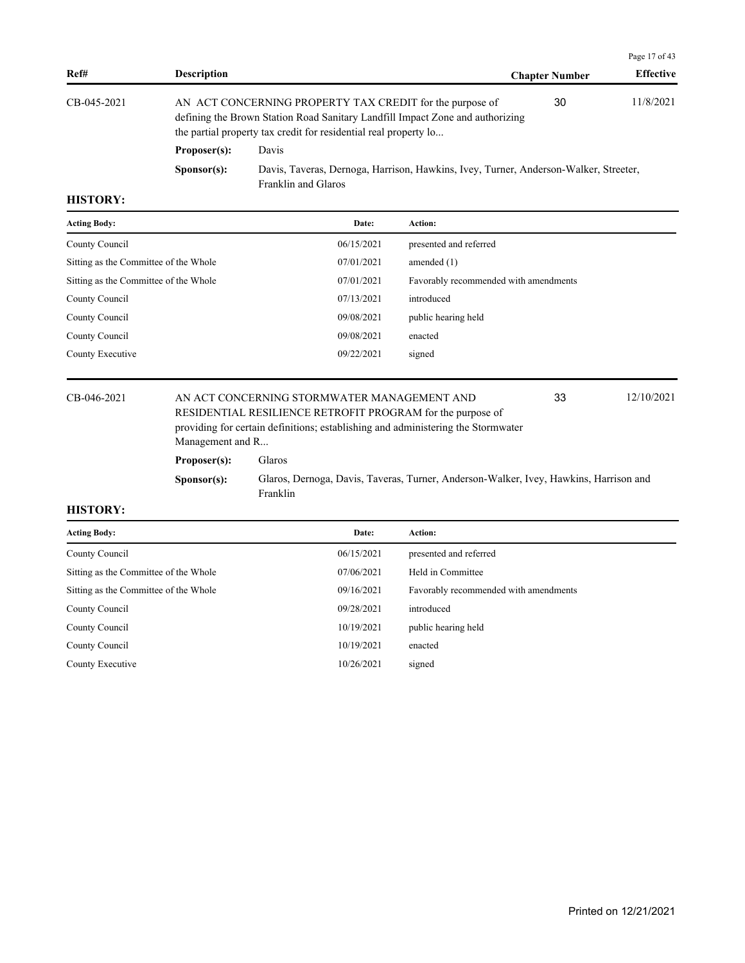|             |                      |                                                                                                                                                                                                               |                       | Page 17 of 43    |
|-------------|----------------------|---------------------------------------------------------------------------------------------------------------------------------------------------------------------------------------------------------------|-----------------------|------------------|
| Ref#        | <b>Description</b>   |                                                                                                                                                                                                               | <b>Chapter Number</b> | <b>Effective</b> |
| CB-045-2021 |                      | AN ACT CONCERNING PROPERTY TAX CREDIT for the purpose of<br>defining the Brown Station Road Sanitary Landfill Impact Zone and authorizing<br>the partial property tax credit for residential real property lo | 30                    | 11/8/2021        |
|             | Proposer(s):         | Davis                                                                                                                                                                                                         |                       |                  |
|             | S <b>p</b> onsor(s): | Davis, Taveras, Dernoga, Harrison, Hawkins, Ivey, Turner, Anderson-Walker, Streeter,<br>Franklin and Glaros                                                                                                   |                       |                  |

| <b>Acting Body:</b>                   | Date:      | <b>Action:</b>                        |
|---------------------------------------|------------|---------------------------------------|
| County Council                        | 06/15/2021 | presented and referred                |
| Sitting as the Committee of the Whole | 07/01/2021 | amended $(1)$                         |
| Sitting as the Committee of the Whole | 07/01/2021 | Favorably recommended with amendments |
| County Council                        | 07/13/2021 | introduced                            |
| County Council                        | 09/08/2021 | public hearing held                   |
| County Council                        | 09/08/2021 | enacted                               |
| County Executive                      | 09/22/2021 | signed                                |
|                                       |            |                                       |

CB-046-2021 AN ACT CONCERNING STORMWATER MANAGEMENT AND 12/10/2021 RESIDENTIAL RESILIENCE RETROFIT PROGRAM for the purpose of providing for certain definitions; establishing and administering the Stormwater Management and R...

33

# **Proposer(s):** Glaros

**Sponsor(s):** Glaros, Dernoga, Davis, Taveras, Turner, Anderson-Walker, Ivey, Hawkins, Harrison and Franklin

| Date:      | <b>Action:</b>                        |
|------------|---------------------------------------|
| 06/15/2021 | presented and referred                |
| 07/06/2021 | Held in Committee                     |
| 09/16/2021 | Favorably recommended with amendments |
| 09/28/2021 | introduced                            |
| 10/19/2021 | public hearing held                   |
| 10/19/2021 | enacted                               |
| 10/26/2021 | signed                                |
|            |                                       |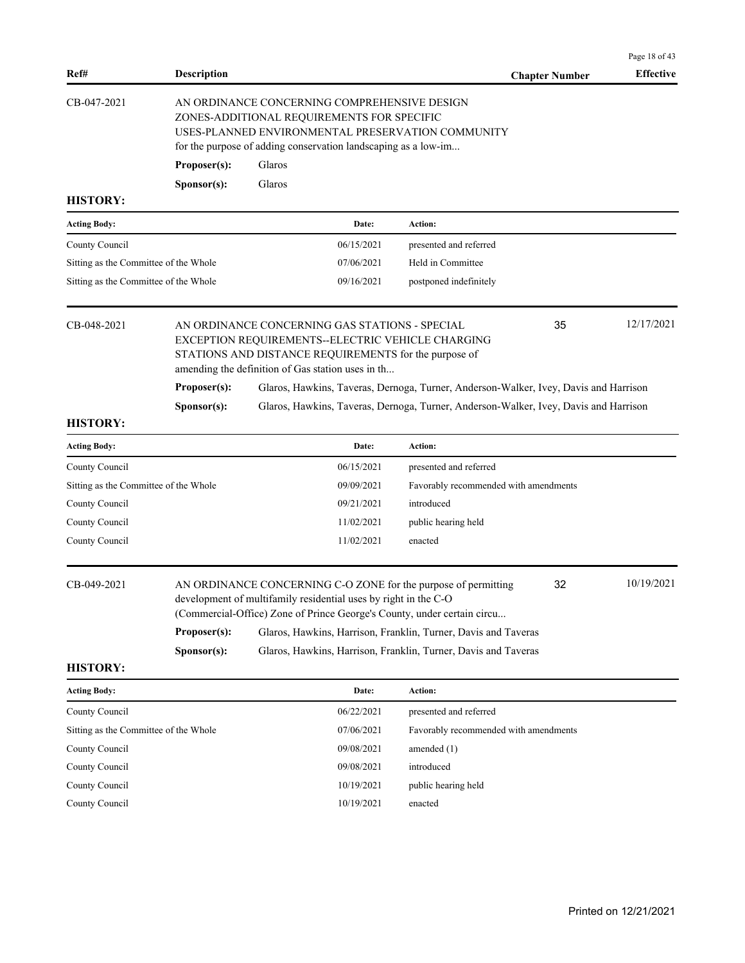|                                       |                                                                                                                                                                                                                   |                                                                                                     |            |                                                                                                            |                       | Page 18 of 43    |  |
|---------------------------------------|-------------------------------------------------------------------------------------------------------------------------------------------------------------------------------------------------------------------|-----------------------------------------------------------------------------------------------------|------------|------------------------------------------------------------------------------------------------------------|-----------------------|------------------|--|
| Ref#                                  | <b>Description</b>                                                                                                                                                                                                |                                                                                                     |            |                                                                                                            | <b>Chapter Number</b> | <b>Effective</b> |  |
| CB-047-2021                           | AN ORDINANCE CONCERNING COMPREHENSIVE DESIGN<br>ZONES-ADDITIONAL REQUIREMENTS FOR SPECIFIC<br>USES-PLANNED ENVIRONMENTAL PRESERVATION COMMUNITY<br>for the purpose of adding conservation landscaping as a low-im |                                                                                                     |            |                                                                                                            |                       |                  |  |
|                                       | Proposer(s):                                                                                                                                                                                                      | Glaros                                                                                              |            |                                                                                                            |                       |                  |  |
|                                       | S <b>p</b> onsor(s):                                                                                                                                                                                              | Glaros                                                                                              |            |                                                                                                            |                       |                  |  |
| <b>HISTORY:</b>                       |                                                                                                                                                                                                                   |                                                                                                     |            |                                                                                                            |                       |                  |  |
| <b>Acting Body:</b>                   |                                                                                                                                                                                                                   |                                                                                                     | Date:      | Action:                                                                                                    |                       |                  |  |
| County Council                        |                                                                                                                                                                                                                   |                                                                                                     | 06/15/2021 | presented and referred                                                                                     |                       |                  |  |
| Sitting as the Committee of the Whole |                                                                                                                                                                                                                   |                                                                                                     | 07/06/2021 | Held in Committee                                                                                          |                       |                  |  |
| Sitting as the Committee of the Whole |                                                                                                                                                                                                                   |                                                                                                     | 09/16/2021 | postponed indefinitely                                                                                     |                       |                  |  |
| CB-048-2021                           |                                                                                                                                                                                                                   | AN ORDINANCE CONCERNING GAS STATIONS - SPECIAL<br>amending the definition of Gas station uses in th |            | EXCEPTION REQUIREMENTS--ELECTRIC VEHICLE CHARGING<br>STATIONS AND DISTANCE REQUIREMENTS for the purpose of | 35                    | 12/17/2021       |  |
|                                       | Proposer(s):<br>Glaros, Hawkins, Taveras, Dernoga, Turner, Anderson-Walker, Ivey, Davis and Harrison                                                                                                              |                                                                                                     |            |                                                                                                            |                       |                  |  |
|                                       | Sponsor(s):                                                                                                                                                                                                       |                                                                                                     |            | Glaros, Hawkins, Taveras, Dernoga, Turner, Anderson-Walker, Ivey, Davis and Harrison                       |                       |                  |  |
| <b>HISTORY:</b>                       |                                                                                                                                                                                                                   |                                                                                                     |            |                                                                                                            |                       |                  |  |
| <b>Acting Body:</b>                   |                                                                                                                                                                                                                   |                                                                                                     | Date:      | Action:                                                                                                    |                       |                  |  |
| County Council                        |                                                                                                                                                                                                                   |                                                                                                     | 06/15/2021 | presented and referred                                                                                     |                       |                  |  |
| Sitting as the Committee of the Whole |                                                                                                                                                                                                                   |                                                                                                     | 09/09/2021 | Favorably recommended with amendments                                                                      |                       |                  |  |
| County Council                        |                                                                                                                                                                                                                   |                                                                                                     | 09/21/2021 | introduced                                                                                                 |                       |                  |  |
| County Council                        |                                                                                                                                                                                                                   |                                                                                                     | 11/02/2021 | public hearing held                                                                                        |                       |                  |  |
| County Council                        |                                                                                                                                                                                                                   |                                                                                                     | 11/02/2021 | enacted                                                                                                    |                       |                  |  |
| CB-049-2021                           | AN ORDINANCE CONCERNING C-O ZONE for the purpose of permitting<br>development of multifamily residential uses by right in the C-O<br>(Commercial-Office) Zone of Prince George's County, under certain circu      |                                                                                                     |            |                                                                                                            | 32                    | 10/19/2021       |  |
|                                       | Proposer(s):                                                                                                                                                                                                      |                                                                                                     |            | Glaros, Hawkins, Harrison, Franklin, Turner, Davis and Taveras                                             |                       |                  |  |
|                                       | S <b>p</b> onsor(s):                                                                                                                                                                                              |                                                                                                     |            | Glaros, Hawkins, Harrison, Franklin, Turner, Davis and Taveras                                             |                       |                  |  |
| <b>HISTORY:</b>                       |                                                                                                                                                                                                                   |                                                                                                     |            |                                                                                                            |                       |                  |  |
| <b>Acting Body:</b>                   |                                                                                                                                                                                                                   |                                                                                                     | Date:      | Action:                                                                                                    |                       |                  |  |
| County Council                        |                                                                                                                                                                                                                   |                                                                                                     | 06/22/2021 | presented and referred                                                                                     |                       |                  |  |
| Sitting as the Committee of the Whole |                                                                                                                                                                                                                   |                                                                                                     | 07/06/2021 | Favorably recommended with amendments                                                                      |                       |                  |  |
| County Council                        |                                                                                                                                                                                                                   |                                                                                                     | 09/08/2021 | amended $(1)$                                                                                              |                       |                  |  |
| County Council                        |                                                                                                                                                                                                                   |                                                                                                     | 09/08/2021 | introduced                                                                                                 |                       |                  |  |

County Council 2001 10/19/2021 public hearing held

County Council 10/19/2021 enacted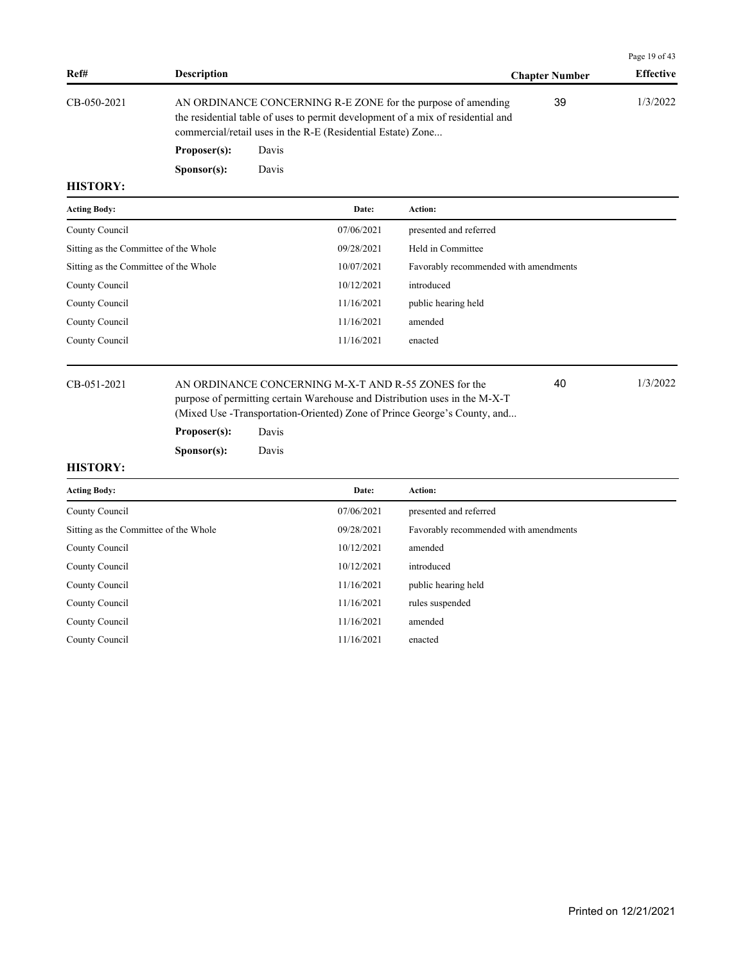|             |                      |                                                                                                                                                                                                                |                       | Page 19 of $43$  |
|-------------|----------------------|----------------------------------------------------------------------------------------------------------------------------------------------------------------------------------------------------------------|-----------------------|------------------|
| Ref#        | <b>Description</b>   |                                                                                                                                                                                                                | <b>Chapter Number</b> | <b>Effective</b> |
| CB-050-2021 |                      | AN ORDINANCE CONCERNING R-E ZONE for the purpose of amending<br>the residential table of uses to permit development of a mix of residential and<br>commercial/retail uses in the R-E (Residential Estate) Zone | 39                    | 1/3/2022         |
|             | Proposer(s):         | Davis                                                                                                                                                                                                          |                       |                  |
|             | S <b>p</b> onsor(s): | Davis                                                                                                                                                                                                          |                       |                  |

| <b>Acting Body:</b>                   | Date:      | Action:                               |
|---------------------------------------|------------|---------------------------------------|
| County Council                        | 07/06/2021 | presented and referred                |
| Sitting as the Committee of the Whole | 09/28/2021 | Held in Committee                     |
| Sitting as the Committee of the Whole | 10/07/2021 | Favorably recommended with amendments |
| County Council                        | 10/12/2021 | introduced                            |
| County Council                        | 11/16/2021 | public hearing held                   |
| County Council                        | 11/16/2021 | amended                               |
| County Council                        | 11/16/2021 | enacted                               |
|                                       |            |                                       |

CB-051-2021 AN ORDINANCE CONCERNING M-X-T AND R-55 ZONES for the 1/3/2022 purpose of permitting certain Warehouse and Distribution uses in the M-X-T (Mixed Use -Transportation-Oriented) Zone of Prince George's County, and...

40

### **Proposer(s):** Davis

**Sponsor(s):** Davis

| <b>Acting Body:</b>                   | Date:      | Action:                               |
|---------------------------------------|------------|---------------------------------------|
| County Council                        | 07/06/2021 | presented and referred                |
| Sitting as the Committee of the Whole | 09/28/2021 | Favorably recommended with amendments |
| County Council                        | 10/12/2021 | amended                               |
| County Council                        | 10/12/2021 | introduced                            |
| County Council                        | 11/16/2021 | public hearing held                   |
| County Council                        | 11/16/2021 | rules suspended                       |
| County Council                        | 11/16/2021 | amended                               |
| County Council                        | 11/16/2021 | enacted                               |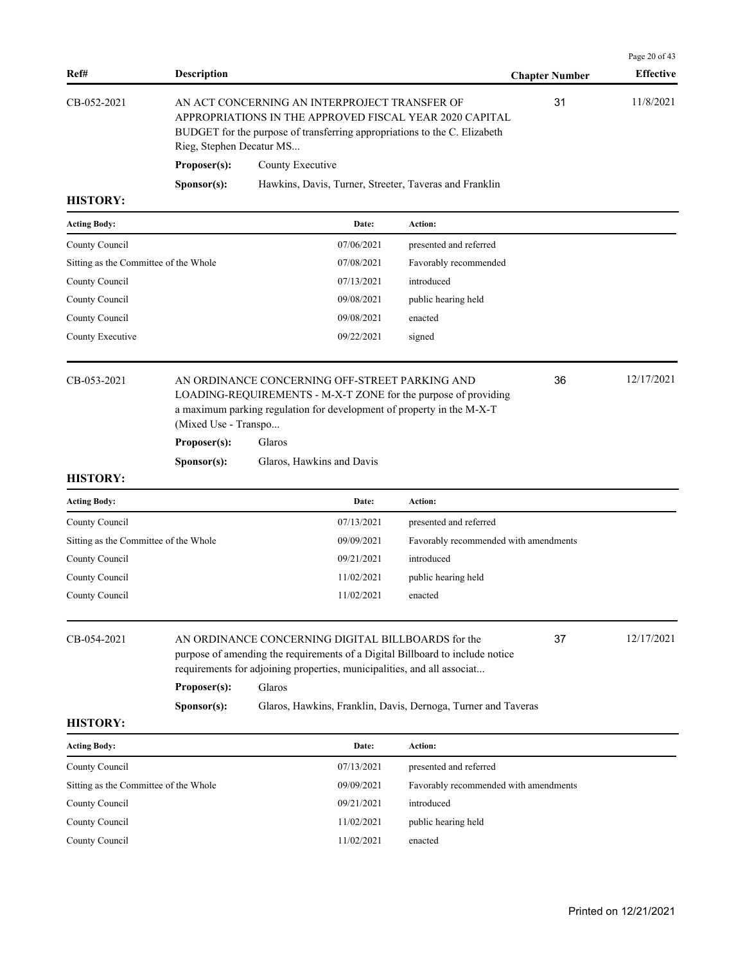| Ref#                                  | <b>Description</b>       |                                                                                                                                                                                                                          |                                       | <b>Chapter Number</b> | Page 20 of 43<br><b>Effective</b> |
|---------------------------------------|--------------------------|--------------------------------------------------------------------------------------------------------------------------------------------------------------------------------------------------------------------------|---------------------------------------|-----------------------|-----------------------------------|
| CB-052-2021                           | Rieg, Stephen Decatur MS | AN ACT CONCERNING AN INTERPROJECT TRANSFER OF<br>APPROPRIATIONS IN THE APPROVED FISCAL YEAR 2020 CAPITAL<br>BUDGET for the purpose of transferring appropriations to the C. Elizabeth                                    | 31                                    | 11/8/2021             |                                   |
|                                       | Proposer(s):             | County Executive                                                                                                                                                                                                         |                                       |                       |                                   |
|                                       | Sponsor(s):              | Hawkins, Davis, Turner, Streeter, Taveras and Franklin                                                                                                                                                                   |                                       |                       |                                   |
| <b>HISTORY:</b>                       |                          |                                                                                                                                                                                                                          |                                       |                       |                                   |
| <b>Acting Body:</b>                   |                          | Date:                                                                                                                                                                                                                    | <b>Action:</b>                        |                       |                                   |
| County Council                        |                          | 07/06/2021                                                                                                                                                                                                               | presented and referred                |                       |                                   |
| Sitting as the Committee of the Whole |                          | 07/08/2021                                                                                                                                                                                                               | Favorably recommended                 |                       |                                   |
| County Council                        |                          | 07/13/2021                                                                                                                                                                                                               | introduced                            |                       |                                   |
| County Council                        |                          | 09/08/2021                                                                                                                                                                                                               | public hearing held                   |                       |                                   |
| County Council                        |                          | 09/08/2021                                                                                                                                                                                                               | enacted                               |                       |                                   |
| County Executive                      |                          | 09/22/2021                                                                                                                                                                                                               | signed                                |                       |                                   |
| CB-053-2021                           | (Mixed Use - Transpo     | AN ORDINANCE CONCERNING OFF-STREET PARKING AND<br>LOADING-REQUIREMENTS - M-X-T ZONE for the purpose of providing<br>a maximum parking regulation for development of property in the M-X-T                                |                                       | 36                    | 12/17/2021                        |
|                                       | Proposer(s):             | Glaros                                                                                                                                                                                                                   |                                       |                       |                                   |
|                                       | Sponsor(s):              | Glaros, Hawkins and Davis                                                                                                                                                                                                |                                       |                       |                                   |
| <b>HISTORY:</b>                       |                          |                                                                                                                                                                                                                          |                                       |                       |                                   |
| <b>Acting Body:</b>                   |                          | Date:                                                                                                                                                                                                                    | <b>Action:</b>                        |                       |                                   |
| County Council                        |                          | 07/13/2021                                                                                                                                                                                                               | presented and referred                |                       |                                   |
| Sitting as the Committee of the Whole |                          | 09/09/2021                                                                                                                                                                                                               | Favorably recommended with amendments |                       |                                   |
| County Council                        |                          | 09/21/2021                                                                                                                                                                                                               | introduced                            |                       |                                   |
| County Council                        |                          | 11/02/2021                                                                                                                                                                                                               | public hearing held                   |                       |                                   |
| County Council                        |                          | 11/02/2021                                                                                                                                                                                                               | enacted                               |                       |                                   |
| CB-054-2021                           | Proposer(s):             | AN ORDINANCE CONCERNING DIGITAL BILLBOARDS for the<br>purpose of amending the requirements of a Digital Billboard to include notice<br>requirements for adjoining properties, municipalities, and all associat<br>Glaros |                                       | 37                    | 12/17/2021                        |
|                                       | S <b>p</b> onsor(s):     | Glaros, Hawkins, Franklin, Davis, Dernoga, Turner and Taveras                                                                                                                                                            |                                       |                       |                                   |
| <b>HISTORY:</b>                       |                          |                                                                                                                                                                                                                          |                                       |                       |                                   |
| <b>Acting Body:</b>                   |                          | Date:                                                                                                                                                                                                                    | <b>Action:</b>                        |                       |                                   |
| County Council                        |                          | 07/13/2021                                                                                                                                                                                                               | presented and referred                |                       |                                   |
| Sitting as the Committee of the Whole |                          | 09/09/2021                                                                                                                                                                                                               | Favorably recommended with amendments |                       |                                   |
| County Council                        |                          | 09/21/2021                                                                                                                                                                                                               | introduced                            |                       |                                   |
| County Council                        |                          | 11/02/2021                                                                                                                                                                                                               | public hearing held                   |                       |                                   |
| County Council                        |                          | 11/02/2021                                                                                                                                                                                                               | enacted                               |                       |                                   |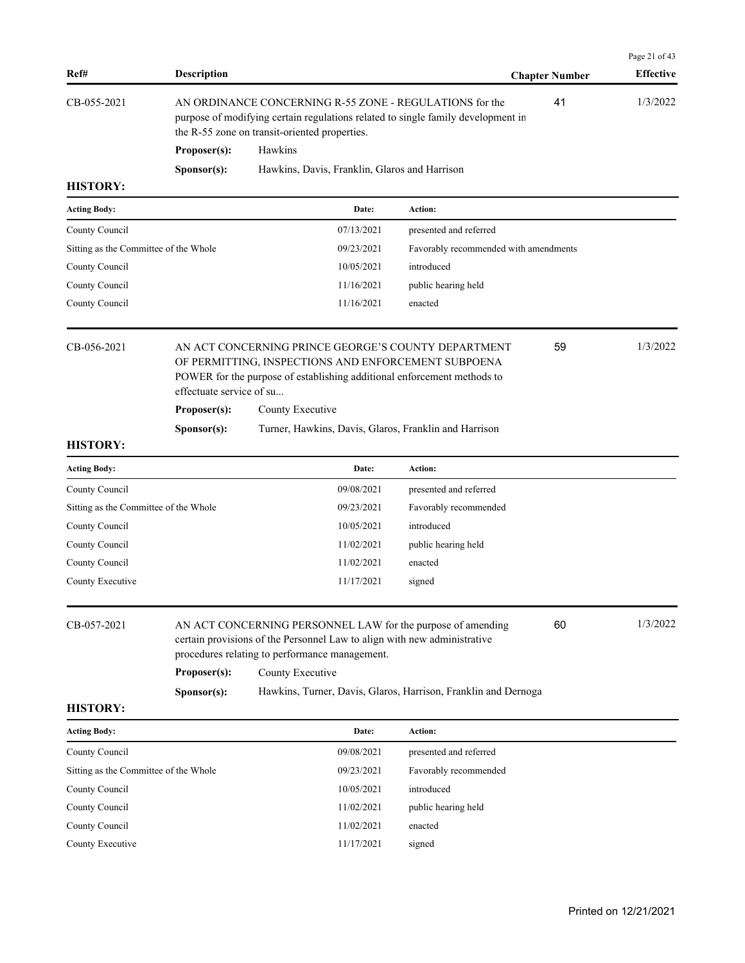| Ref#                                  | <b>Description</b>          |                                                                                                                                                                                                                                                                                 |                                       | <b>Chapter Number</b> | Page 21 of 43<br><b>Effective</b> |
|---------------------------------------|-----------------------------|---------------------------------------------------------------------------------------------------------------------------------------------------------------------------------------------------------------------------------------------------------------------------------|---------------------------------------|-----------------------|-----------------------------------|
| CB-055-2021                           |                             | AN ORDINANCE CONCERNING R-55 ZONE - REGULATIONS for the<br>purpose of modifying certain regulations related to single family development in<br>the R-55 zone on transit-oriented properties.                                                                                    |                                       | 41                    | 1/3/2022                          |
|                                       | Proposer(s):                | Hawkins                                                                                                                                                                                                                                                                         |                                       |                       |                                   |
|                                       | Sponsor(s):                 | Hawkins, Davis, Franklin, Glaros and Harrison                                                                                                                                                                                                                                   |                                       |                       |                                   |
| <b>HISTORY:</b>                       |                             |                                                                                                                                                                                                                                                                                 |                                       |                       |                                   |
| <b>Acting Body:</b>                   |                             | Date:                                                                                                                                                                                                                                                                           | Action:                               |                       |                                   |
| County Council                        |                             | 07/13/2021                                                                                                                                                                                                                                                                      | presented and referred                |                       |                                   |
| Sitting as the Committee of the Whole |                             | 09/23/2021                                                                                                                                                                                                                                                                      | Favorably recommended with amendments |                       |                                   |
| County Council                        |                             | 10/05/2021                                                                                                                                                                                                                                                                      | introduced                            |                       |                                   |
| County Council                        |                             | 11/16/2021                                                                                                                                                                                                                                                                      | public hearing held                   |                       |                                   |
| County Council                        |                             | 11/16/2021                                                                                                                                                                                                                                                                      | enacted                               |                       |                                   |
| CB-056-2021                           | effectuate service of su    | AN ACT CONCERNING PRINCE GEORGE'S COUNTY DEPARTMENT<br>OF PERMITTING, INSPECTIONS AND ENFORCEMENT SUBPOENA<br>POWER for the purpose of establishing additional enforcement methods to                                                                                           |                                       | 59                    | 1/3/2022                          |
|                                       | Proposer(s):                | County Executive                                                                                                                                                                                                                                                                |                                       |                       |                                   |
|                                       | Sponsor(s):                 | Turner, Hawkins, Davis, Glaros, Franklin and Harrison                                                                                                                                                                                                                           |                                       |                       |                                   |
| <b>HISTORY:</b>                       |                             |                                                                                                                                                                                                                                                                                 |                                       |                       |                                   |
| <b>Acting Body:</b>                   |                             | Date:                                                                                                                                                                                                                                                                           | Action:                               |                       |                                   |
| County Council                        |                             | 09/08/2021                                                                                                                                                                                                                                                                      | presented and referred                |                       |                                   |
| Sitting as the Committee of the Whole |                             | 09/23/2021                                                                                                                                                                                                                                                                      | Favorably recommended                 |                       |                                   |
| County Council                        |                             | 10/05/2021                                                                                                                                                                                                                                                                      | introduced                            |                       |                                   |
| County Council                        |                             | 11/02/2021                                                                                                                                                                                                                                                                      | public hearing held                   |                       |                                   |
| County Council                        |                             | 11/02/2021                                                                                                                                                                                                                                                                      | enacted                               |                       |                                   |
| County Executive                      |                             | 11/17/2021                                                                                                                                                                                                                                                                      | signed                                |                       |                                   |
| CB-057-2021                           | Proposer(s):<br>Sponsor(s): | AN ACT CONCERNING PERSONNEL LAW for the purpose of amending<br>certain provisions of the Personnel Law to align with new administrative<br>procedures relating to performance management.<br>County Executive<br>Hawkins, Turner, Davis, Glaros, Harrison, Franklin and Dernoga |                                       | 60                    | 1/3/2022                          |
| <b>HISTORY:</b>                       |                             |                                                                                                                                                                                                                                                                                 |                                       |                       |                                   |
| <b>Acting Body:</b>                   |                             | Date:                                                                                                                                                                                                                                                                           | Action:                               |                       |                                   |
| County Council                        |                             | 09/08/2021                                                                                                                                                                                                                                                                      | presented and referred                |                       |                                   |
| Sitting as the Committee of the Whole |                             | 09/23/2021                                                                                                                                                                                                                                                                      | Favorably recommended                 |                       |                                   |
| County Council                        |                             | 10/05/2021                                                                                                                                                                                                                                                                      | introduced                            |                       |                                   |
| County Council                        |                             | 11/02/2021                                                                                                                                                                                                                                                                      | public hearing held                   |                       |                                   |
| County Council                        |                             | 11/02/2021                                                                                                                                                                                                                                                                      | enacted                               |                       |                                   |
| County Executive                      |                             | 11/17/2021                                                                                                                                                                                                                                                                      | signed                                |                       |                                   |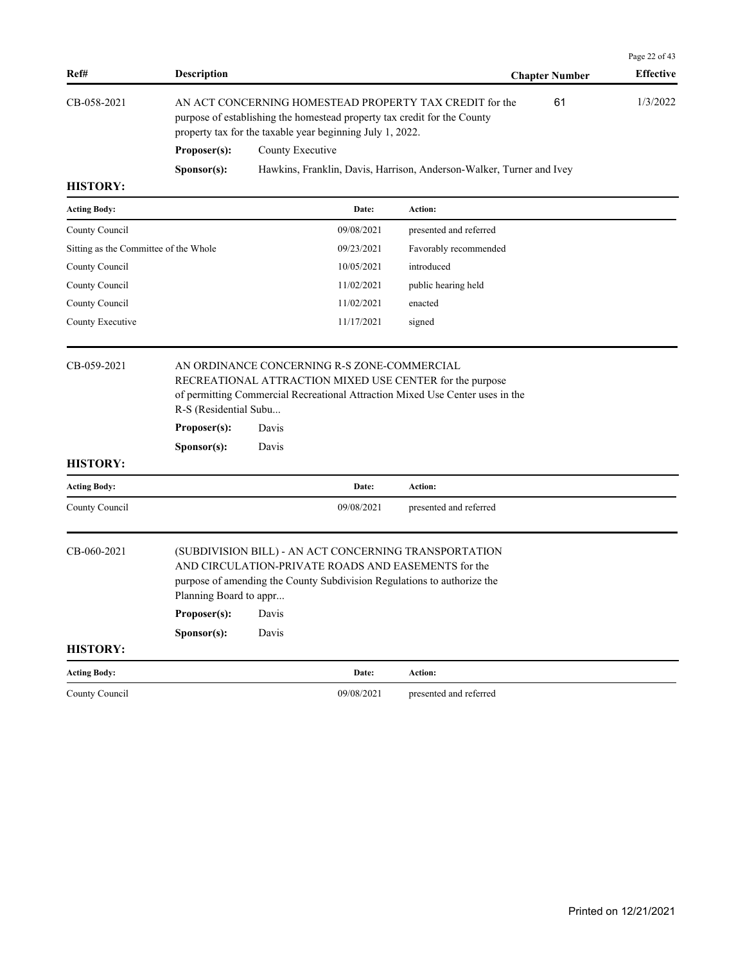| Ref#                                  | <b>Description</b>                                                                                                                                                                               |                  |            |                                                                                                                                                                                         | <b>Chapter Number</b> | Page 22 of 43<br><b>Effective</b> |
|---------------------------------------|--------------------------------------------------------------------------------------------------------------------------------------------------------------------------------------------------|------------------|------------|-----------------------------------------------------------------------------------------------------------------------------------------------------------------------------------------|-----------------------|-----------------------------------|
| CB-058-2021                           | AN ACT CONCERNING HOMESTEAD PROPERTY TAX CREDIT for the<br>purpose of establishing the homestead property tax credit for the County<br>property tax for the taxable year beginning July 1, 2022. |                  | 61         | 1/3/2022                                                                                                                                                                                |                       |                                   |
|                                       | Proposer(s):                                                                                                                                                                                     | County Executive |            |                                                                                                                                                                                         |                       |                                   |
|                                       | Sponsor(s):                                                                                                                                                                                      |                  |            | Hawkins, Franklin, Davis, Harrison, Anderson-Walker, Turner and Ivey                                                                                                                    |                       |                                   |
| <b>HISTORY:</b>                       |                                                                                                                                                                                                  |                  |            |                                                                                                                                                                                         |                       |                                   |
| <b>Acting Body:</b>                   |                                                                                                                                                                                                  |                  | Date:      | Action:                                                                                                                                                                                 |                       |                                   |
| County Council                        |                                                                                                                                                                                                  |                  | 09/08/2021 | presented and referred                                                                                                                                                                  |                       |                                   |
| Sitting as the Committee of the Whole |                                                                                                                                                                                                  |                  | 09/23/2021 | Favorably recommended                                                                                                                                                                   |                       |                                   |
| County Council                        |                                                                                                                                                                                                  |                  | 10/05/2021 | introduced                                                                                                                                                                              |                       |                                   |
| County Council                        |                                                                                                                                                                                                  |                  | 11/02/2021 | public hearing held                                                                                                                                                                     |                       |                                   |
| County Council                        |                                                                                                                                                                                                  |                  | 11/02/2021 | enacted                                                                                                                                                                                 |                       |                                   |
| County Executive                      |                                                                                                                                                                                                  |                  | 11/17/2021 | signed                                                                                                                                                                                  |                       |                                   |
|                                       | R-S (Residential Subu<br>Proposer(s):<br>Sponsor(s):                                                                                                                                             | Davis<br>Davis   |            | RECREATIONAL ATTRACTION MIXED USE CENTER for the purpose<br>of permitting Commercial Recreational Attraction Mixed Use Center uses in the                                               |                       |                                   |
| <b>HISTORY:</b>                       |                                                                                                                                                                                                  |                  |            |                                                                                                                                                                                         |                       |                                   |
| <b>Acting Body:</b>                   |                                                                                                                                                                                                  |                  | Date:      | Action:                                                                                                                                                                                 |                       |                                   |
| County Council                        |                                                                                                                                                                                                  |                  | 09/08/2021 | presented and referred                                                                                                                                                                  |                       |                                   |
| CB-060-2021<br><b>HISTORY:</b>        | Planning Board to appr<br>Proposer(s):<br>Sponsor(s):                                                                                                                                            | Davis<br>Davis   |            | (SUBDIVISION BILL) - AN ACT CONCERNING TRANSPORTATION<br>AND CIRCULATION-PRIVATE ROADS AND EASEMENTS for the<br>purpose of amending the County Subdivision Regulations to authorize the |                       |                                   |
|                                       |                                                                                                                                                                                                  |                  |            |                                                                                                                                                                                         |                       |                                   |
| <b>Acting Body:</b>                   |                                                                                                                                                                                                  |                  | Date:      | Action:                                                                                                                                                                                 |                       |                                   |
| County Council                        |                                                                                                                                                                                                  |                  | 09/08/2021 | presented and referred                                                                                                                                                                  |                       |                                   |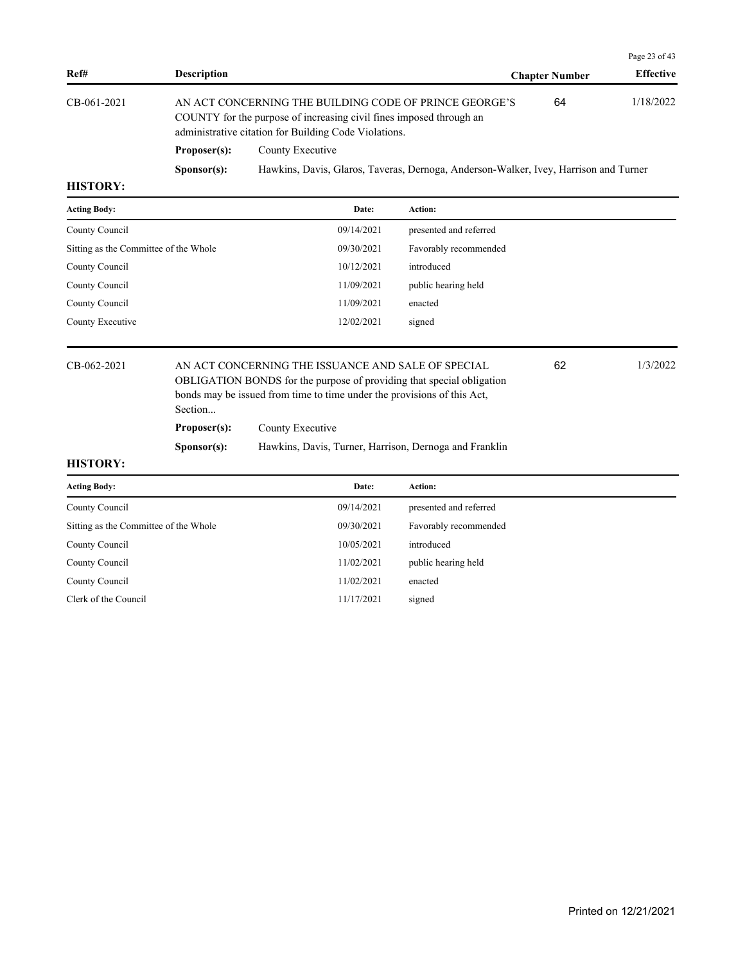|                 |                                                                                                                                                                                        |                                                                                      |                                           | Page 23 of 43 |
|-----------------|----------------------------------------------------------------------------------------------------------------------------------------------------------------------------------------|--------------------------------------------------------------------------------------|-------------------------------------------|---------------|
| Ref#            | <b>Description</b>                                                                                                                                                                     |                                                                                      | <b>Effective</b><br><b>Chapter Number</b> |               |
| CB-061-2021     | AN ACT CONCERNING THE BUILDING CODE OF PRINCE GEORGE'S<br>COUNTY for the purpose of increasing civil fines imposed through an<br>administrative citation for Building Code Violations. |                                                                                      | 64                                        | 1/18/2022     |
|                 | Proposer(s):                                                                                                                                                                           | County Executive                                                                     |                                           |               |
|                 | S <b>p</b> onsor(s):                                                                                                                                                                   | Hawkins, Davis, Glaros, Taveras, Dernoga, Anderson-Walker, Ivey, Harrison and Turner |                                           |               |
| <b>HISTORY:</b> |                                                                                                                                                                                        |                                                                                      |                                           |               |

| <b>Acting Body:</b>                   |                      | Date:                                                                                                                                                                                                  | Action:                |    |          |
|---------------------------------------|----------------------|--------------------------------------------------------------------------------------------------------------------------------------------------------------------------------------------------------|------------------------|----|----------|
| County Council                        |                      | 09/14/2021                                                                                                                                                                                             | presented and referred |    |          |
| Sitting as the Committee of the Whole |                      | 09/30/2021                                                                                                                                                                                             | Favorably recommended  |    |          |
| County Council                        |                      | 10/12/2021                                                                                                                                                                                             | introduced             |    |          |
| County Council                        |                      | 11/09/2021                                                                                                                                                                                             | public hearing held    |    |          |
| County Council                        |                      | 11/09/2021                                                                                                                                                                                             | enacted                |    |          |
| County Executive                      |                      | 12/02/2021                                                                                                                                                                                             | signed                 |    |          |
| CB-062-2021<br>Section                |                      | AN ACT CONCERNING THE ISSUANCE AND SALE OF SPECIAL<br>OBLIGATION BONDS for the purpose of providing that special obligation<br>bonds may be issued from time to time under the provisions of this Act, |                        | 62 | 1/3/2022 |
|                                       | Proposer(s):         | County Executive                                                                                                                                                                                       |                        |    |          |
|                                       | S <b>p</b> onsor(s): | Hawkins, Davis, Turner, Harrison, Dernoga and Franklin                                                                                                                                                 |                        |    |          |

| <b>Acting Body:</b>                   | Date:      | Action:                |
|---------------------------------------|------------|------------------------|
| County Council                        | 09/14/2021 | presented and referred |
| Sitting as the Committee of the Whole | 09/30/2021 | Favorably recommended  |
| County Council                        | 10/05/2021 | introduced             |
| County Council                        | 11/02/2021 | public hearing held    |
| County Council                        | 11/02/2021 | enacted                |
| Clerk of the Council                  | 11/17/2021 | signed                 |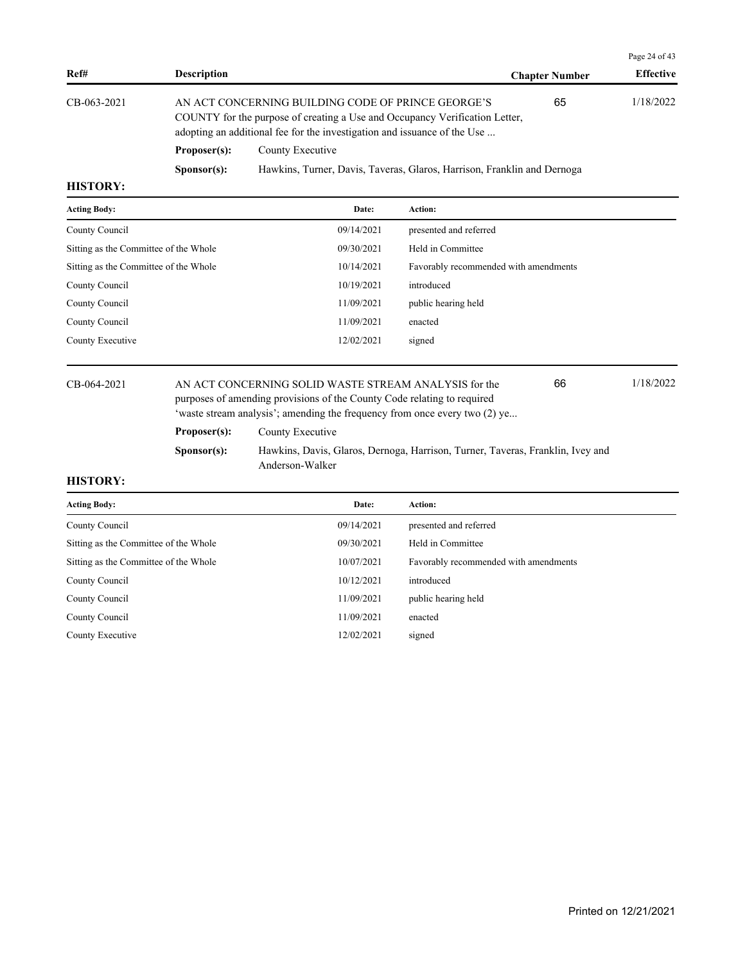|                                                                                                                                                                                                                                |                      |                                                                         |                       | Page 24 of $43$  |
|--------------------------------------------------------------------------------------------------------------------------------------------------------------------------------------------------------------------------------|----------------------|-------------------------------------------------------------------------|-----------------------|------------------|
| Ref#                                                                                                                                                                                                                           | <b>Description</b>   |                                                                         | <b>Chapter Number</b> | <b>Effective</b> |
| $CB-063-2021$<br>AN ACT CONCERNING BUILDING CODE OF PRINCE GEORGE'S<br>COUNTY for the purpose of creating a Use and Occupancy Verification Letter,<br>adopting an additional fee for the investigation and issuance of the Use |                      |                                                                         | 65                    | 1/18/2022        |
|                                                                                                                                                                                                                                | Proposer(s):         | County Executive                                                        |                       |                  |
|                                                                                                                                                                                                                                | S <b>p</b> onsor(s): | Hawkins, Turner, Davis, Taveras, Glaros, Harrison, Franklin and Dernoga |                       |                  |
| <b>TILODODI</b>                                                                                                                                                                                                                |                      |                                                                         |                       |                  |

| <b>Acting Body:</b>                   | Date:      | Action:                               |
|---------------------------------------|------------|---------------------------------------|
| County Council                        | 09/14/2021 | presented and referred                |
| Sitting as the Committee of the Whole | 09/30/2021 | Held in Committee                     |
| Sitting as the Committee of the Whole | 10/14/2021 | Favorably recommended with amendments |
| County Council                        | 10/19/2021 | introduced                            |
| County Council                        | 11/09/2021 | public hearing held                   |
| County Council                        | 11/09/2021 | enacted                               |
| County Executive                      | 12/02/2021 | signed                                |
|                                       |            |                                       |

# CB-064-2021 AN ACT CONCERNING SOLID WASTE STREAM ANALYSIS for the 1/18/2022 purposes of amending provisions of the County Code relating to required 'waste stream analysis'; amending the frequency from once every two (2) ye...

Proposer(s): County Executive

**Sponsor(s):** Hawkins, Davis, Glaros, Dernoga, Harrison, Turner, Taveras, Franklin, Ivey and Anderson-Walker

66

| <b>Acting Body:</b>                   | Date:      | Action:                               |
|---------------------------------------|------------|---------------------------------------|
| County Council                        | 09/14/2021 | presented and referred                |
| Sitting as the Committee of the Whole | 09/30/2021 | Held in Committee                     |
| Sitting as the Committee of the Whole | 10/07/2021 | Favorably recommended with amendments |
| County Council                        | 10/12/2021 | introduced                            |
| County Council                        | 11/09/2021 | public hearing held                   |
| County Council                        | 11/09/2021 | enacted                               |
| County Executive                      | 12/02/2021 | signed                                |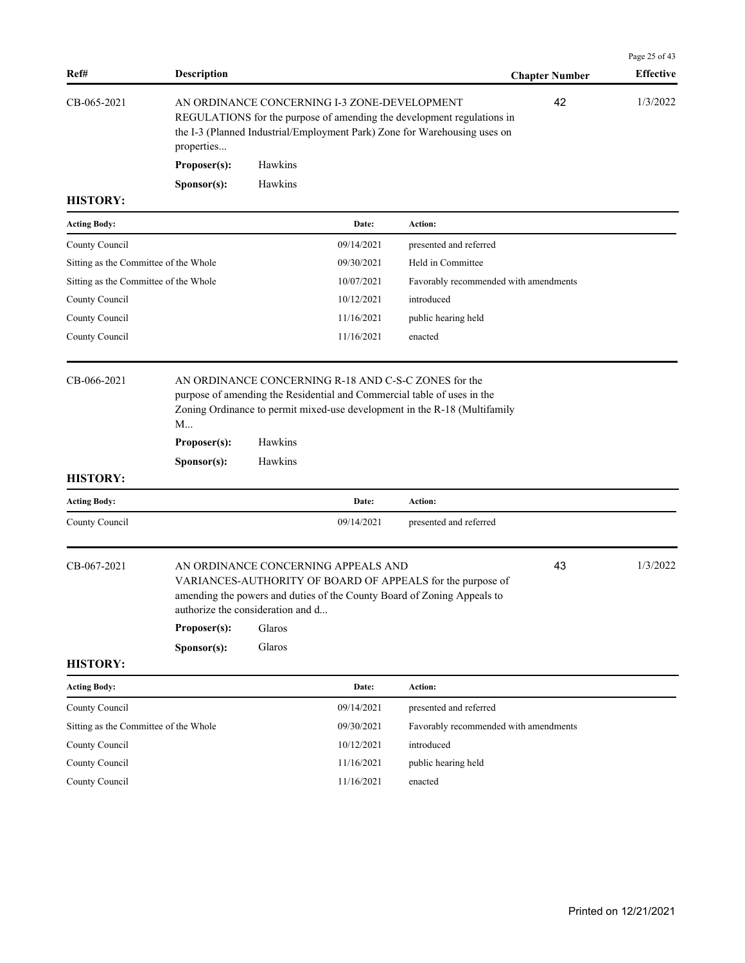| Ref#                                  | Description                      |                                                       |                                              | <b>Chapter Number</b>                                                                                                                                     | Page 25 of 43<br><b>Effective</b> |
|---------------------------------------|----------------------------------|-------------------------------------------------------|----------------------------------------------|-----------------------------------------------------------------------------------------------------------------------------------------------------------|-----------------------------------|
| CB-065-2021                           | properties                       |                                                       | AN ORDINANCE CONCERNING I-3 ZONE-DEVELOPMENT | 42<br>REGULATIONS for the purpose of amending the development regulations in<br>the I-3 (Planned Industrial/Employment Park) Zone for Warehousing uses on | 1/3/2022                          |
|                                       | Proposer(s):                     | Hawkins                                               |                                              |                                                                                                                                                           |                                   |
|                                       | Sponsor(s):                      | Hawkins                                               |                                              |                                                                                                                                                           |                                   |
| <b>HISTORY:</b>                       |                                  |                                                       |                                              |                                                                                                                                                           |                                   |
| <b>Acting Body:</b>                   |                                  |                                                       | Date:                                        | Action:                                                                                                                                                   |                                   |
| County Council                        |                                  |                                                       | 09/14/2021                                   | presented and referred                                                                                                                                    |                                   |
| Sitting as the Committee of the Whole |                                  |                                                       | 09/30/2021                                   | Held in Committee                                                                                                                                         |                                   |
| Sitting as the Committee of the Whole |                                  |                                                       | 10/07/2021                                   | Favorably recommended with amendments                                                                                                                     |                                   |
| County Council                        |                                  |                                                       | 10/12/2021                                   | introduced                                                                                                                                                |                                   |
| County Council                        |                                  |                                                       | 11/16/2021                                   | public hearing held                                                                                                                                       |                                   |
| County Council                        |                                  |                                                       | 11/16/2021                                   | enacted                                                                                                                                                   |                                   |
| <b>HISTORY:</b>                       | M<br>Proposer(s):<br>Sponsor(s): | Hawkins<br>Hawkins                                    |                                              |                                                                                                                                                           |                                   |
| <b>Acting Body:</b>                   |                                  |                                                       | Date:                                        | Action:                                                                                                                                                   |                                   |
| County Council                        |                                  |                                                       | 09/14/2021                                   | presented and referred                                                                                                                                    |                                   |
| CB-067-2021                           | Proposer(s):<br>Sponsor(s):      | authorize the consideration and d<br>Glaros<br>Glaros | AN ORDINANCE CONCERNING APPEALS AND          | 43<br>VARIANCES-AUTHORITY OF BOARD OF APPEALS for the purpose of<br>amending the powers and duties of the County Board of Zoning Appeals to               | 1/3/2022                          |
| <b>HISTORY:</b>                       |                                  |                                                       |                                              |                                                                                                                                                           |                                   |
| <b>Acting Body:</b>                   |                                  |                                                       | Date:                                        | Action:                                                                                                                                                   |                                   |
| County Council                        |                                  |                                                       | 09/14/2021                                   | presented and referred                                                                                                                                    |                                   |
| Sitting as the Committee of the Whole |                                  |                                                       | 09/30/2021                                   | Favorably recommended with amendments                                                                                                                     |                                   |
| County Council                        |                                  |                                                       | 10/12/2021                                   | introduced                                                                                                                                                |                                   |
| County Council                        |                                  |                                                       | 11/16/2021                                   | public hearing held                                                                                                                                       |                                   |
| County Council                        |                                  |                                                       | 11/16/2021                                   | enacted                                                                                                                                                   |                                   |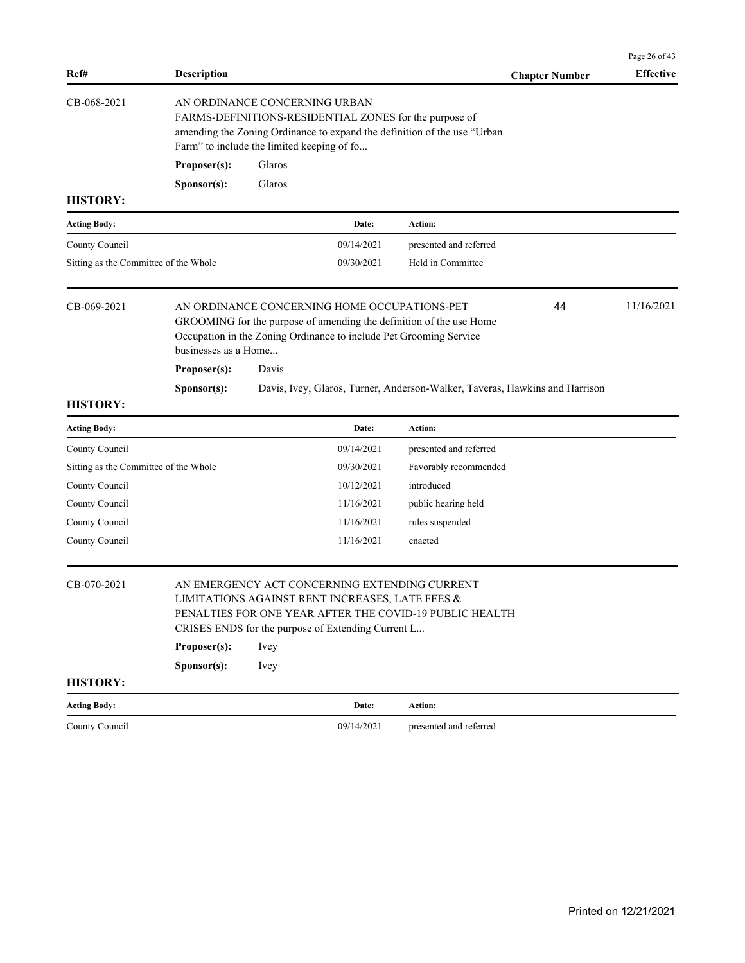|                                       |                                                                             |        |                                                                                                       |                                                                                                                                           |                       | Page 26 of 43    |
|---------------------------------------|-----------------------------------------------------------------------------|--------|-------------------------------------------------------------------------------------------------------|-------------------------------------------------------------------------------------------------------------------------------------------|-----------------------|------------------|
| Ref#                                  | <b>Description</b>                                                          |        |                                                                                                       |                                                                                                                                           | <b>Chapter Number</b> | <b>Effective</b> |
| CB-068-2021                           | AN ORDINANCE CONCERNING URBAN<br>Farm" to include the limited keeping of fo |        |                                                                                                       | FARMS-DEFINITIONS-RESIDENTIAL ZONES for the purpose of<br>amending the Zoning Ordinance to expand the definition of the use "Urban        |                       |                  |
|                                       | Proposer(s):                                                                | Glaros |                                                                                                       |                                                                                                                                           |                       |                  |
|                                       | Sponsor(s):                                                                 | Glaros |                                                                                                       |                                                                                                                                           |                       |                  |
| <b>HISTORY:</b>                       |                                                                             |        |                                                                                                       |                                                                                                                                           |                       |                  |
| <b>Acting Body:</b>                   |                                                                             |        | Date:                                                                                                 | Action:                                                                                                                                   |                       |                  |
| County Council                        |                                                                             |        | 09/14/2021                                                                                            | presented and referred                                                                                                                    |                       |                  |
| Sitting as the Committee of the Whole |                                                                             |        | 09/30/2021                                                                                            | Held in Committee                                                                                                                         |                       |                  |
| CB-069-2021                           | businesses as a Home                                                        |        | AN ORDINANCE CONCERNING HOME OCCUPATIONS-PET                                                          | GROOMING for the purpose of amending the definition of the use Home<br>Occupation in the Zoning Ordinance to include Pet Grooming Service | 44                    | 11/16/2021       |
|                                       | Proposer(s):                                                                | Davis  |                                                                                                       |                                                                                                                                           |                       |                  |
|                                       | Sponsor(s):                                                                 |        |                                                                                                       | Davis, Ivey, Glaros, Turner, Anderson-Walker, Taveras, Hawkins and Harrison                                                               |                       |                  |
| <b>HISTORY:</b>                       |                                                                             |        |                                                                                                       |                                                                                                                                           |                       |                  |
| <b>Acting Body:</b>                   |                                                                             |        | Date:                                                                                                 | Action:                                                                                                                                   |                       |                  |
| County Council                        |                                                                             |        | 09/14/2021                                                                                            | presented and referred                                                                                                                    |                       |                  |
| Sitting as the Committee of the Whole |                                                                             |        | 09/30/2021                                                                                            | Favorably recommended                                                                                                                     |                       |                  |
| County Council                        |                                                                             |        | 10/12/2021                                                                                            | introduced                                                                                                                                |                       |                  |
| County Council                        |                                                                             |        | 11/16/2021                                                                                            | public hearing held                                                                                                                       |                       |                  |
| County Council                        |                                                                             |        | 11/16/2021                                                                                            | rules suspended                                                                                                                           |                       |                  |
| County Council                        |                                                                             |        | 11/16/2021                                                                                            | enacted                                                                                                                                   |                       |                  |
| CB-070-2021                           | Proposer(s):                                                                | Ivey   | LIMITATIONS AGAINST RENT INCREASES, LATE FEES &<br>CRISES ENDS for the purpose of Extending Current L | AN EMERGENCY ACT CONCERNING EXTENDING CURRENT<br>PENALTIES FOR ONE YEAR AFTER THE COVID-19 PUBLIC HEALTH                                  |                       |                  |
|                                       | Sponsor(s):                                                                 | Ivey   |                                                                                                       |                                                                                                                                           |                       |                  |
| <b>HISTORY:</b>                       |                                                                             |        |                                                                                                       |                                                                                                                                           |                       |                  |
| <b>Acting Body:</b>                   |                                                                             |        | Date:                                                                                                 | Action:                                                                                                                                   |                       |                  |
| County Council                        |                                                                             |        | 09/14/2021                                                                                            | presented and referred                                                                                                                    |                       |                  |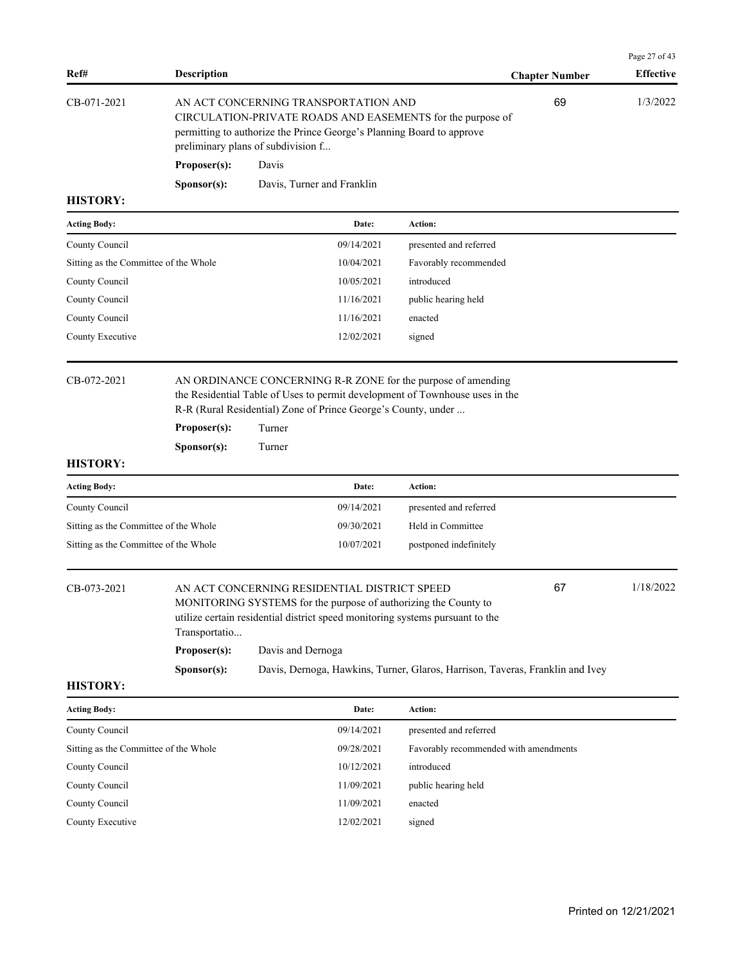|                                                         |                               |                                                                                                                                                                                                                                   |                                                                               |                       | Page 27 of 43    |
|---------------------------------------------------------|-------------------------------|-----------------------------------------------------------------------------------------------------------------------------------------------------------------------------------------------------------------------------------|-------------------------------------------------------------------------------|-----------------------|------------------|
| Ref#                                                    | <b>Description</b>            |                                                                                                                                                                                                                                   |                                                                               | <b>Chapter Number</b> | <b>Effective</b> |
| CB-071-2021                                             |                               | AN ACT CONCERNING TRANSPORTATION AND<br>CIRCULATION-PRIVATE ROADS AND EASEMENTS for the purpose of<br>permitting to authorize the Prince George's Planning Board to approve<br>preliminary plans of subdivision f                 |                                                                               | 69                    | 1/3/2022         |
|                                                         | Proposer(s):                  | Davis                                                                                                                                                                                                                             |                                                                               |                       |                  |
|                                                         | Sponsor(s):                   | Davis, Turner and Franklin                                                                                                                                                                                                        |                                                                               |                       |                  |
| <b>HISTORY:</b>                                         |                               |                                                                                                                                                                                                                                   |                                                                               |                       |                  |
| <b>Acting Body:</b>                                     |                               | Date:                                                                                                                                                                                                                             | <b>Action:</b>                                                                |                       |                  |
| County Council                                          |                               | 09/14/2021                                                                                                                                                                                                                        | presented and referred                                                        |                       |                  |
| Sitting as the Committee of the Whole                   |                               | 10/04/2021                                                                                                                                                                                                                        | Favorably recommended                                                         |                       |                  |
| County Council                                          |                               | 10/05/2021                                                                                                                                                                                                                        | introduced                                                                    |                       |                  |
| County Council                                          |                               | 11/16/2021                                                                                                                                                                                                                        | public hearing held                                                           |                       |                  |
| County Council                                          |                               | 11/16/2021                                                                                                                                                                                                                        | enacted                                                                       |                       |                  |
| County Executive                                        |                               | 12/02/2021                                                                                                                                                                                                                        | signed                                                                        |                       |                  |
| CB-072-2021<br><b>HISTORY:</b>                          | Proposer(s):<br>Sponsor(s):   | AN ORDINANCE CONCERNING R-R ZONE for the purpose of amending<br>the Residential Table of Uses to permit development of Townhouse uses in the<br>R-R (Rural Residential) Zone of Prince George's County, under<br>Turner<br>Turner |                                                                               |                       |                  |
|                                                         |                               | Date:                                                                                                                                                                                                                             | Action:                                                                       |                       |                  |
| <b>Acting Body:</b>                                     |                               |                                                                                                                                                                                                                                   |                                                                               |                       |                  |
| County Council<br>Sitting as the Committee of the Whole |                               | 09/14/2021<br>09/30/2021                                                                                                                                                                                                          | presented and referred<br>Held in Committee                                   |                       |                  |
| Sitting as the Committee of the Whole                   |                               | 10/07/2021                                                                                                                                                                                                                        | postponed indefinitely                                                        |                       |                  |
| CB-073-2021                                             | Transportatio<br>Proposer(s): | AN ACT CONCERNING RESIDENTIAL DISTRICT SPEED<br>MONITORING SYSTEMS for the purpose of authorizing the County to<br>utilize certain residential district speed monitoring systems pursuant to the<br>Davis and Dernoga             |                                                                               | 67                    | 1/18/2022        |
| <b>HISTORY:</b>                                         | Sponsor(s):                   |                                                                                                                                                                                                                                   | Davis, Dernoga, Hawkins, Turner, Glaros, Harrison, Taveras, Franklin and Ivey |                       |                  |
| <b>Acting Body:</b>                                     |                               | Date:                                                                                                                                                                                                                             | Action:                                                                       |                       |                  |
| County Council                                          |                               | 09/14/2021                                                                                                                                                                                                                        | presented and referred                                                        |                       |                  |
| Sitting as the Committee of the Whole                   |                               | 09/28/2021                                                                                                                                                                                                                        | Favorably recommended with amendments                                         |                       |                  |
|                                                         |                               |                                                                                                                                                                                                                                   |                                                                               |                       |                  |
| County Council                                          |                               | 10/12/2021                                                                                                                                                                                                                        | introduced                                                                    |                       |                  |
| County Council                                          |                               | 11/09/2021                                                                                                                                                                                                                        | public hearing held                                                           |                       |                  |
| County Council                                          |                               | 11/09/2021                                                                                                                                                                                                                        | enacted                                                                       |                       |                  |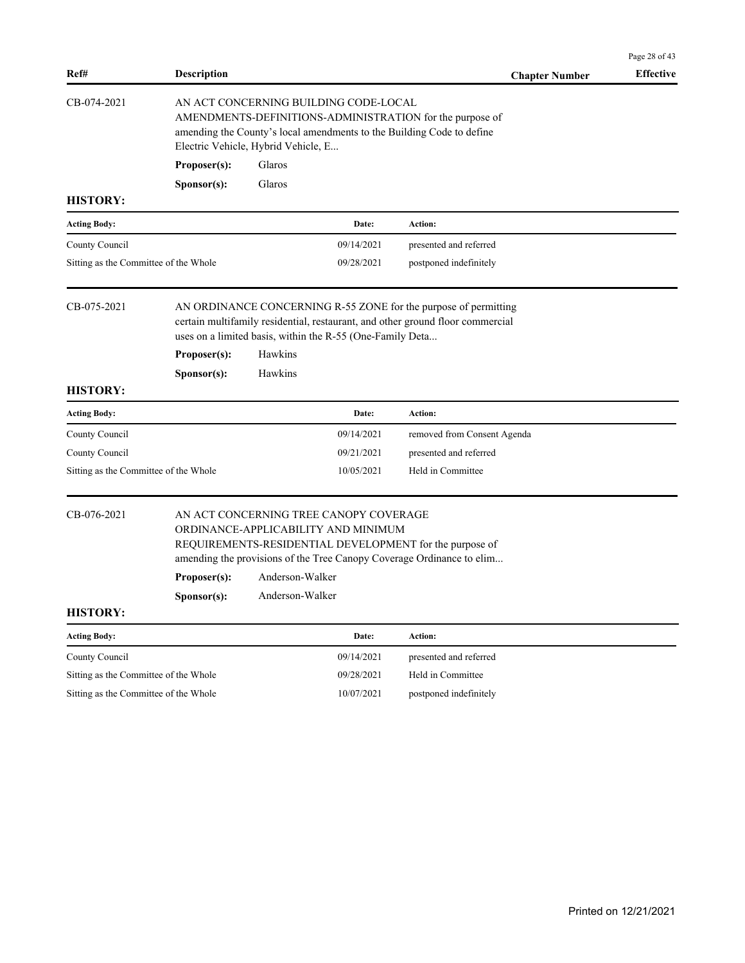| Ref#                                  | <b>Description</b> |                                                                               |            | <b>Chapter Number</b>                                                                                                                             | Page 28 of 43<br><b>Effective</b> |
|---------------------------------------|--------------------|-------------------------------------------------------------------------------|------------|---------------------------------------------------------------------------------------------------------------------------------------------------|-----------------------------------|
| CB-074-2021                           |                    | AN ACT CONCERNING BUILDING CODE-LOCAL<br>Electric Vehicle, Hybrid Vehicle, E  |            | AMENDMENTS-DEFINITIONS-ADMINISTRATION for the purpose of<br>amending the County's local amendments to the Building Code to define                 |                                   |
|                                       | Proposer(s):       | Glaros                                                                        |            |                                                                                                                                                   |                                   |
|                                       | Sponsor(s):        | Glaros                                                                        |            |                                                                                                                                                   |                                   |
| <b>HISTORY:</b>                       |                    |                                                                               |            |                                                                                                                                                   |                                   |
| <b>Acting Body:</b>                   |                    |                                                                               | Date:      | Action:                                                                                                                                           |                                   |
| County Council                        |                    |                                                                               | 09/14/2021 | presented and referred                                                                                                                            |                                   |
| Sitting as the Committee of the Whole |                    |                                                                               | 09/28/2021 | postponed indefinitely                                                                                                                            |                                   |
| CB-075-2021                           |                    | uses on a limited basis, within the R-55 (One-Family Deta                     |            | AN ORDINANCE CONCERNING R-55 ZONE for the purpose of permitting<br>certain multifamily residential, restaurant, and other ground floor commercial |                                   |
|                                       | Proposer(s):       | Hawkins                                                                       |            |                                                                                                                                                   |                                   |
|                                       | Sponsor(s):        | Hawkins                                                                       |            |                                                                                                                                                   |                                   |
| <b>HISTORY:</b>                       |                    |                                                                               |            |                                                                                                                                                   |                                   |
| <b>Acting Body:</b>                   |                    |                                                                               | Date:      | Action:                                                                                                                                           |                                   |
| County Council                        |                    |                                                                               | 09/14/2021 | removed from Consent Agenda                                                                                                                       |                                   |
| County Council                        |                    |                                                                               | 09/21/2021 | presented and referred                                                                                                                            |                                   |
| Sitting as the Committee of the Whole |                    |                                                                               | 10/05/2021 | Held in Committee                                                                                                                                 |                                   |
| CB-076-2021                           |                    | AN ACT CONCERNING TREE CANOPY COVERAGE<br>ORDINANCE-APPLICABILITY AND MINIMUM |            | REQUIREMENTS-RESIDENTIAL DEVELOPMENT for the purpose of<br>amending the provisions of the Tree Canopy Coverage Ordinance to elim                  |                                   |
|                                       | Proposer(s):       | Anderson-Walker                                                               |            |                                                                                                                                                   |                                   |
|                                       | Sponsor(s):        | Anderson-Walker                                                               |            |                                                                                                                                                   |                                   |
| <b>HISTORY:</b>                       |                    |                                                                               |            |                                                                                                                                                   |                                   |
| <b>Acting Body:</b>                   |                    |                                                                               | Date:      | Action:                                                                                                                                           |                                   |
| County Council                        |                    |                                                                               | 09/14/2021 | presented and referred                                                                                                                            |                                   |
| Sitting as the Committee of the Whole |                    |                                                                               | 09/28/2021 | Held in Committee                                                                                                                                 |                                   |
| Sitting as the Committee of the Whole |                    |                                                                               | 10/07/2021 | postponed indefinitely                                                                                                                            |                                   |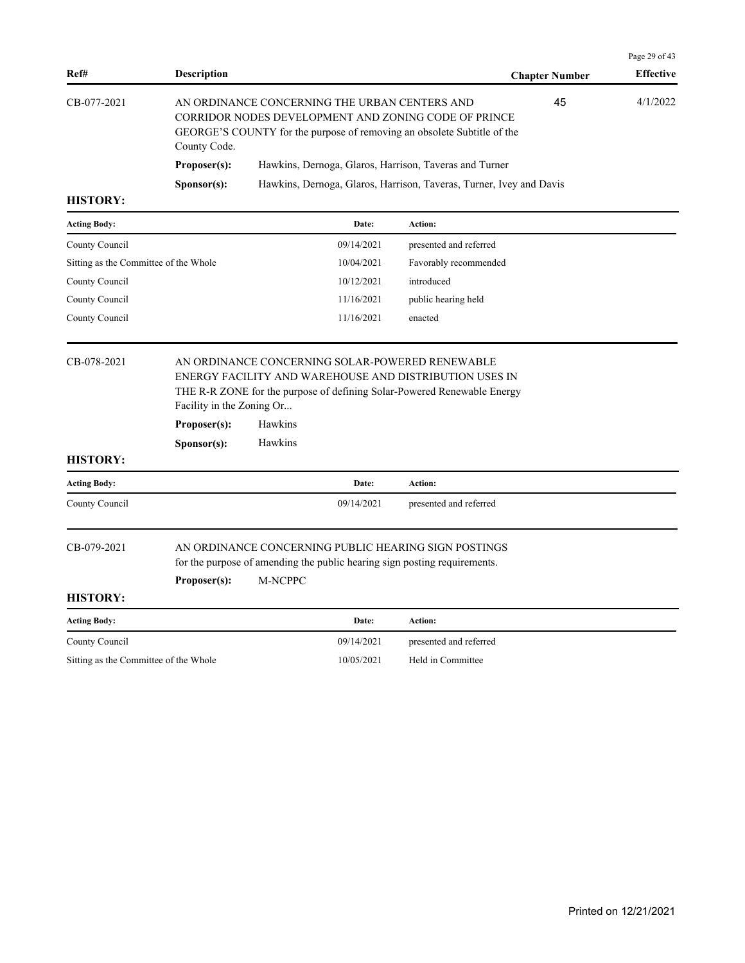| Ref#                                  | <b>Description</b>   |                                                                                                                                                                                  |                        | <b>Chapter Number</b> | <b>Effective</b> |
|---------------------------------------|----------------------|----------------------------------------------------------------------------------------------------------------------------------------------------------------------------------|------------------------|-----------------------|------------------|
| CB-077-2021                           | County Code.         | AN ORDINANCE CONCERNING THE URBAN CENTERS AND<br>CORRIDOR NODES DEVELOPMENT AND ZONING CODE OF PRINCE<br>GEORGE'S COUNTY for the purpose of removing an obsolete Subtitle of the |                        | 45                    | 4/1/2022         |
|                                       | Proposer(s):         | Hawkins, Dernoga, Glaros, Harrison, Taveras and Turner                                                                                                                           |                        |                       |                  |
|                                       | S <b>p</b> onsor(s): | Hawkins, Dernoga, Glaros, Harrison, Taveras, Turner, Ivey and Davis                                                                                                              |                        |                       |                  |
| <b>HISTORY:</b>                       |                      |                                                                                                                                                                                  |                        |                       |                  |
| <b>Acting Body:</b>                   |                      | Date:                                                                                                                                                                            | Action:                |                       |                  |
| County Council                        |                      | 09/14/2021                                                                                                                                                                       | presented and referred |                       |                  |
| Sitting as the Committee of the Whole |                      | 10/04/2021                                                                                                                                                                       | Favorably recommended  |                       |                  |
| County Council                        |                      | 10/12/2021                                                                                                                                                                       | introduced             |                       |                  |
| County Council                        |                      | 11/16/2021                                                                                                                                                                       | public hearing held    |                       |                  |
| County Council                        |                      | 11/16/2021                                                                                                                                                                       | enacted                |                       |                  |
|                                       |                      |                                                                                                                                                                                  |                        |                       |                  |

# CB-078-2021 AN ORDINANCE CONCERNING SOLAR-POWERED RENEWABLE ENERGY FACILITY AND WAREHOUSE AND DISTRIBUTION USES IN THE R-R ZONE for the purpose of defining Solar-Powered Renewable Energy

|                     | Proposer(s):         | Hawkins        |            |                                                      |  |
|---------------------|----------------------|----------------|------------|------------------------------------------------------|--|
|                     | S <b>p</b> onsor(s): | <b>Hawkins</b> |            |                                                      |  |
| <b>HISTORY:</b>     |                      |                |            |                                                      |  |
| <b>Acting Body:</b> |                      |                | Date:      | <b>Action:</b>                                       |  |
| County Council      |                      |                | 09/14/2021 | presented and referred                               |  |
|                     |                      |                |            |                                                      |  |
| CB-079-2021         |                      |                |            | AN ORDINANCE CONCERNING PUBLIC HEARING SIGN POSTINGS |  |

for the purpose of amending the public hearing sign posting requirements.

**Proposer(s):** M-NCPPC

Facility in the Zoning Or...

# **HISTORY:**

| <b>Acting Body:</b>                   | Date:      | Action:                |
|---------------------------------------|------------|------------------------|
| County Council                        | 09/14/2021 | presented and referred |
| Sitting as the Committee of the Whole | 10/05/2021 | Held in Committee      |

Page 29 of 43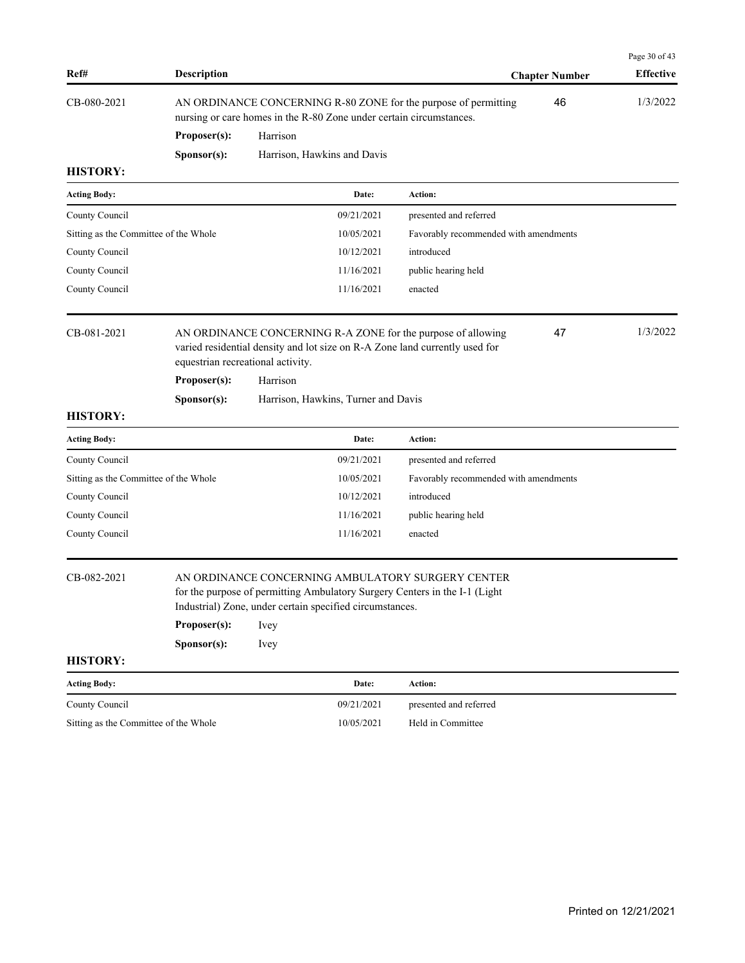| Ref#                                  | <b>Description</b>                |          |                                                          |                                                                                                                                             | <b>Chapter Number</b> | Page 30 of 43<br><b>Effective</b> |
|---------------------------------------|-----------------------------------|----------|----------------------------------------------------------|---------------------------------------------------------------------------------------------------------------------------------------------|-----------------------|-----------------------------------|
| CB-080-2021                           |                                   |          |                                                          | AN ORDINANCE CONCERNING R-80 ZONE for the purpose of permitting                                                                             | 46                    | 1/3/2022                          |
|                                       |                                   |          |                                                          | nursing or care homes in the R-80 Zone under certain circumstances.                                                                         |                       |                                   |
|                                       | Proposer(s):                      | Harrison |                                                          |                                                                                                                                             |                       |                                   |
|                                       | Sponsor(s):                       |          | Harrison, Hawkins and Davis                              |                                                                                                                                             |                       |                                   |
| <b>HISTORY:</b>                       |                                   |          |                                                          |                                                                                                                                             |                       |                                   |
| <b>Acting Body:</b>                   |                                   |          | Date:                                                    | Action:                                                                                                                                     |                       |                                   |
| County Council                        |                                   |          | 09/21/2021                                               | presented and referred                                                                                                                      |                       |                                   |
| Sitting as the Committee of the Whole |                                   |          | 10/05/2021                                               | Favorably recommended with amendments                                                                                                       |                       |                                   |
| County Council                        |                                   |          | 10/12/2021                                               | introduced                                                                                                                                  |                       |                                   |
| County Council                        |                                   |          | 11/16/2021                                               | public hearing held                                                                                                                         |                       |                                   |
| County Council                        |                                   |          | 11/16/2021                                               | enacted                                                                                                                                     |                       |                                   |
| CB-081-2021                           | equestrian recreational activity. |          |                                                          | AN ORDINANCE CONCERNING R-A ZONE for the purpose of allowing<br>varied residential density and lot size on R-A Zone land currently used for | 47                    | 1/3/2022                          |
|                                       | Proposer(s):                      | Harrison |                                                          |                                                                                                                                             |                       |                                   |
|                                       | Sponsor(s):                       |          | Harrison, Hawkins, Turner and Davis                      |                                                                                                                                             |                       |                                   |
| <b>HISTORY:</b>                       |                                   |          |                                                          |                                                                                                                                             |                       |                                   |
| <b>Acting Body:</b>                   |                                   |          | Date:                                                    | Action:                                                                                                                                     |                       |                                   |
| County Council                        |                                   |          | 09/21/2021                                               | presented and referred                                                                                                                      |                       |                                   |
| Sitting as the Committee of the Whole |                                   |          | 10/05/2021                                               | Favorably recommended with amendments                                                                                                       |                       |                                   |
| County Council                        |                                   |          | 10/12/2021                                               | introduced                                                                                                                                  |                       |                                   |
| County Council                        |                                   |          | 11/16/2021                                               | public hearing held                                                                                                                         |                       |                                   |
| County Council                        |                                   |          | 11/16/2021                                               | enacted                                                                                                                                     |                       |                                   |
| CB-082-2021                           |                                   |          | Industrial) Zone, under certain specified circumstances. | AN ORDINANCE CONCERNING AMBULATORY SURGERY CENTER<br>for the purpose of permitting Ambulatory Surgery Centers in the I-1 (Light             |                       |                                   |
|                                       | Proposer(s):                      | Ivey     |                                                          |                                                                                                                                             |                       |                                   |
|                                       | Sponsor(s):                       | Ivey     |                                                          |                                                                                                                                             |                       |                                   |
| <b>HISTORY:</b>                       |                                   |          |                                                          |                                                                                                                                             |                       |                                   |
| <b>Acting Body:</b>                   |                                   |          | Date:                                                    | Action:                                                                                                                                     |                       |                                   |
| County Council                        |                                   |          | 09/21/2021                                               | presented and referred                                                                                                                      |                       |                                   |
| Sitting as the Committee of the Whole |                                   |          | 10/05/2021                                               | Held in Committee                                                                                                                           |                       |                                   |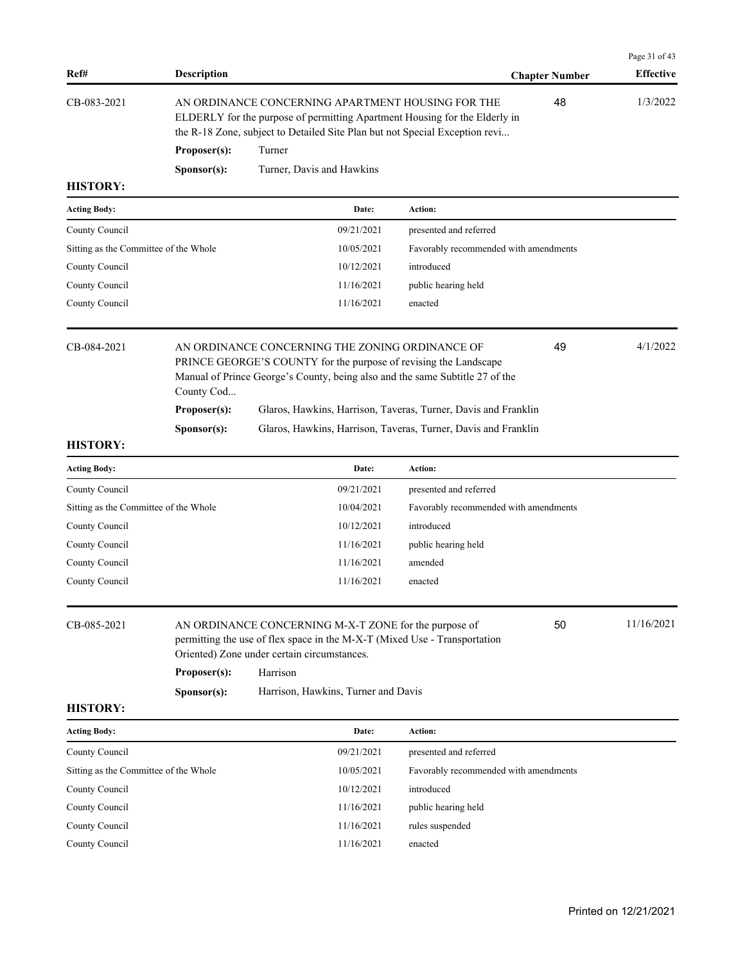| Ref#                                  | <b>Description</b>   |                                                                                                                                                                                                                |                                       | <b>Chapter Number</b> | Page 31 of 43<br><b>Effective</b> |
|---------------------------------------|----------------------|----------------------------------------------------------------------------------------------------------------------------------------------------------------------------------------------------------------|---------------------------------------|-----------------------|-----------------------------------|
| CB-083-2021                           |                      | AN ORDINANCE CONCERNING APARTMENT HOUSING FOR THE<br>ELDERLY for the purpose of permitting Apartment Housing for the Elderly in<br>the R-18 Zone, subject to Detailed Site Plan but not Special Exception revi |                                       | 48                    | 1/3/2022                          |
|                                       | Proposer(s):         | Turner                                                                                                                                                                                                         |                                       |                       |                                   |
|                                       | S <b>p</b> onsor(s): | Turner, Davis and Hawkins                                                                                                                                                                                      |                                       |                       |                                   |
| <b>HISTORY:</b>                       |                      |                                                                                                                                                                                                                |                                       |                       |                                   |
| <b>Acting Body:</b>                   |                      | Date:                                                                                                                                                                                                          | Action:                               |                       |                                   |
| County Council                        |                      | 09/21/2021                                                                                                                                                                                                     | presented and referred                |                       |                                   |
| Sitting as the Committee of the Whole |                      | 10/05/2021                                                                                                                                                                                                     | Favorably recommended with amendments |                       |                                   |
| County Council                        |                      | 10/12/2021                                                                                                                                                                                                     | introduced                            |                       |                                   |
| County Council                        |                      | 11/16/2021                                                                                                                                                                                                     | public hearing held                   |                       |                                   |
| County Council                        |                      | 11/16/2021                                                                                                                                                                                                     | enacted                               |                       |                                   |
| CB-084-2021                           | County Cod           | AN ORDINANCE CONCERNING THE ZONING ORDINANCE OF<br>PRINCE GEORGE'S COUNTY for the purpose of revising the Landscape<br>Manual of Prince George's County, being also and the same Subtitle 27 of the            |                                       | 49                    | 4/1/2022                          |
|                                       | Proposer(s):         | Glaros, Hawkins, Harrison, Taveras, Turner, Davis and Franklin                                                                                                                                                 |                                       |                       |                                   |
|                                       | S <b>p</b> onsor(s): | Glaros, Hawkins, Harrison, Taveras, Turner, Davis and Franklin                                                                                                                                                 |                                       |                       |                                   |
| <b>HISTORY:</b>                       |                      |                                                                                                                                                                                                                |                                       |                       |                                   |
| <b>Acting Body:</b>                   |                      | Date:                                                                                                                                                                                                          | Action:                               |                       |                                   |
| County Council                        |                      | 09/21/2021                                                                                                                                                                                                     | presented and referred                |                       |                                   |
| Sitting as the Committee of the Whole |                      | 10/04/2021                                                                                                                                                                                                     | Favorably recommended with amendments |                       |                                   |
| County Council                        |                      | 10/12/2021                                                                                                                                                                                                     | introduced                            |                       |                                   |
| County Council                        |                      | 11/16/2021                                                                                                                                                                                                     | public hearing held                   |                       |                                   |
| County Council                        |                      | 11/16/2021                                                                                                                                                                                                     | amended                               |                       |                                   |
| County Council                        |                      | 11/16/2021                                                                                                                                                                                                     | enacted                               |                       |                                   |
| CB-085-2021                           | Proposer(s):         | AN ORDINANCE CONCERNING M-X-T ZONE for the purpose of<br>permitting the use of flex space in the M-X-T (Mixed Use - Transportation<br>Oriented) Zone under certain circumstances.<br>Harrison                  |                                       | 50                    | 11/16/2021                        |
|                                       | Sponsor(s):          | Harrison, Hawkins, Turner and Davis                                                                                                                                                                            |                                       |                       |                                   |
| <b>HISTORY:</b>                       |                      |                                                                                                                                                                                                                |                                       |                       |                                   |
| <b>Acting Body:</b>                   |                      | Date:                                                                                                                                                                                                          | Action:                               |                       |                                   |
| County Council                        |                      | 09/21/2021                                                                                                                                                                                                     | presented and referred                |                       |                                   |
| Sitting as the Committee of the Whole |                      | 10/05/2021                                                                                                                                                                                                     | Favorably recommended with amendments |                       |                                   |
| County Council                        |                      | 10/12/2021                                                                                                                                                                                                     | introduced                            |                       |                                   |
| County Council                        |                      | 11/16/2021                                                                                                                                                                                                     | public hearing held                   |                       |                                   |
| County Council                        |                      | 11/16/2021                                                                                                                                                                                                     | rules suspended                       |                       |                                   |
| County Council                        |                      | 11/16/2021                                                                                                                                                                                                     | enacted                               |                       |                                   |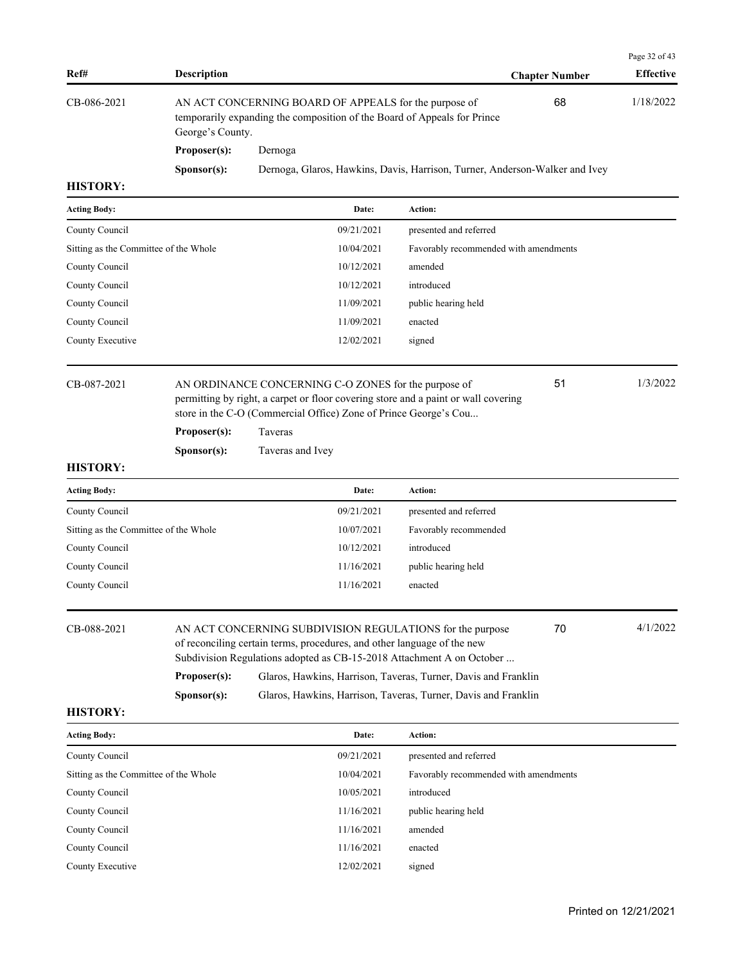| Ref#                                  | <b>Description</b> |                                                                                                                                                                                                                     |                                       | <b>Chapter Number</b> | Page 32 of 43<br><b>Effective</b> |
|---------------------------------------|--------------------|---------------------------------------------------------------------------------------------------------------------------------------------------------------------------------------------------------------------|---------------------------------------|-----------------------|-----------------------------------|
| CB-086-2021                           | George's County.   | AN ACT CONCERNING BOARD OF APPEALS for the purpose of<br>temporarily expanding the composition of the Board of Appeals for Prince                                                                                   |                                       | 68                    | 1/18/2022                         |
|                                       | Proposer(s):       | Dernoga                                                                                                                                                                                                             |                                       |                       |                                   |
|                                       | Sponsor(s):        | Dernoga, Glaros, Hawkins, Davis, Harrison, Turner, Anderson-Walker and Ivey                                                                                                                                         |                                       |                       |                                   |
| <b>HISTORY:</b>                       |                    |                                                                                                                                                                                                                     |                                       |                       |                                   |
| <b>Acting Body:</b>                   |                    | Date:                                                                                                                                                                                                               | Action:                               |                       |                                   |
| County Council                        |                    | 09/21/2021                                                                                                                                                                                                          | presented and referred                |                       |                                   |
| Sitting as the Committee of the Whole |                    | 10/04/2021                                                                                                                                                                                                          | Favorably recommended with amendments |                       |                                   |
| County Council                        |                    | 10/12/2021                                                                                                                                                                                                          | amended                               |                       |                                   |
| County Council                        |                    | 10/12/2021                                                                                                                                                                                                          | introduced                            |                       |                                   |
| County Council                        |                    | 11/09/2021                                                                                                                                                                                                          | public hearing held                   |                       |                                   |
| County Council                        |                    | 11/09/2021                                                                                                                                                                                                          | enacted                               |                       |                                   |
| County Executive                      |                    | 12/02/2021                                                                                                                                                                                                          | signed                                |                       |                                   |
| CB-087-2021                           |                    | AN ORDINANCE CONCERNING C-O ZONES for the purpose of<br>permitting by right, a carpet or floor covering store and a paint or wall covering<br>store in the C-O (Commercial Office) Zone of Prince George's Cou      |                                       | 51                    | 1/3/2022                          |
|                                       | Proposer(s):       | Taveras                                                                                                                                                                                                             |                                       |                       |                                   |
|                                       | Sponsor(s):        | Taveras and Ivey                                                                                                                                                                                                    |                                       |                       |                                   |
| <b>HISTORY:</b>                       |                    |                                                                                                                                                                                                                     |                                       |                       |                                   |
| <b>Acting Body:</b>                   |                    | Date:                                                                                                                                                                                                               | Action:                               |                       |                                   |
| County Council                        |                    | 09/21/2021                                                                                                                                                                                                          | presented and referred                |                       |                                   |
| Sitting as the Committee of the Whole |                    | 10/07/2021                                                                                                                                                                                                          | Favorably recommended                 |                       |                                   |
| County Council                        |                    | 10/12/2021                                                                                                                                                                                                          | introduced                            |                       |                                   |
| County Council                        |                    | 11/16/2021                                                                                                                                                                                                          | public hearing held                   |                       |                                   |
| County Council                        |                    | 11/16/2021                                                                                                                                                                                                          | enacted                               |                       |                                   |
| CB-088-2021                           |                    | 70<br>AN ACT CONCERNING SUBDIVISION REGULATIONS for the purpose<br>of reconciling certain terms, procedures, and other language of the new<br>Subdivision Regulations adopted as CB-15-2018 Attachment A on October |                                       |                       | 4/1/2022                          |
|                                       | Proposer(s):       | Glaros, Hawkins, Harrison, Taveras, Turner, Davis and Franklin                                                                                                                                                      |                                       |                       |                                   |
|                                       | Sponsor(s):        | Glaros, Hawkins, Harrison, Taveras, Turner, Davis and Franklin                                                                                                                                                      |                                       |                       |                                   |
| <b>HISTORY:</b>                       |                    |                                                                                                                                                                                                                     |                                       |                       |                                   |
| <b>Acting Body:</b>                   |                    | Date:                                                                                                                                                                                                               | Action:                               |                       |                                   |
| County Council                        |                    | 09/21/2021                                                                                                                                                                                                          | presented and referred                |                       |                                   |
| Sitting as the Committee of the Whole |                    | 10/04/2021                                                                                                                                                                                                          | Favorably recommended with amendments |                       |                                   |
| County Council                        |                    | 10/05/2021                                                                                                                                                                                                          | introduced                            |                       |                                   |
| County Council                        |                    | 11/16/2021                                                                                                                                                                                                          | public hearing held                   |                       |                                   |
| County Council                        |                    | 11/16/2021                                                                                                                                                                                                          | amended                               |                       |                                   |

County Council 11/16/2021 enacted County Executive 12/02/2021 signed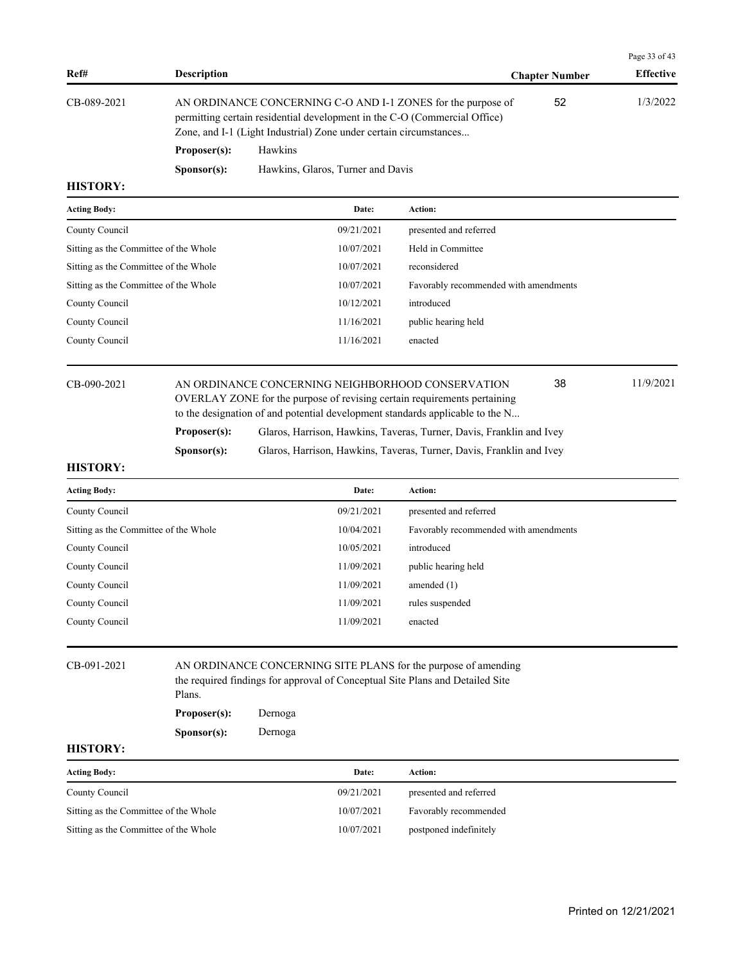| Ref#                                  | <b>Description</b>   |                                                                                                                                                                                                                |                                       | <b>Chapter Number</b> | Page 33 of 43<br><b>Effective</b> |
|---------------------------------------|----------------------|----------------------------------------------------------------------------------------------------------------------------------------------------------------------------------------------------------------|---------------------------------------|-----------------------|-----------------------------------|
| CB-089-2021                           |                      | AN ORDINANCE CONCERNING C-O AND I-1 ZONES for the purpose of<br>permitting certain residential development in the C-O (Commercial Office)<br>Zone, and I-1 (Light Industrial) Zone under certain circumstances |                                       | 52                    | 1/3/2022                          |
|                                       | Proposer(s):         | Hawkins                                                                                                                                                                                                        |                                       |                       |                                   |
|                                       | S <b>p</b> onsor(s): | Hawkins, Glaros, Turner and Davis                                                                                                                                                                              |                                       |                       |                                   |
| <b>HISTORY:</b>                       |                      |                                                                                                                                                                                                                |                                       |                       |                                   |
| <b>Acting Body:</b>                   |                      | Date:                                                                                                                                                                                                          | Action:                               |                       |                                   |
| County Council                        |                      | 09/21/2021                                                                                                                                                                                                     | presented and referred                |                       |                                   |
| Sitting as the Committee of the Whole |                      | 10/07/2021                                                                                                                                                                                                     | Held in Committee                     |                       |                                   |
| Sitting as the Committee of the Whole |                      | 10/07/2021                                                                                                                                                                                                     | reconsidered                          |                       |                                   |
| Sitting as the Committee of the Whole |                      | 10/07/2021                                                                                                                                                                                                     | Favorably recommended with amendments |                       |                                   |
| County Council                        |                      | 10/12/2021                                                                                                                                                                                                     | introduced                            |                       |                                   |
| County Council                        |                      | 11/16/2021                                                                                                                                                                                                     | public hearing held                   |                       |                                   |
| County Council                        |                      | 11/16/2021                                                                                                                                                                                                     | enacted                               |                       |                                   |
| CB-090-2021                           |                      | AN ORDINANCE CONCERNING NEIGHBORHOOD CONSERVATION<br>OVERLAY ZONE for the purpose of revising certain requirements pertaining<br>to the designation of and potential development standards applicable to the N |                                       | 38                    | 11/9/2021                         |
|                                       | Proposer(s):         | Glaros, Harrison, Hawkins, Taveras, Turner, Davis, Franklin and Ivey                                                                                                                                           |                                       |                       |                                   |
|                                       | Sponsor(s):          | Glaros, Harrison, Hawkins, Taveras, Turner, Davis, Franklin and Ivey                                                                                                                                           |                                       |                       |                                   |
| <b>HISTORY:</b>                       |                      |                                                                                                                                                                                                                |                                       |                       |                                   |

| <b>Acting Body:</b>                   | Date:      | Action:                               |
|---------------------------------------|------------|---------------------------------------|
| County Council                        | 09/21/2021 | presented and referred                |
| Sitting as the Committee of the Whole | 10/04/2021 | Favorably recommended with amendments |
| County Council                        | 10/05/2021 | introduced                            |
| County Council                        | 11/09/2021 | public hearing held                   |
| County Council                        | 11/09/2021 | amended $(1)$                         |
| County Council                        | 11/09/2021 | rules suspended                       |
| County Council                        | 11/09/2021 | enacted                               |
|                                       |            |                                       |

CB-091-2021 AN ORDINANCE CONCERNING SITE PLANS for the purpose of amending the required findings for approval of Conceptual Site Plans and Detailed Site Plans. **Proposer(s):** Dernoga **Sponsor(s):** Dernoga

| <b>Acting Body:</b>                   | Date:      | Action:                |
|---------------------------------------|------------|------------------------|
| County Council                        | 09/21/2021 | presented and referred |
| Sitting as the Committee of the Whole | 10/07/2021 | Favorably recommended  |
| Sitting as the Committee of the Whole | 10/07/2021 | postponed indefinitely |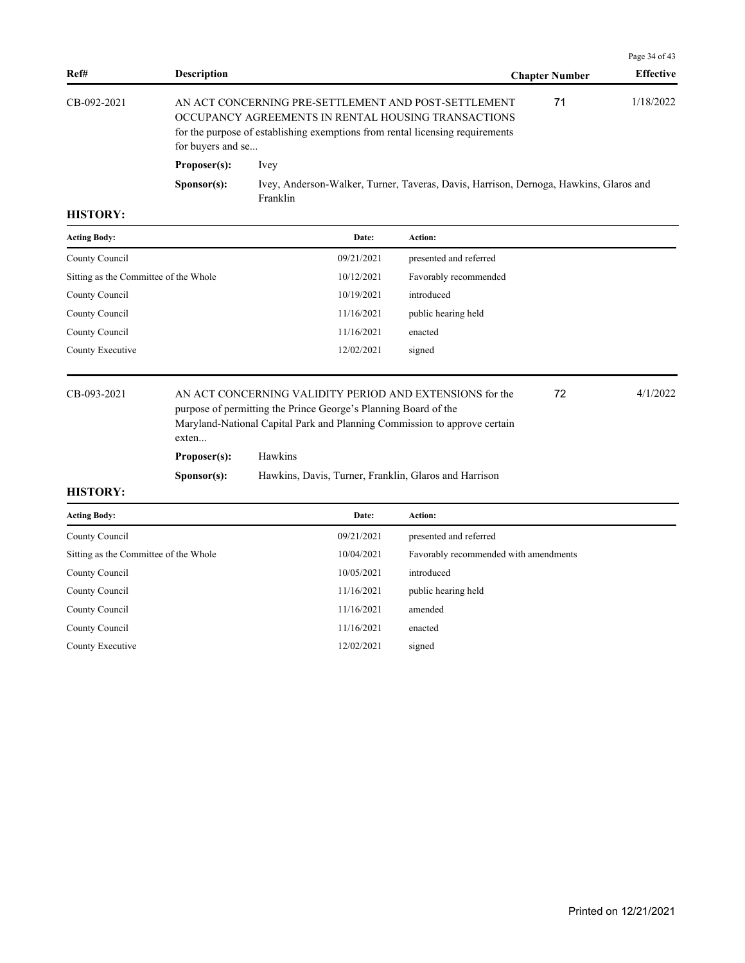|             |                      |                                                                                                                                                                                              |                       | Page 34 of 43    |  |
|-------------|----------------------|----------------------------------------------------------------------------------------------------------------------------------------------------------------------------------------------|-----------------------|------------------|--|
| Ref#        | <b>Description</b>   |                                                                                                                                                                                              | <b>Chapter Number</b> | <b>Effective</b> |  |
| CB-092-2021 | for buyers and se    | AN ACT CONCERNING PRE-SETTLEMENT AND POST-SETTLEMENT<br>OCCUPANCY AGREEMENTS IN RENTAL HOUSING TRANSACTIONS<br>for the purpose of establishing exemptions from rental licensing requirements | 71                    | 1/18/2022        |  |
|             | Proposer(s):         | <i>lvey</i>                                                                                                                                                                                  |                       |                  |  |
|             | S <b>p</b> onsor(s): | Ivey, Anderson-Walker, Turner, Taveras, Davis, Harrison, Dernoga, Hawkins, Glaros and<br>Franklin                                                                                            |                       |                  |  |

| <b>Acting Body:</b>                   | Date:      | Action:                |
|---------------------------------------|------------|------------------------|
| County Council                        | 09/21/2021 | presented and referred |
| Sitting as the Committee of the Whole | 10/12/2021 | Favorably recommended  |
| County Council                        | 10/19/2021 | introduced             |
| County Council                        | 11/16/2021 | public hearing held    |
| County Council                        | 11/16/2021 | enacted                |
| County Executive                      | 12/02/2021 | signed                 |

CB-093-2021 AN ACT CONCERNING VALIDITY PERIOD AND EXTENSIONS for the 4/1/2022 purpose of permitting the Prince George's Planning Board of the Maryland-National Capital Park and Planning Commission to approve certain exten... 72 **Proposer(s):** Hawkins **Sponsor(s):** Hawkins, Davis, Turner, Franklin, Glaros and Harrison

| <b>Acting Body:</b>                   | Date:      | <b>Action:</b>                        |
|---------------------------------------|------------|---------------------------------------|
| County Council                        | 09/21/2021 | presented and referred                |
| Sitting as the Committee of the Whole | 10/04/2021 | Favorably recommended with amendments |
| County Council                        | 10/05/2021 | introduced                            |
| County Council                        | 11/16/2021 | public hearing held                   |
| County Council                        | 11/16/2021 | amended                               |
| County Council                        | 11/16/2021 | enacted                               |
| County Executive                      | 12/02/2021 | signed                                |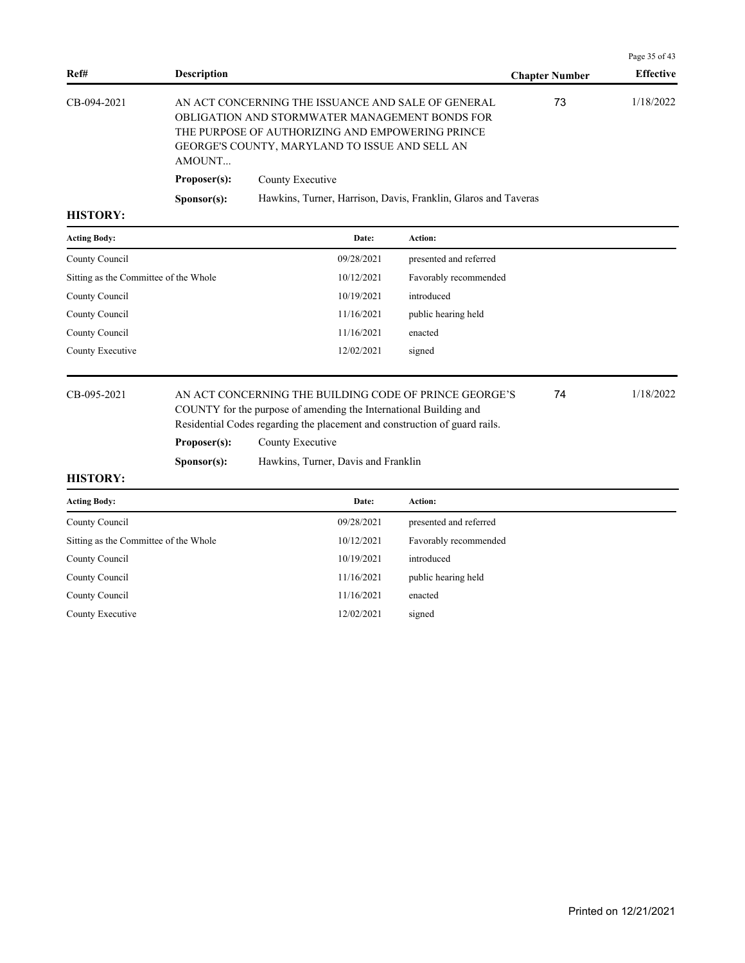| Ref#        | <b>Description</b>   |                                                                                                                                                                                                            | <b>Chapter Number</b> | <b>Effective</b> |
|-------------|----------------------|------------------------------------------------------------------------------------------------------------------------------------------------------------------------------------------------------------|-----------------------|------------------|
| CB-094-2021 | AMOUNT               | AN ACT CONCERNING THE ISSUANCE AND SALE OF GENERAL<br>OBLIGATION AND STORMWATER MANAGEMENT BONDS FOR<br>THE PURPOSE OF AUTHORIZING AND EMPOWERING PRINCE<br>GEORGE'S COUNTY, MARYLAND TO ISSUE AND SELL AN | 73                    | 1/18/2022        |
|             | Proposer(s):         | County Executive                                                                                                                                                                                           |                       |                  |
|             | S <b>p</b> onsor(s): | Hawkins, Turner, Harrison, Davis, Franklin, Glaros and Taveras                                                                                                                                             |                       |                  |
|             |                      |                                                                                                                                                                                                            |                       |                  |

| <b>Acting Body:</b>                   | Date:      | <b>Action:</b>         |
|---------------------------------------|------------|------------------------|
| County Council                        | 09/28/2021 | presented and referred |
| Sitting as the Committee of the Whole | 10/12/2021 | Favorably recommended  |
| County Council                        | 10/19/2021 | introduced             |
| County Council                        | 11/16/2021 | public hearing held    |
| County Council                        | 11/16/2021 | enacted                |
| County Executive                      | 12/02/2021 | signed                 |

# CB-095-2021 AN ACT CONCERNING THE BUILDING CODE OF PRINCE GEORGE'S 74 1/18/2022 COUNTY for the purpose of amending the International Building and Residential Codes regarding the placement and construction of guard rails.

Proposer(s): County Executive

**Sponsor(s):** Hawkins, Turner, Davis and Franklin

### **HISTORY:**

| <b>Acting Body:</b>                   | Date:      | <b>Action:</b>         |
|---------------------------------------|------------|------------------------|
| County Council                        | 09/28/2021 | presented and referred |
| Sitting as the Committee of the Whole | 10/12/2021 | Favorably recommended  |
| County Council                        | 10/19/2021 | introduced             |
| County Council                        | 11/16/2021 | public hearing held    |
| County Council                        | 11/16/2021 | enacted                |
| County Executive                      | 12/02/2021 | signed                 |

Page 35 of 43

74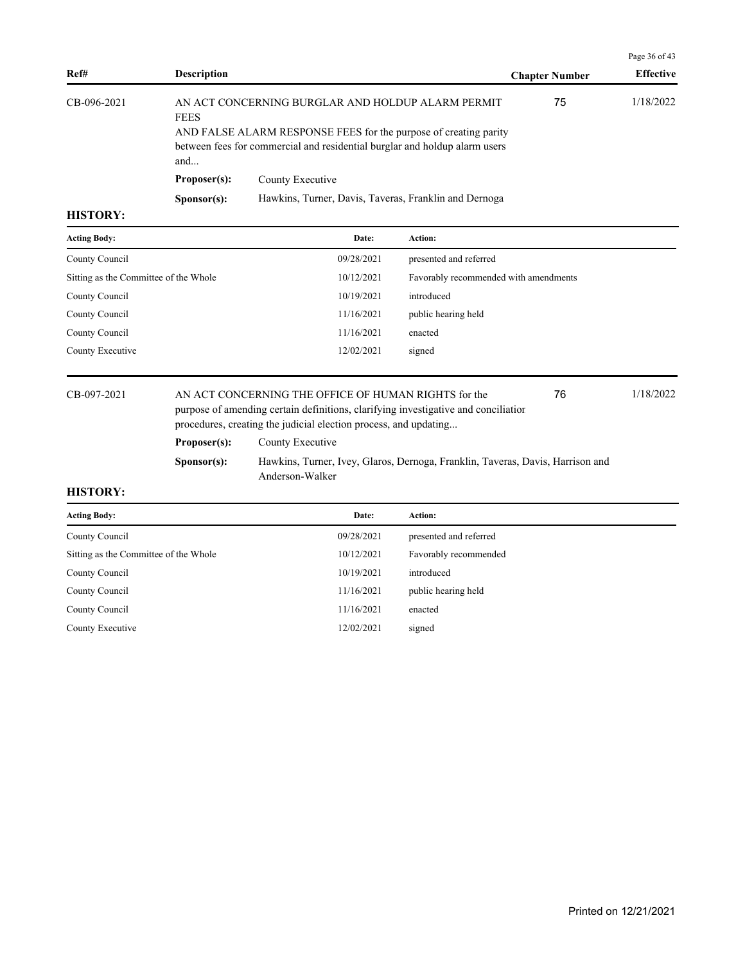|                 |                                                                                                                                                                                                                           |                                                       |                       | Page 36 of 43    |
|-----------------|---------------------------------------------------------------------------------------------------------------------------------------------------------------------------------------------------------------------------|-------------------------------------------------------|-----------------------|------------------|
| Ref#            | <b>Description</b>                                                                                                                                                                                                        |                                                       | <b>Chapter Number</b> | <b>Effective</b> |
| CB-096-2021     | AN ACT CONCERNING BURGLAR AND HOLDUP ALARM PERMIT<br><b>FEES</b><br>AND FALSE ALARM RESPONSE FEES for the purpose of creating parity<br>between fees for commercial and residential burglar and holdup alarm users<br>and |                                                       | 75                    | 1/18/2022        |
|                 | Proposer(s):                                                                                                                                                                                                              | County Executive                                      |                       |                  |
|                 | S <b>p</b> onsor(s):                                                                                                                                                                                                      | Hawkins, Turner, Davis, Taveras, Franklin and Dernoga |                       |                  |
| <b>HICTODV.</b> |                                                                                                                                                                                                                           |                                                       |                       |                  |

| <b>Acting Body:</b>                   | Date:      | <b>Action:</b>                        |
|---------------------------------------|------------|---------------------------------------|
| County Council                        | 09/28/2021 | presented and referred                |
| Sitting as the Committee of the Whole | 10/12/2021 | Favorably recommended with amendments |
| County Council                        | 10/19/2021 | introduced                            |
| County Council                        | 11/16/2021 | public hearing held                   |
| County Council                        | 11/16/2021 | enacted                               |
| County Executive                      | 12/02/2021 | signed                                |
|                                       |            |                                       |

CB-097-2021 AN ACT CONCERNING THE OFFICE OF HUMAN RIGHTS for the 76 1/18/2022 purpose of amending certain definitions, clarifying investigative and conciliation procedures, creating the judicial election process, and updating... 76 **Proposer(s):** County Executive

**Sponsor(s):** Hawkins, Turner, Ivey, Glaros, Dernoga, Franklin, Taveras, Davis, Harrison and Anderson-Walker

| Date:      | <b>Action:</b>         |
|------------|------------------------|
| 09/28/2021 | presented and referred |
| 10/12/2021 | Favorably recommended  |
| 10/19/2021 | introduced             |
| 11/16/2021 | public hearing held    |
| 11/16/2021 | enacted                |
| 12/02/2021 | signed                 |
|            |                        |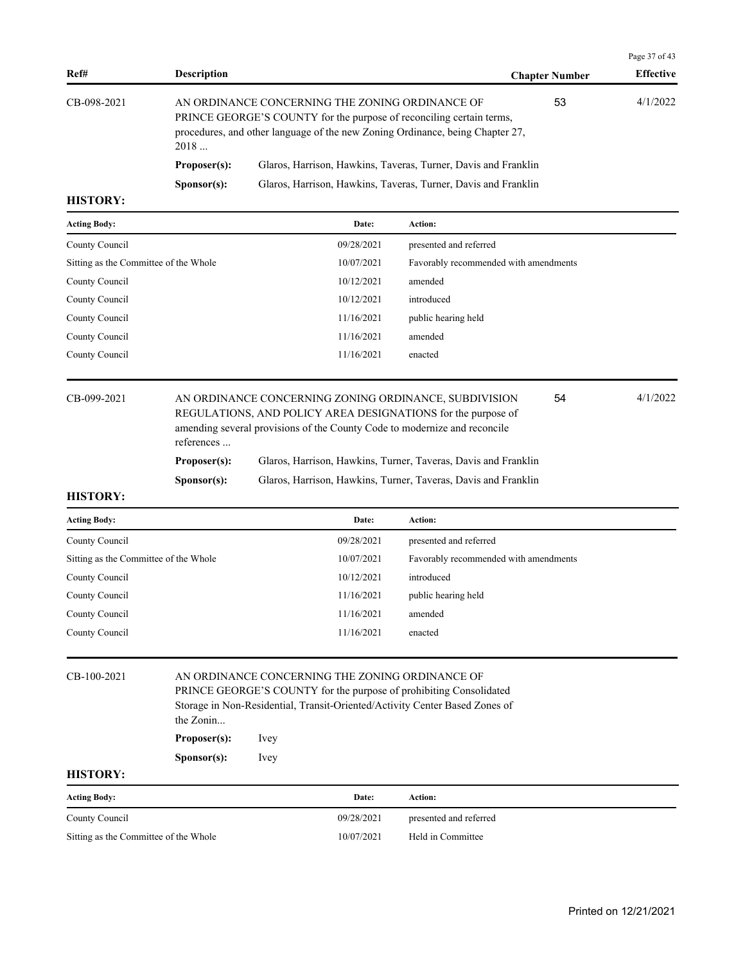|             |                      |                                                                                                                                                                                                          |                       | Page 37 of 43    |
|-------------|----------------------|----------------------------------------------------------------------------------------------------------------------------------------------------------------------------------------------------------|-----------------------|------------------|
| Ref#        | <b>Description</b>   |                                                                                                                                                                                                          | <b>Chapter Number</b> | <b>Effective</b> |
| CB-098-2021 | 2018                 | AN ORDINANCE CONCERNING THE ZONING ORDINANCE OF<br>PRINCE GEORGE'S COUNTY for the purpose of reconciling certain terms,<br>procedures, and other language of the new Zoning Ordinance, being Chapter 27, | 53                    | 4/1/2022         |
|             | Proposer(s):         | Glaros, Harrison, Hawkins, Taveras, Turner, Davis and Franklin                                                                                                                                           |                       |                  |
|             | S <b>p</b> onsor(s): | Glaros, Harrison, Hawkins, Taveras, Turner, Davis and Franklin                                                                                                                                           |                       |                  |

| <b>Acting Body:</b>                   | Date:      | <b>Action:</b>                        |
|---------------------------------------|------------|---------------------------------------|
| County Council                        | 09/28/2021 | presented and referred                |
| Sitting as the Committee of the Whole | 10/07/2021 | Favorably recommended with amendments |
| County Council                        | 10/12/2021 | amended                               |
| County Council                        | 10/12/2021 | introduced                            |
| County Council                        | 11/16/2021 | public hearing held                   |
| County Council                        | 11/16/2021 | amended                               |
| County Council                        | 11/16/2021 | enacted                               |
|                                       |            |                                       |

| CB-099-2021 |                      | AN ORDINANCE CONCERNING ZONING ORDINANCE, SUBDIVISION<br>REGULATIONS, AND POLICY AREA DESIGNATIONS for the purpose of | 54 | 4/1/2022 |
|-------------|----------------------|-----------------------------------------------------------------------------------------------------------------------|----|----------|
|             | references           | amending several provisions of the County Code to modernize and reconcile                                             |    |          |
|             | Proposer(s):         | Glaros, Harrison, Hawkins, Turner, Taveras, Davis and Franklin                                                        |    |          |
|             | S <b>p</b> onsor(s): | Glaros, Harrison, Hawkins, Turner, Taveras, Davis and Franklin                                                        |    |          |

### **HISTORY:**

| <b>Acting Body:</b>                   | Date:      | Action:                               |
|---------------------------------------|------------|---------------------------------------|
| County Council                        | 09/28/2021 | presented and referred                |
| Sitting as the Committee of the Whole | 10/07/2021 | Favorably recommended with amendments |
| County Council                        | 10/12/2021 | introduced                            |
| County Council                        | 11/16/2021 | public hearing held                   |
| County Council                        | 11/16/2021 | amended                               |
| County Council                        | 11/16/2021 | enacted                               |
|                                       |            |                                       |

# CB-100-2021 AN ORDINANCE CONCERNING THE ZONING ORDINANCE OF PRINCE GEORGE'S COUNTY for the purpose of prohibiting Consolidated

Storage in Non-Residential, Transit-Oriented/Activity Center Based Zones of the Zonin...

**Proposer(s):** Ivey

**Sponsor(s):** Ivey

| <b>Acting Body:</b>                   | Date:      | Action:                |
|---------------------------------------|------------|------------------------|
| County Council                        | 09/28/2021 | presented and referred |
| Sitting as the Committee of the Whole | 10/07/2021 | Held in Committee      |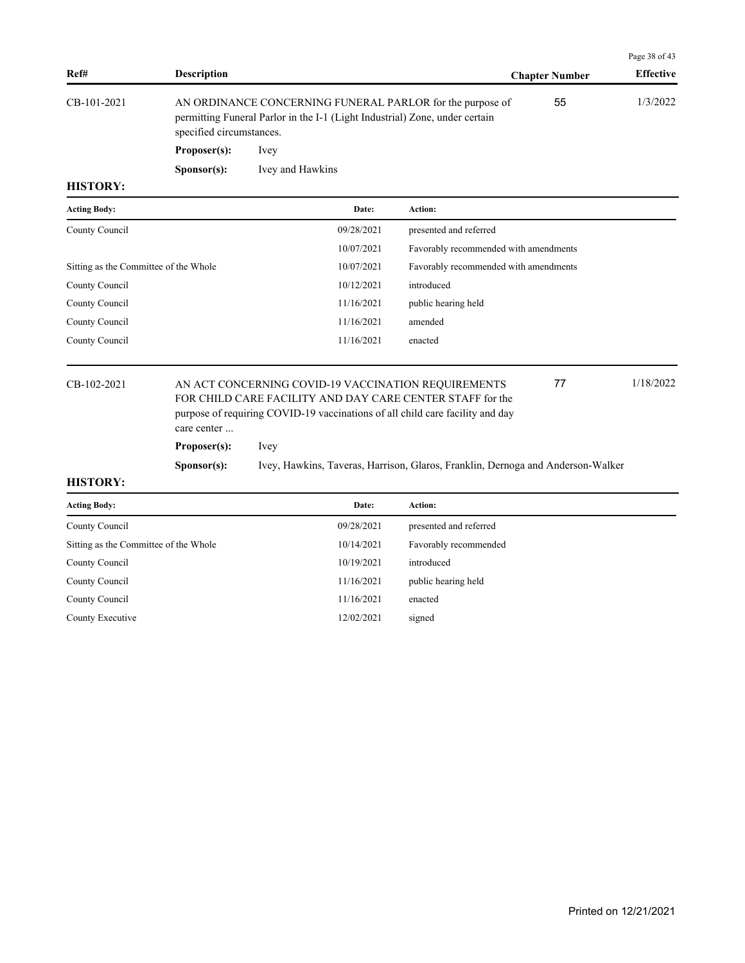|             |                                                                                                                                                                      |                       | Page 38 of 43    |
|-------------|----------------------------------------------------------------------------------------------------------------------------------------------------------------------|-----------------------|------------------|
| Ref#        | <b>Description</b>                                                                                                                                                   | <b>Chapter Number</b> | <b>Effective</b> |
| CB-101-2021 | AN ORDINANCE CONCERNING FUNERAL PARLOR for the purpose of<br>permitting Funeral Parlor in the I-1 (Light Industrial) Zone, under certain<br>specified circumstances. | 55                    | 1/3/2022         |
|             | Proposer(s):<br>lvey                                                                                                                                                 |                       |                  |

**Sponsor(s):** Ivey and Hawkins

#### **HISTORY:**

| <b>Acting Body:</b>                   | Date:      | Action:                               |
|---------------------------------------|------------|---------------------------------------|
| County Council                        | 09/28/2021 | presented and referred                |
|                                       | 10/07/2021 | Favorably recommended with amendments |
| Sitting as the Committee of the Whole | 10/07/2021 | Favorably recommended with amendments |
| County Council                        | 10/12/2021 | introduced                            |
| County Council                        | 11/16/2021 | public hearing held                   |
| County Council                        | 11/16/2021 | amended                               |
| County Council                        | 11/16/2021 | enacted                               |
|                                       |            |                                       |

# CB-102-2021 AN ACT CONCERNING COVID-19 VACCINATION REQUIREMENTS 77 1/18/2022 FOR CHILD CARE FACILITY AND DAY CARE CENTER STAFF for the purpose of requiring COVID-19 vaccinations of all child care facility and day care center ...

**Proposer(s):** Ivey

**Sponsor(s):** Ivey, Hawkins, Taveras, Harrison, Glaros, Franklin, Dernoga and Anderson-Walker

# **HISTORY:**

| <b>Acting Body:</b>                   | Date:      | Action:                |
|---------------------------------------|------------|------------------------|
| County Council                        | 09/28/2021 | presented and referred |
| Sitting as the Committee of the Whole | 10/14/2021 | Favorably recommended  |
| County Council                        | 10/19/2021 | introduced             |
| County Council                        | 11/16/2021 | public hearing held    |
| County Council                        | 11/16/2021 | enacted                |
| County Executive                      | 12/02/2021 | signed                 |

77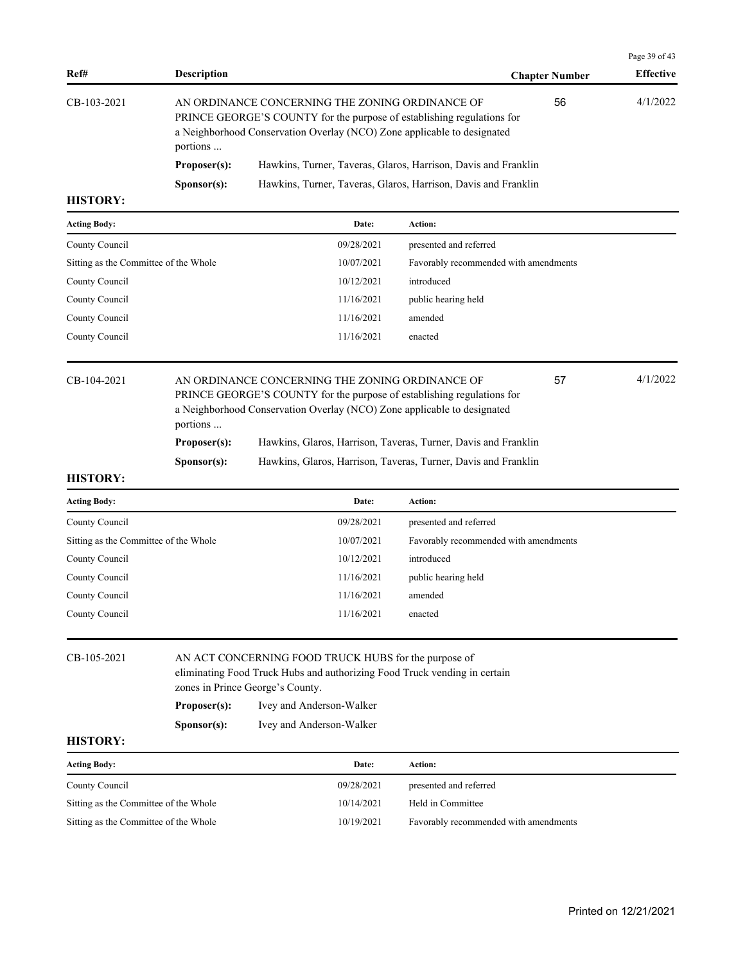| Ref#          | <b>Description</b>   |                                                                                                                                                                                                      | <b>Chapter Number</b> | <b>Effective</b> |
|---------------|----------------------|------------------------------------------------------------------------------------------------------------------------------------------------------------------------------------------------------|-----------------------|------------------|
| $CB-103-2021$ | portions             | AN ORDINANCE CONCERNING THE ZONING ORDINANCE OF<br>PRINCE GEORGE'S COUNTY for the purpose of establishing regulations for<br>a Neighborhood Conservation Overlay (NCO) Zone applicable to designated | 56                    | 4/1/2022         |
|               | Proposer(s):         | Hawkins, Turner, Taveras, Glaros, Harrison, Davis and Franklin                                                                                                                                       |                       |                  |
|               | S <b>p</b> onsor(s): | Hawkins, Turner, Taveras, Glaros, Harrison, Davis and Franklin                                                                                                                                       |                       |                  |

| <b>Acting Body:</b>                   | Date:      | <b>Action:</b>                        |
|---------------------------------------|------------|---------------------------------------|
| County Council                        | 09/28/2021 | presented and referred                |
| Sitting as the Committee of the Whole | 10/07/2021 | Favorably recommended with amendments |
| County Council                        | 10/12/2021 | introduced                            |
| County Council                        | 11/16/2021 | public hearing held                   |
| County Council                        | 11/16/2021 | amended                               |
| County Council                        | 11/16/2021 | enacted                               |
|                                       |            |                                       |

| CB-104-2021 |                      | AN ORDINANCE CONCERNING THE ZONING ORDINANCE OF                         | 57 | 4/1/2022 |  |  |
|-------------|----------------------|-------------------------------------------------------------------------|----|----------|--|--|
|             |                      | PRINCE GEORGE'S COUNTY for the purpose of establishing regulations for  |    |          |  |  |
|             |                      | a Neighborhood Conservation Overlay (NCO) Zone applicable to designated |    |          |  |  |
|             | portions             |                                                                         |    |          |  |  |
|             | Proposer(s):         | Hawkins, Glaros, Harrison, Taveras, Turner, Davis and Franklin          |    |          |  |  |
|             | S <b>p</b> onsor(s): | Hawkins, Glaros, Harrison, Taveras, Turner, Davis and Franklin          |    |          |  |  |

#### **HISTORY:**

| <b>Acting Body:</b>                   | Date:      | <b>Action:</b>                        |
|---------------------------------------|------------|---------------------------------------|
| County Council                        | 09/28/2021 | presented and referred                |
| Sitting as the Committee of the Whole | 10/07/2021 | Favorably recommended with amendments |
| County Council                        | 10/12/2021 | introduced                            |
| County Council                        | 11/16/2021 | public hearing held                   |
| County Council                        | 11/16/2021 | amended                               |
| County Council                        | 11/16/2021 | enacted                               |
|                                       |            |                                       |

# CB-105-2021 AN ACT CONCERNING FOOD TRUCK HUBS for the purpose of eliminating Food Truck Hubs and authorizing Food Truck vending in certain zones in Prince George's County. **Proposer(s):** Ivey and Anderson-Walker **Sponsor(s):** Ivey and Anderson-Walker

## **HISTORY:**

| <b>Acting Body:</b>                   | Date:      | Action:                               |
|---------------------------------------|------------|---------------------------------------|
| County Council                        | 09/28/2021 | presented and referred                |
| Sitting as the Committee of the Whole | 10/14/2021 | Held in Committee                     |
| Sitting as the Committee of the Whole | 10/19/2021 | Favorably recommended with amendments |

Page 39 of 43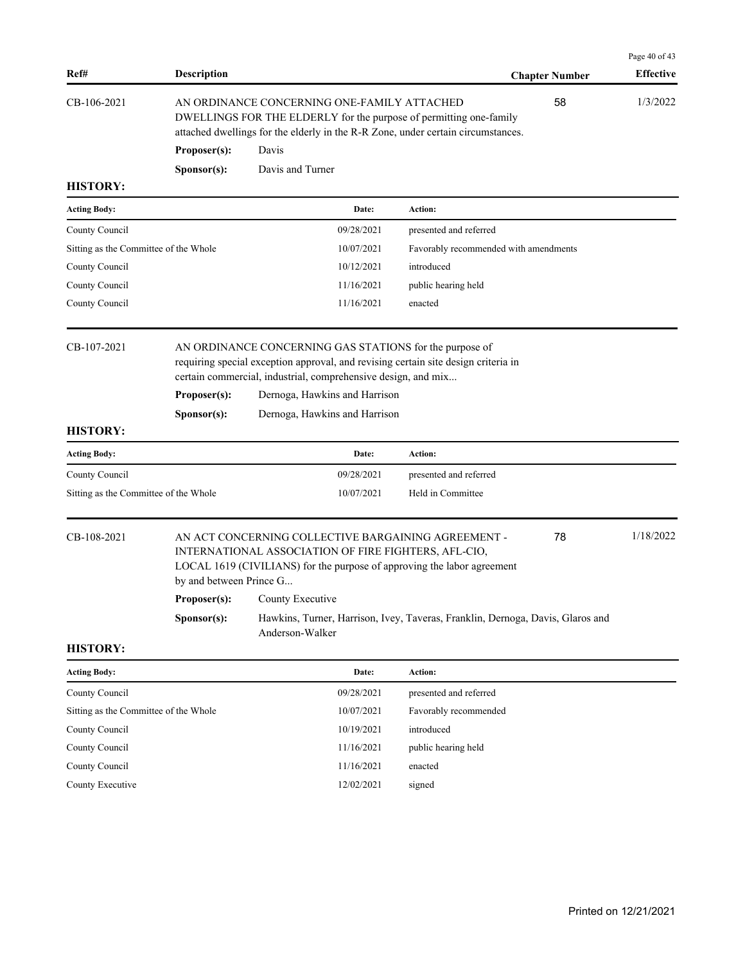| Ref#                                  | <b>Description</b>                                                                                                                                                                                          |                                                                                                                                                                                                                                                                                  |                                       | <b>Chapter Number</b> | Page 40 of 43<br><b>Effective</b> |
|---------------------------------------|-------------------------------------------------------------------------------------------------------------------------------------------------------------------------------------------------------------|----------------------------------------------------------------------------------------------------------------------------------------------------------------------------------------------------------------------------------------------------------------------------------|---------------------------------------|-----------------------|-----------------------------------|
| CB-106-2021                           | AN ORDINANCE CONCERNING ONE-FAMILY ATTACHED<br>58<br>DWELLINGS FOR THE ELDERLY for the purpose of permitting one-family<br>attached dwellings for the elderly in the R-R Zone, under certain circumstances. |                                                                                                                                                                                                                                                                                  |                                       |                       | 1/3/2022                          |
|                                       | Proposer(s):                                                                                                                                                                                                | Davis                                                                                                                                                                                                                                                                            |                                       |                       |                                   |
|                                       | Sponsor(s):                                                                                                                                                                                                 | Davis and Turner                                                                                                                                                                                                                                                                 |                                       |                       |                                   |
| <b>HISTORY:</b>                       |                                                                                                                                                                                                             |                                                                                                                                                                                                                                                                                  |                                       |                       |                                   |
| <b>Acting Body:</b>                   |                                                                                                                                                                                                             | Date:                                                                                                                                                                                                                                                                            | Action:                               |                       |                                   |
| County Council                        |                                                                                                                                                                                                             | 09/28/2021                                                                                                                                                                                                                                                                       | presented and referred                |                       |                                   |
| Sitting as the Committee of the Whole |                                                                                                                                                                                                             | 10/07/2021                                                                                                                                                                                                                                                                       | Favorably recommended with amendments |                       |                                   |
| County Council                        |                                                                                                                                                                                                             | 10/12/2021                                                                                                                                                                                                                                                                       | introduced                            |                       |                                   |
| County Council                        |                                                                                                                                                                                                             | 11/16/2021                                                                                                                                                                                                                                                                       | public hearing held                   |                       |                                   |
| County Council                        |                                                                                                                                                                                                             | 11/16/2021                                                                                                                                                                                                                                                                       | enacted                               |                       |                                   |
| CB-107-2021<br><b>HISTORY:</b>        | Proposer(s):<br>Sponsor(s):                                                                                                                                                                                 | AN ORDINANCE CONCERNING GAS STATIONS for the purpose of<br>requiring special exception approval, and revising certain site design criteria in<br>certain commercial, industrial, comprehensive design, and mix<br>Dernoga, Hawkins and Harrison<br>Dernoga, Hawkins and Harrison |                                       |                       |                                   |
| <b>Acting Body:</b>                   |                                                                                                                                                                                                             | Date:                                                                                                                                                                                                                                                                            | Action:                               |                       |                                   |
| County Council                        |                                                                                                                                                                                                             | 09/28/2021                                                                                                                                                                                                                                                                       | presented and referred                |                       |                                   |
| Sitting as the Committee of the Whole |                                                                                                                                                                                                             | 10/07/2021                                                                                                                                                                                                                                                                       | Held in Committee                     |                       |                                   |
| CB-108-2021                           | by and between Prince G                                                                                                                                                                                     | AN ACT CONCERNING COLLECTIVE BARGAINING AGREEMENT -<br>INTERNATIONAL ASSOCIATION OF FIRE FIGHTERS, AFL-CIO,<br>LOCAL 1619 (CIVILIANS) for the purpose of approving the labor agreement                                                                                           |                                       | 78                    | 1/18/2022                         |
|                                       | Proposer(s):                                                                                                                                                                                                | County Executive                                                                                                                                                                                                                                                                 |                                       |                       |                                   |
|                                       | Sponsor(s):                                                                                                                                                                                                 | Hawkins, Turner, Harrison, Ivey, Taveras, Franklin, Dernoga, Davis, Glaros and<br>Anderson-Walker                                                                                                                                                                                |                                       |                       |                                   |
| <b>HISTORY:</b>                       |                                                                                                                                                                                                             |                                                                                                                                                                                                                                                                                  |                                       |                       |                                   |
| <b>Acting Body:</b>                   |                                                                                                                                                                                                             | Date:                                                                                                                                                                                                                                                                            | Action:                               |                       |                                   |
| County Council                        |                                                                                                                                                                                                             | 09/28/2021                                                                                                                                                                                                                                                                       | presented and referred                |                       |                                   |
| Sitting as the Committee of the Whole |                                                                                                                                                                                                             | 10/07/2021                                                                                                                                                                                                                                                                       | Eavorably recommended                 |                       |                                   |

| Sitting as the Committee of the Whole | 10/07/2021 | Favorably recommended |
|---------------------------------------|------------|-----------------------|
| County Council                        | 10/19/2021 | introduced            |
| County Council                        | 11/16/2021 | public hearing held   |
| County Council                        | 11/16/2021 | enacted               |

County Executive 12/02/2021 signed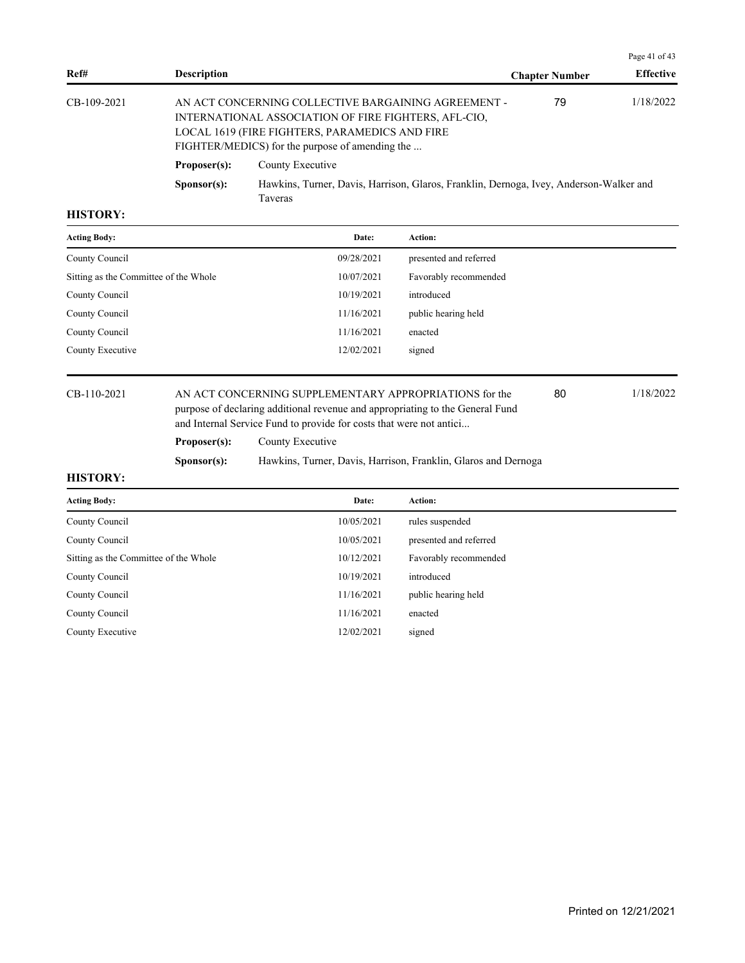|             |                      |                                                                                                                                                                                                                  |                       | Page 41 of 43    |
|-------------|----------------------|------------------------------------------------------------------------------------------------------------------------------------------------------------------------------------------------------------------|-----------------------|------------------|
| Ref#        | <b>Description</b>   |                                                                                                                                                                                                                  | <b>Chapter Number</b> | <b>Effective</b> |
| CB-109-2021 |                      | AN ACT CONCERNING COLLECTIVE BARGAINING AGREEMENT -<br>INTERNATIONAL ASSOCIATION OF FIRE FIGHTERS, AFL-CIO,<br>LOCAL 1619 (FIRE FIGHTERS, PARAMEDICS AND FIRE<br>FIGHTER/MEDICS) for the purpose of amending the | 79                    | 1/18/2022        |
|             | Proposer(s):         | County Executive                                                                                                                                                                                                 |                       |                  |
|             | S <b>p</b> onsor(s): | Hawkins, Turner, Davis, Harrison, Glaros, Franklin, Dernoga, Ivey, Anderson-Walker and<br><b>Taveras</b>                                                                                                         |                       |                  |

| <b>Acting Body:</b>                   | Date:      | <b>Action:</b>         |
|---------------------------------------|------------|------------------------|
| County Council                        | 09/28/2021 | presented and referred |
| Sitting as the Committee of the Whole | 10/07/2021 | Favorably recommended  |
| County Council                        | 10/19/2021 | introduced             |
| County Council                        | 11/16/2021 | public hearing held    |
| County Council                        | 11/16/2021 | enacted                |
| County Executive                      | 12/02/2021 | signed                 |
|                                       |            |                        |

CB-110-2021 AN ACT CONCERNING SUPPLEMENTARY APPROPRIATIONS for the 80 1/18/2022 purpose of declaring additional revenue and appropriating to the General Fund and Internal Service Fund to provide for costs that were not antici...

80

Proposer(s): County Executive

**Sponsor(s):** Hawkins, Turner, Davis, Harrison, Franklin, Glaros and Dernoga

| <b>Acting Body:</b>                   | Date:      | <b>Action:</b>         |
|---------------------------------------|------------|------------------------|
| County Council                        | 10/05/2021 | rules suspended        |
| County Council                        | 10/05/2021 | presented and referred |
| Sitting as the Committee of the Whole | 10/12/2021 | Favorably recommended  |
| County Council                        | 10/19/2021 | introduced             |
| County Council                        | 11/16/2021 | public hearing held    |
| County Council                        | 11/16/2021 | enacted                |
| County Executive                      | 12/02/2021 | signed                 |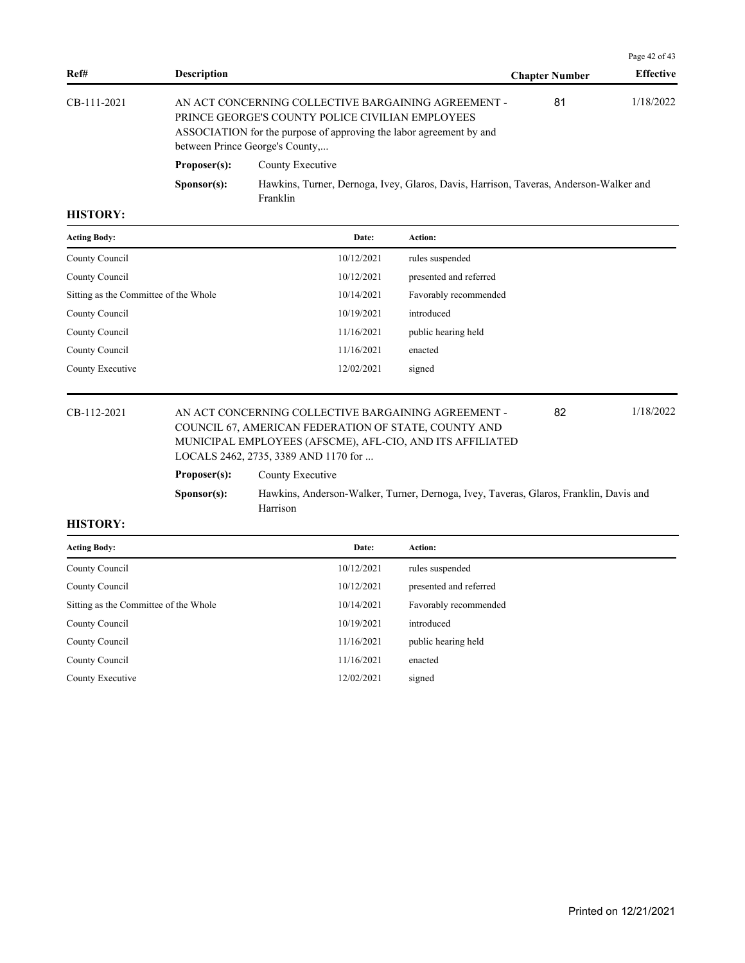|             |                      |                                                                                                                                                                                                                   |                       | Page 42 of 43    |
|-------------|----------------------|-------------------------------------------------------------------------------------------------------------------------------------------------------------------------------------------------------------------|-----------------------|------------------|
| Ref#        | <b>Description</b>   |                                                                                                                                                                                                                   | <b>Chapter Number</b> | <b>Effective</b> |
| CB-111-2021 |                      | AN ACT CONCERNING COLLECTIVE BARGAINING AGREEMENT -<br>PRINCE GEORGE'S COUNTY POLICE CIVILIAN EMPLOYEES<br>ASSOCIATION for the purpose of approving the labor agreement by and<br>between Prince George's County, | 81                    | 1/18/2022        |
|             | Proposer(s):         | County Executive                                                                                                                                                                                                  |                       |                  |
|             | S <b>p</b> onsor(s): | Hawkins, Turner, Dernoga, Ivey, Glaros, Davis, Harrison, Taveras, Anderson-Walker and<br>Franklin                                                                                                                 |                       |                  |

| <b>Acting Body:</b>                   | Date:      | <b>Action:</b>         |
|---------------------------------------|------------|------------------------|
| County Council                        | 10/12/2021 | rules suspended        |
| County Council                        | 10/12/2021 | presented and referred |
| Sitting as the Committee of the Whole | 10/14/2021 | Favorably recommended  |
| County Council                        | 10/19/2021 | introduced             |
| County Council                        | 11/16/2021 | public hearing held    |
| County Council                        | 11/16/2021 | enacted                |
| County Executive                      | 12/02/2021 | signed                 |
|                                       |            |                        |

CB-112-2021 AN ACT CONCERNING COLLECTIVE BARGAINING AGREEMENT - 82 1/18/2022 COUNCIL 67, AMERICAN FEDERATION OF STATE, COUNTY AND MUNICIPAL EMPLOYEES (AFSCME), AFL-CIO, AND ITS AFFILIATED LOCALS 2462, 2735, 3389 AND 1170 for ... 82

| Proposer(s): | County Executive                                                                      |
|--------------|---------------------------------------------------------------------------------------|
| Sponsor(s):  | Hawkins, Anderson-Walker, Turner, Dernoga, Ivey, Taveras, Glaros, Franklin, Davis and |
|              | <b>Harrison</b>                                                                       |

| Date:      | <b>Action:</b>         |
|------------|------------------------|
| 10/12/2021 | rules suspended        |
| 10/12/2021 | presented and referred |
| 10/14/2021 | Favorably recommended  |
| 10/19/2021 | introduced             |
| 11/16/2021 | public hearing held    |
| 11/16/2021 | enacted                |
| 12/02/2021 | signed                 |
|            |                        |